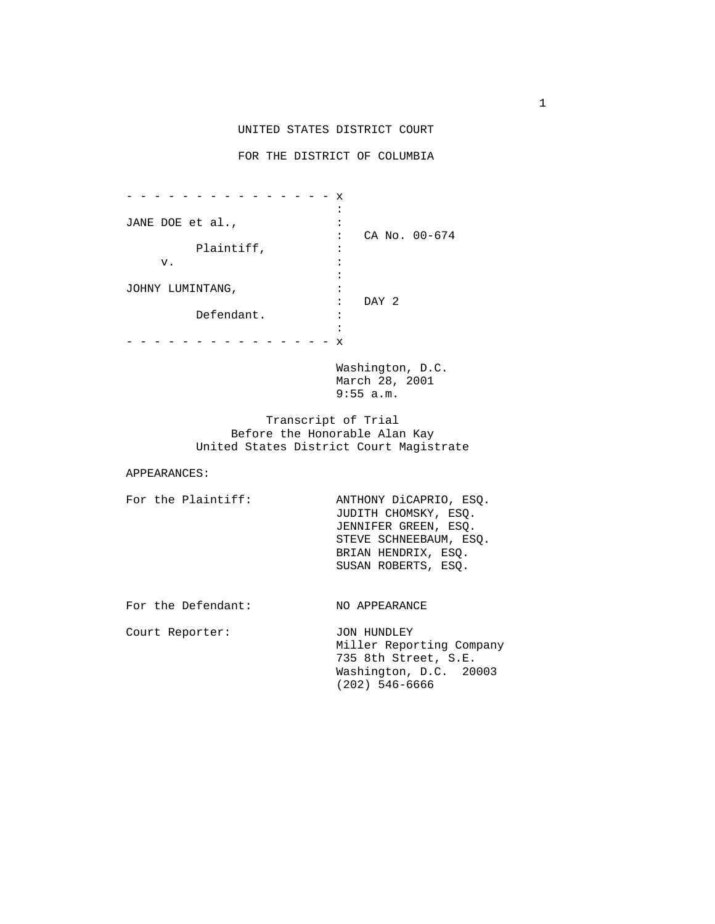## UNITED STATES DISTRICT COURT

## FOR THE DISTRICT OF COLUMBIA

 - - - - - - - - - - - - - - - x the contract of the contract of the contract of the contract of the contract of JANE DOE et al.,  $\cdot$  : CA No. 00-674 Plaintiff,  $\qquad \qquad :$  $\mathbf v$ .  $\mathbf v$ .  $\mathbf v$ the contract of the contract of the contract of the contract of the contract of JOHNY LUMINTANG, : : DAY 2 Defendant. : the contract of the contract of the contract of the contract of the contract of the - - - - - - - - - - - - - - - x

> Washington, D.C. March 28, 2001 9:55 a.m.

 Transcript of Trial Before the Honorable Alan Kay United States District Court Magistrate

## APPEARANCES:

For the Plaintiff: ANTHONY DiCAPRIO, ESQ. JUDITH CHOMSKY, ESQ. JENNIFER GREEN, ESQ. STEVE SCHNEEBAUM, ESQ. BRIAN HENDRIX, ESQ. SUSAN ROBERTS, ESQ.

For the Defendant: NO APPEARANCE

Court Reporter: JON HUNDLEY

 Miller Reporting Company 735 8th Street, S.E. Washington, D.C. 20003 (202) 546-6666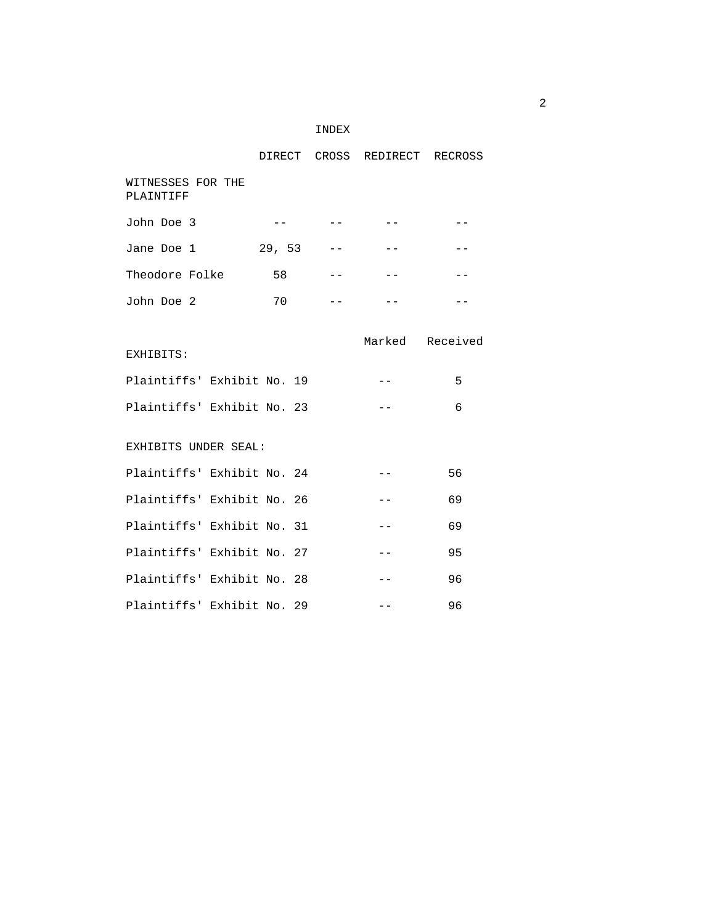|  | INDEX |
|--|-------|
|--|-------|

|                                |        |                                                                                                                                                                                                                                                                                                                                                                                                                                                                            | DIRECT CROSS REDIRECT RECROSS |                 |
|--------------------------------|--------|----------------------------------------------------------------------------------------------------------------------------------------------------------------------------------------------------------------------------------------------------------------------------------------------------------------------------------------------------------------------------------------------------------------------------------------------------------------------------|-------------------------------|-----------------|
| WITNESSES FOR THE<br>PLAINTIFF |        |                                                                                                                                                                                                                                                                                                                                                                                                                                                                            |                               |                 |
| John Doe 3                     | $- -$  |                                                                                                                                                                                                                                                                                                                                                                                                                                                                            |                               |                 |
| Jane Doe 1                     | 29, 53 |                                                                                                                                                                                                                                                                                                                                                                                                                                                                            | $- -$                         | $- -$           |
| Theodore Folke                 | 58     | $\frac{1}{2} \left( \frac{1}{2} \right) \left( \frac{1}{2} \right) \left( \frac{1}{2} \right) \left( \frac{1}{2} \right) \left( \frac{1}{2} \right) \left( \frac{1}{2} \right) \left( \frac{1}{2} \right) \left( \frac{1}{2} \right) \left( \frac{1}{2} \right) \left( \frac{1}{2} \right) \left( \frac{1}{2} \right) \left( \frac{1}{2} \right) \left( \frac{1}{2} \right) \left( \frac{1}{2} \right) \left( \frac{1}{2} \right) \left( \frac{1}{2} \right) \left( \frac$ | $- -$                         |                 |
| John Doe 2                     | 70     | $- -$                                                                                                                                                                                                                                                                                                                                                                                                                                                                      | $- -$                         | $ -$            |
| EXHIBITS:                      |        |                                                                                                                                                                                                                                                                                                                                                                                                                                                                            |                               | Marked Received |
| Plaintiffs' Exhibit No. 19     |        |                                                                                                                                                                                                                                                                                                                                                                                                                                                                            | $  \,$ $\,$ $\,$              | 5               |
| Plaintiffs' Exhibit No. 23     |        |                                                                                                                                                                                                                                                                                                                                                                                                                                                                            | $- -$                         | 6               |
| EXHIBITS UNDER SEAL:           |        |                                                                                                                                                                                                                                                                                                                                                                                                                                                                            |                               |                 |
| Plaintiffs' Exhibit No. 24     |        |                                                                                                                                                                                                                                                                                                                                                                                                                                                                            |                               | 56              |
| Plaintiffs' Exhibit No. 26     |        |                                                                                                                                                                                                                                                                                                                                                                                                                                                                            | $- -$                         | 69              |
| Plaintiffs' Exhibit No. 31     |        |                                                                                                                                                                                                                                                                                                                                                                                                                                                                            | $- -$                         | 69              |
| Plaintiffs' Exhibit No. 27     |        |                                                                                                                                                                                                                                                                                                                                                                                                                                                                            | $--$                          | 95              |
| Plaintiffs' Exhibit No. 28     |        |                                                                                                                                                                                                                                                                                                                                                                                                                                                                            | $- -$                         | 96              |
| Plaintiffs' Exhibit No. 29     |        |                                                                                                                                                                                                                                                                                                                                                                                                                                                                            |                               | 96              |

 $\overline{2}$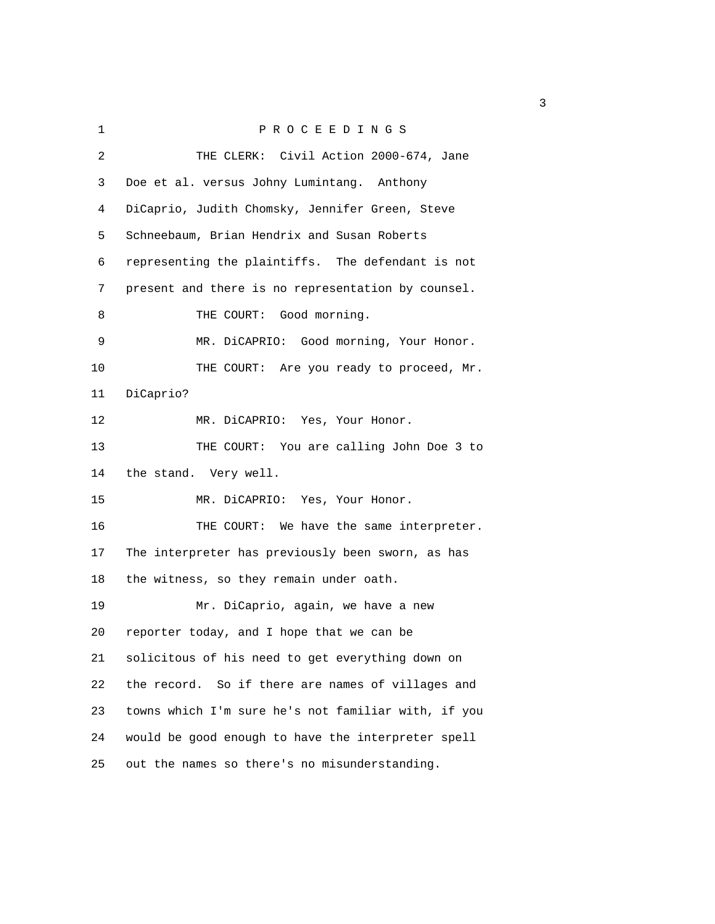| 1  | PROCEEDINGS                                         |
|----|-----------------------------------------------------|
| 2  | THE CLERK: Civil Action 2000-674, Jane              |
| 3  | Doe et al. versus Johny Lumintang. Anthony          |
| 4  | DiCaprio, Judith Chomsky, Jennifer Green, Steve     |
| 5  | Schneebaum, Brian Hendrix and Susan Roberts         |
| 6  | representing the plaintiffs. The defendant is not   |
| 7  | present and there is no representation by counsel.  |
| 8  | THE COURT: Good morning.                            |
| 9  | MR. DiCAPRIO: Good morning, Your Honor.             |
| 10 | THE COURT: Are you ready to proceed, Mr.            |
| 11 | DiCaprio?                                           |
| 12 | MR. DiCAPRIO: Yes, Your Honor.                      |
| 13 | THE COURT: You are calling John Doe 3 to            |
| 14 | the stand. Very well.                               |
| 15 | MR. DiCAPRIO: Yes, Your Honor.                      |
| 16 | THE COURT: We have the same interpreter.            |
| 17 | The interpreter has previously been sworn, as has   |
| 18 | the witness, so they remain under oath.             |
| 19 | Mr. DiCaprio, again, we have a new                  |
| 20 | reporter today, and I hope that we can be           |
| 21 | solicitous of his need to get everything down on    |
| 22 | the record. So if there are names of villages and   |
| 23 | towns which I'm sure he's not familiar with, if you |
| 24 | would be good enough to have the interpreter spell  |
| 25 | out the names so there's no misunderstanding.       |

 $\sim$  3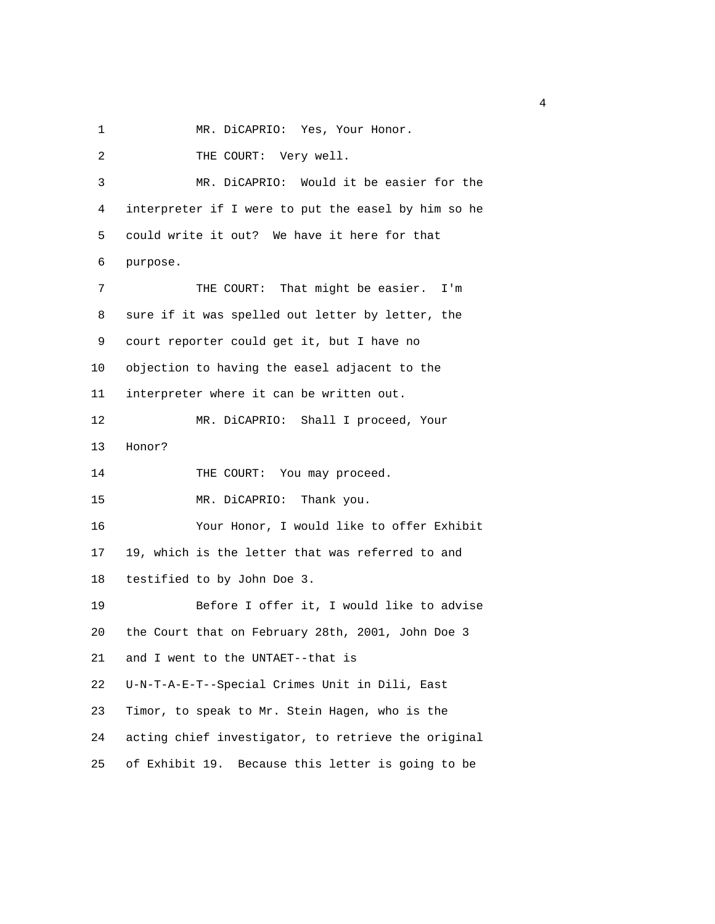1 MR. DiCAPRIO: Yes, Your Honor.

| 2  | THE COURT: Very well.                                |
|----|------------------------------------------------------|
| 3  | MR. DiCAPRIO: Would it be easier for the             |
| 4  | interpreter if I were to put the easel by him so he  |
| 5  | could write it out? We have it here for that         |
| 6  | purpose.                                             |
| 7  | THE COURT: That might be easier.<br>I'm              |
| 8  | sure if it was spelled out letter by letter, the     |
| 9  | court reporter could get it, but I have no           |
| 10 | objection to having the easel adjacent to the        |
| 11 | interpreter where it can be written out.             |
| 12 | MR. DiCAPRIO: Shall I proceed, Your                  |
| 13 | Honor?                                               |
| 14 | THE COURT: You may proceed.                          |
| 15 | MR. DiCAPRIO: Thank you.                             |
| 16 | Your Honor, I would like to offer Exhibit            |
| 17 | 19, which is the letter that was referred to and     |
| 18 | testified to by John Doe 3.                          |
| 19 | Before I offer it, I would like to advise            |
| 20 | the Court that on February 28th, 2001, John Doe 3    |
| 21 | and I went to the UNTAET--that is                    |
| 22 | U-N-T-A-E-T--Special Crimes Unit in Dili, East       |
| 23 | Timor, to speak to Mr. Stein Hagen, who is the       |
| 24 | acting chief investigator, to retrieve the original  |
| 25 | Because this letter is going to be<br>of Exhibit 19. |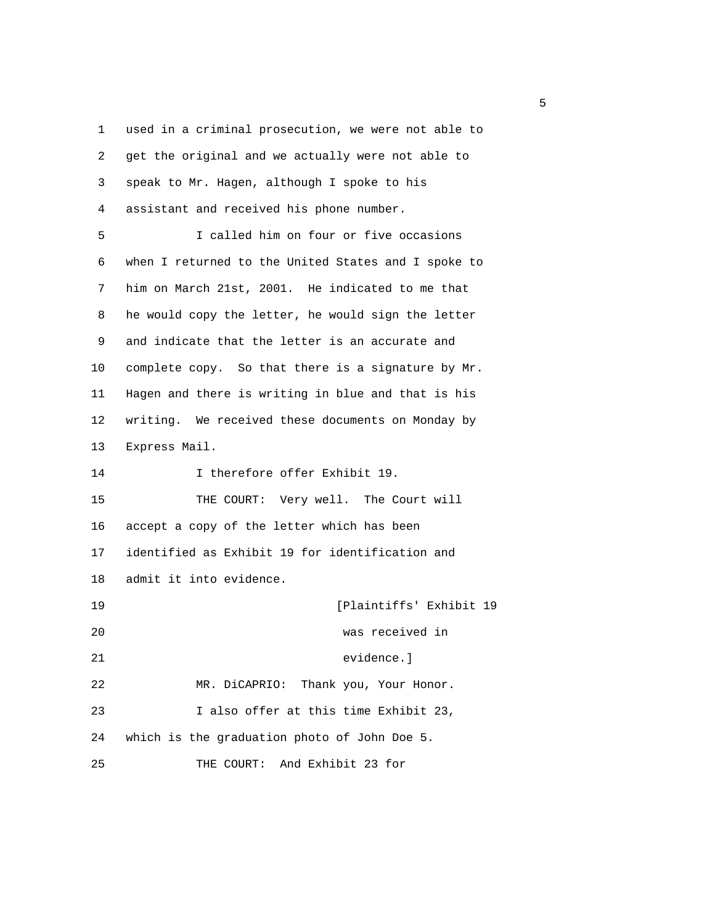1 used in a criminal prosecution, we were not able to 2 get the original and we actually were not able to 3 speak to Mr. Hagen, although I spoke to his 4 assistant and received his phone number. 5 I called him on four or five occasions 6 when I returned to the United States and I spoke to 7 him on March 21st, 2001. He indicated to me that 8 he would copy the letter, he would sign the letter 9 and indicate that the letter is an accurate and 10 complete copy. So that there is a signature by Mr. 11 Hagen and there is writing in blue and that is his 12 writing. We received these documents on Monday by 13 Express Mail. 14 I therefore offer Exhibit 19. 15 THE COURT: Very well. The Court will 16 accept a copy of the letter which has been 17 identified as Exhibit 19 for identification and 18 admit it into evidence. 19 [Plaintiffs' Exhibit 19 20 was received in 21 evidence.] 22 MR. DiCAPRIO: Thank you, Your Honor. 23 I also offer at this time Exhibit 23, 24 which is the graduation photo of John Doe 5. 25 THE COURT: And Exhibit 23 for

 $\sim$  5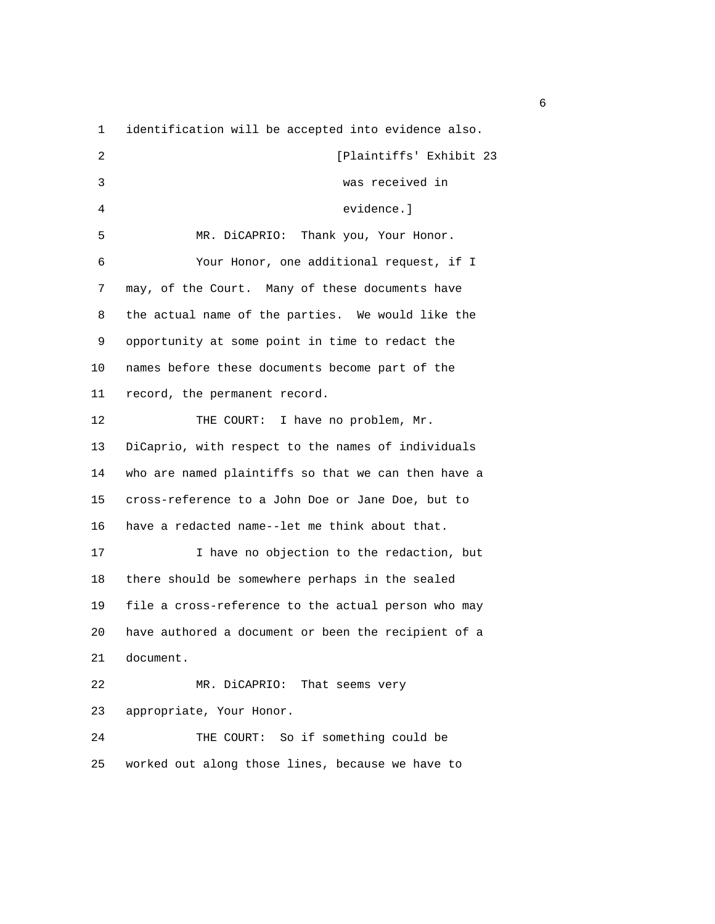1 identification will be accepted into evidence also.

 2 [Plaintiffs' Exhibit 23 3 was received in 4 evidence.] 5 MR. DiCAPRIO: Thank you, Your Honor. 6 Your Honor, one additional request, if I 7 may, of the Court. Many of these documents have 8 the actual name of the parties. We would like the 9 opportunity at some point in time to redact the 10 names before these documents become part of the 11 record, the permanent record. 12 THE COURT: I have no problem, Mr. 13 DiCaprio, with respect to the names of individuals 14 who are named plaintiffs so that we can then have a 15 cross-reference to a John Doe or Jane Doe, but to 16 have a redacted name--let me think about that. 17 17 I have no objection to the redaction, but 18 there should be somewhere perhaps in the sealed 19 file a cross-reference to the actual person who may 20 have authored a document or been the recipient of a 21 document. 22 MR. DiCAPRIO: That seems very 23 appropriate, Your Honor. 24 THE COURT: So if something could be 25 worked out along those lines, because we have to

 $\sim$  6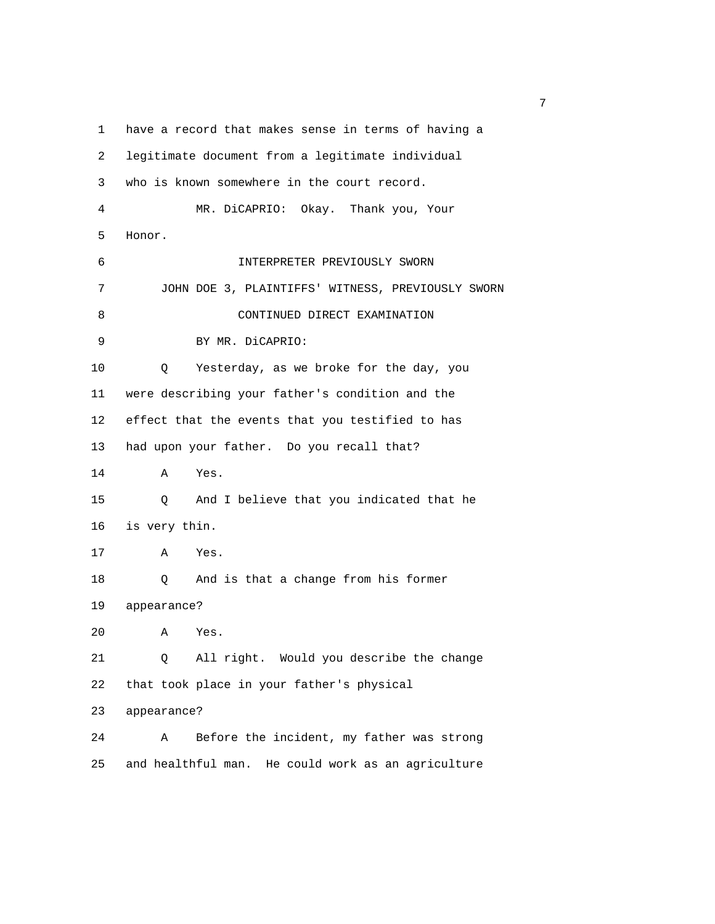1 have a record that makes sense in terms of having a 2 legitimate document from a legitimate individual 3 who is known somewhere in the court record. 4 MR. DiCAPRIO: Okay. Thank you, Your 5 Honor. 6 INTERPRETER PREVIOUSLY SWORN 7 JOHN DOE 3, PLAINTIFFS' WITNESS, PREVIOUSLY SWORN 8 CONTINUED DIRECT EXAMINATION 9 BY MR. DiCAPRIO: 10 Q Yesterday, as we broke for the day, you 11 were describing your father's condition and the 12 effect that the events that you testified to has 13 had upon your father. Do you recall that? 14 A Yes. 15 Q And I believe that you indicated that he 16 is very thin. 17 A Yes. 18 Q And is that a change from his former 19 appearance? 20 A Yes. 21 Q All right. Would you describe the change 22 that took place in your father's physical 23 appearance? 24 A Before the incident, my father was strong 25 and healthful man. He could work as an agriculture

<u>2</u> The contract of the contract of the contract of the contract of the contract of the contract of the contract of the contract of the contract of the contract of the contract of the contract of the contract of the contra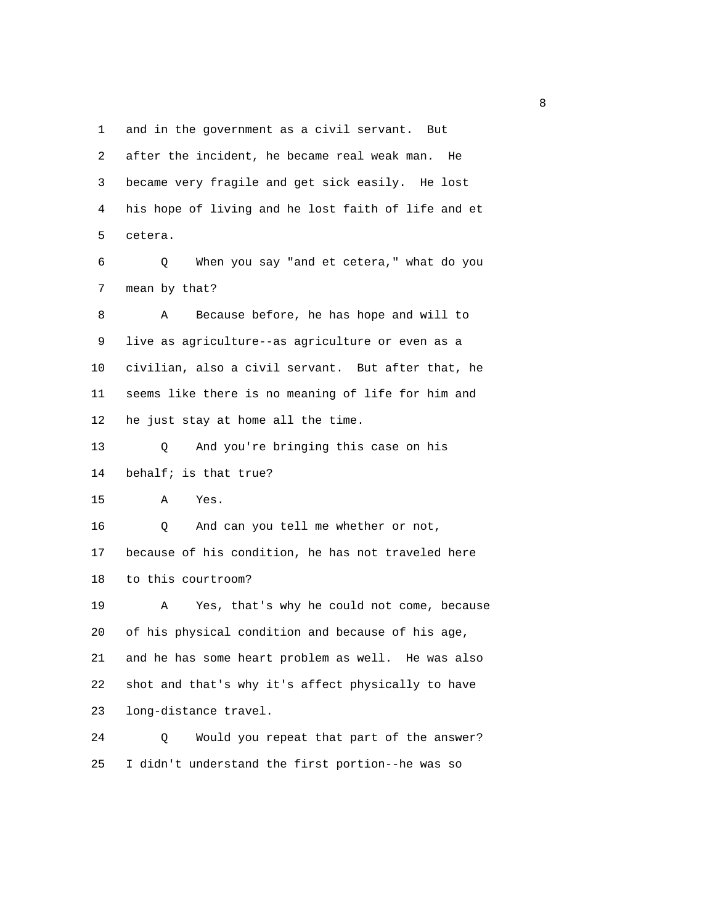1 and in the government as a civil servant. But

| 2  | after the incident, he became real weak man.<br>He  |
|----|-----------------------------------------------------|
| 3  | became very fragile and get sick easily. He lost    |
| 4  | his hope of living and he lost faith of life and et |
| 5  | cetera.                                             |
| 6  | When you say "and et cetera," what do you<br>Q      |
| 7  | mean by that?                                       |
| 8  | Because before, he has hope and will to<br>Α        |
| 9  | live as agriculture--as agriculture or even as a    |
| 10 | civilian, also a civil servant. But after that, he  |
| 11 | seems like there is no meaning of life for him and  |
| 12 | he just stay at home all the time.                  |
| 13 | Q<br>And you're bringing this case on his           |
| 14 | behalf; is that true?                               |
| 15 | Α<br>Yes.                                           |
| 16 | And can you tell me whether or not,<br>Q            |
| 17 | because of his condition, he has not traveled here  |
| 18 | to this courtroom?                                  |
| 19 | Yes, that's why he could not come, because<br>Α     |
| 20 | of his physical condition and because of his age,   |
| 21 | and he has some heart problem as well. He was also  |
| 22 | shot and that's why it's affect physically to have  |
| 23 | long-distance travel.                               |
| 24 | Would you repeat that part of the answer?<br>Q      |
| 25 | I didn't understand the first portion--he was so    |

experience of the state of the state of the state of the state of the state of the state of the state of the s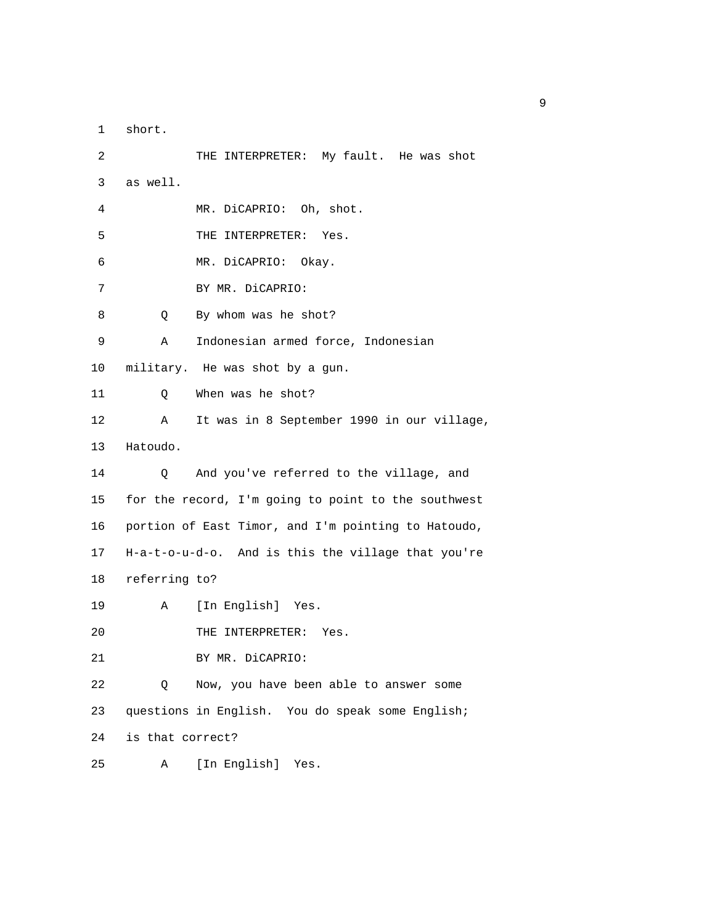1 short.

 2 THE INTERPRETER: My fault. He was shot 3 as well. 4 MR. DiCAPRIO: Oh, shot. 5 THE INTERPRETER: Yes. 6 MR. DiCAPRIO: Okay. 7 BY MR. DiCAPRIO: 8 Q By whom was he shot? 9 A Indonesian armed force, Indonesian 10 military. He was shot by a gun. 11 Q When was he shot? 12 A It was in 8 September 1990 in our village, 13 Hatoudo. 14 Q And you've referred to the village, and 15 for the record, I'm going to point to the southwest 16 portion of East Timor, and I'm pointing to Hatoudo, 17 H-a-t-o-u-d-o. And is this the village that you're 18 referring to? 19 A [In English] Yes. 20 THE INTERPRETER: Yes. 21 BY MR. DiCAPRIO: 22 Q Now, you have been able to answer some 23 questions in English. You do speak some English; 24 is that correct? 25 A [In English] Yes.

experience of the state of the state of the state of the state of the state of the state of the state of the s<br>The state of the state of the state of the state of the state of the state of the state of the state of the st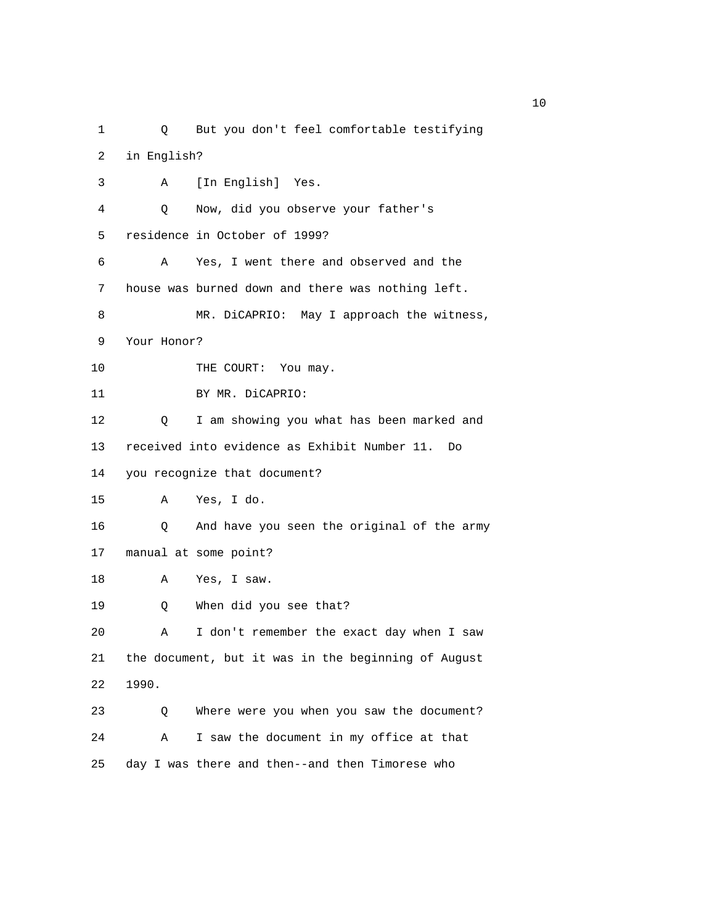1 Q But you don't feel comfortable testifying 2 in English? 3 A [In English] Yes. 4 Q Now, did you observe your father's 5 residence in October of 1999? 6 A Yes, I went there and observed and the 7 house was burned down and there was nothing left. 8 MR. DiCAPRIO: May I approach the witness, 9 Your Honor? 10 THE COURT: You may. 11 BY MR. DiCAPRIO: 12 Q I am showing you what has been marked and 13 received into evidence as Exhibit Number 11. Do 14 you recognize that document? 15 A Yes, I do. 16 Q And have you seen the original of the army 17 manual at some point? 18 A Yes, I saw. 19 Q When did you see that? 20 A I don't remember the exact day when I saw 21 the document, but it was in the beginning of August 22 1990. 23 Q Where were you when you saw the document? 24 A I saw the document in my office at that 25 day I was there and then--and then Timorese who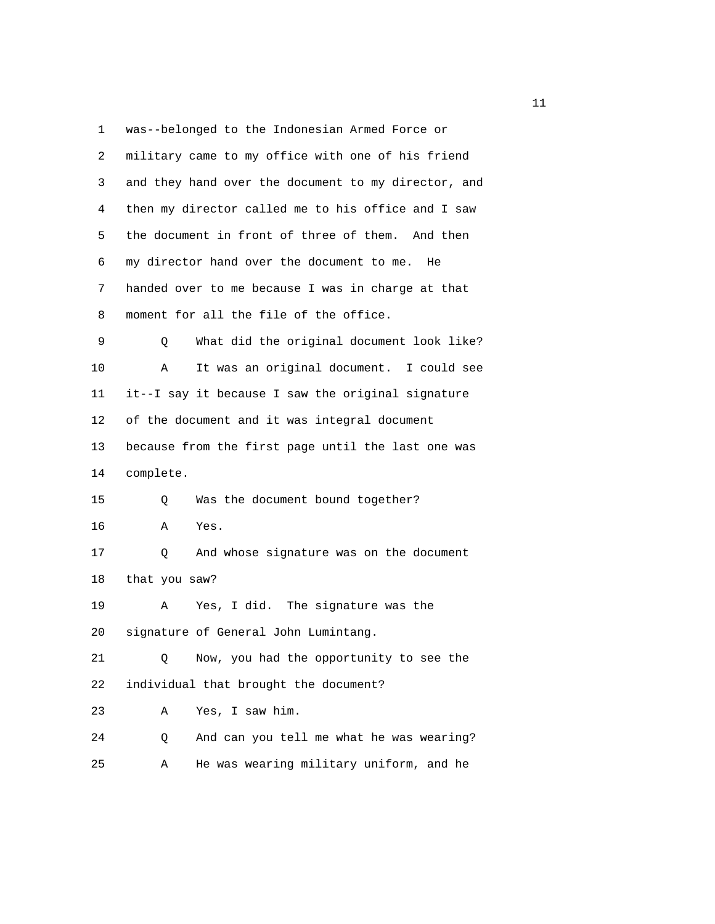1 was--belonged to the Indonesian Armed Force or

| 2  | military came to my office with one of his friend   |
|----|-----------------------------------------------------|
| 3  | and they hand over the document to my director, and |
| 4  | then my director called me to his office and I saw  |
| 5  | the document in front of three of them. And then    |
| 6  | my director hand over the document to me.<br>He     |
| 7  | handed over to me because I was in charge at that   |
| 8  | moment for all the file of the office.              |
| 9  | What did the original document look like?<br>Q      |
| 10 | It was an original document. I could see<br>Α       |
| 11 | it--I say it because I saw the original signature   |
| 12 | of the document and it was integral document        |
| 13 | because from the first page until the last one was  |
| 14 | complete.                                           |
| 15 | Was the document bound together?<br>Q.              |
| 16 | Yes.<br>Α                                           |
| 17 | And whose signature was on the document<br>Q        |
| 18 | that you saw?                                       |
| 19 | Yes, I did. The signature was the<br>Α              |
| 20 | signature of General John Lumintang.                |
| 21 | Now, you had the opportunity to see the<br>Q        |
| 22 | individual that brought the document?               |
| 23 | Yes, I saw him.<br>Α                                |
| 24 | And can you tell me what he was wearing?<br>Q       |
| 25 | He was wearing military uniform, and he<br>Α        |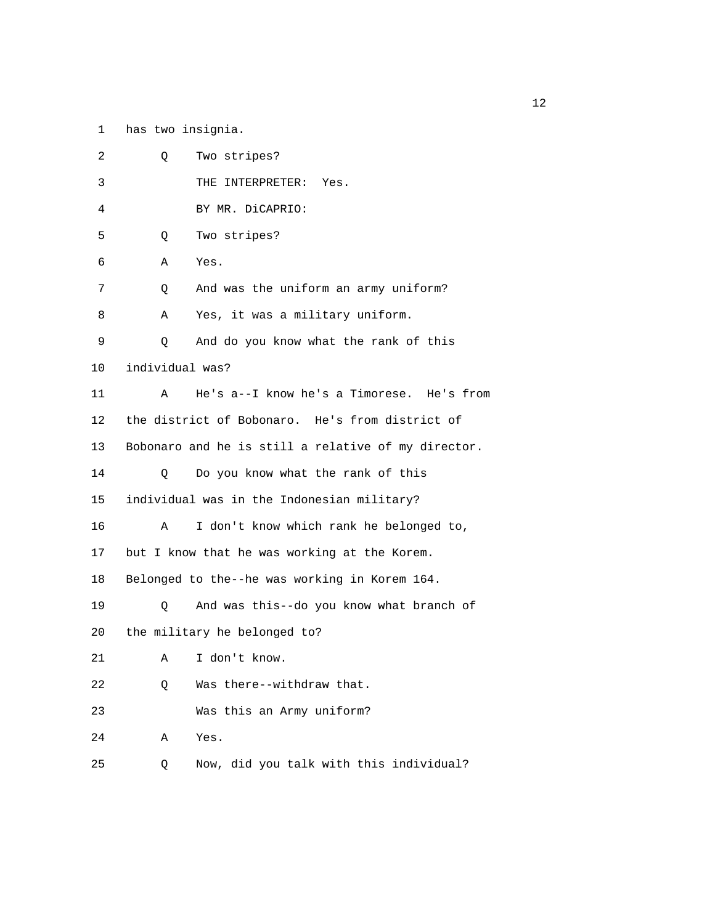1 has two insignia.

| 2  | Two stripes?<br>Q                                   |  |
|----|-----------------------------------------------------|--|
| 3  | THE INTERPRETER:<br>Yes.                            |  |
| 4  | BY MR. DiCAPRIO:                                    |  |
| 5  | Two stripes?<br>Q                                   |  |
| 6  | Α<br>Yes.                                           |  |
| 7  | And was the uniform an army uniform?<br>Q           |  |
| 8  | Yes, it was a military uniform.<br>Α                |  |
| 9  | And do you know what the rank of this<br>Q          |  |
| 10 | individual was?                                     |  |
| 11 | He's a--I know he's a Timorese. He's from<br>A      |  |
| 12 | the district of Bobonaro. He's from district of     |  |
| 13 | Bobonaro and he is still a relative of my director. |  |
| 14 | Do you know what the rank of this<br>Q              |  |
| 15 | individual was in the Indonesian military?          |  |
| 16 | I don't know which rank he belonged to,<br>Α        |  |
| 17 | but I know that he was working at the Korem.        |  |
| 18 | Belonged to the--he was working in Korem 164.       |  |
| 19 | And was this--do you know what branch of<br>$\circ$ |  |
| 20 | the military he belonged to?                        |  |
| 21 | I don't know.<br>Α                                  |  |
| 22 | Was there--withdraw that.<br>Q                      |  |
| 23 | Was this an Army uniform?                           |  |
| 24 | Α<br>Yes.                                           |  |
| 25 | Now, did you talk with this individual?<br>Q        |  |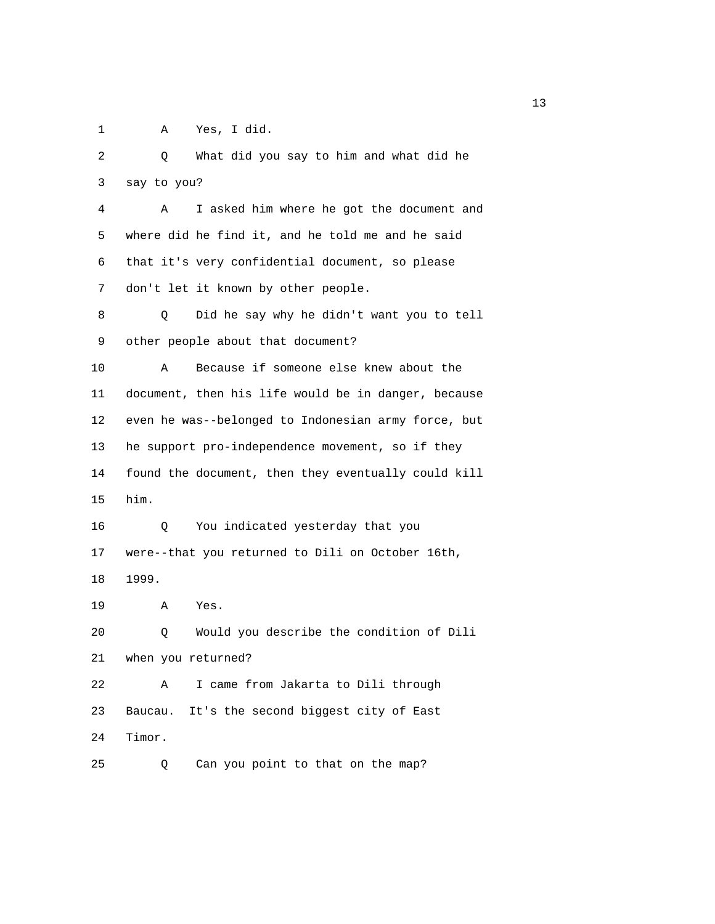1 A Yes, I did.

 2 Q What did you say to him and what did he 3 say to you? 4 A I asked him where he got the document and 5 where did he find it, and he told me and he said 6 that it's very confidential document, so please 7 don't let it known by other people. 8 Q Did he say why he didn't want you to tell 9 other people about that document? 10 A Because if someone else knew about the 11 document, then his life would be in danger, because 12 even he was--belonged to Indonesian army force, but 13 he support pro-independence movement, so if they 14 found the document, then they eventually could kill 15 him. 16 Q You indicated yesterday that you 17 were--that you returned to Dili on October 16th, 18 1999. 19 A Yes. 20 Q Would you describe the condition of Dili 21 when you returned? 22 A I came from Jakarta to Dili through 23 Baucau. It's the second biggest city of East 24 Timor. 25 Q Can you point to that on the map?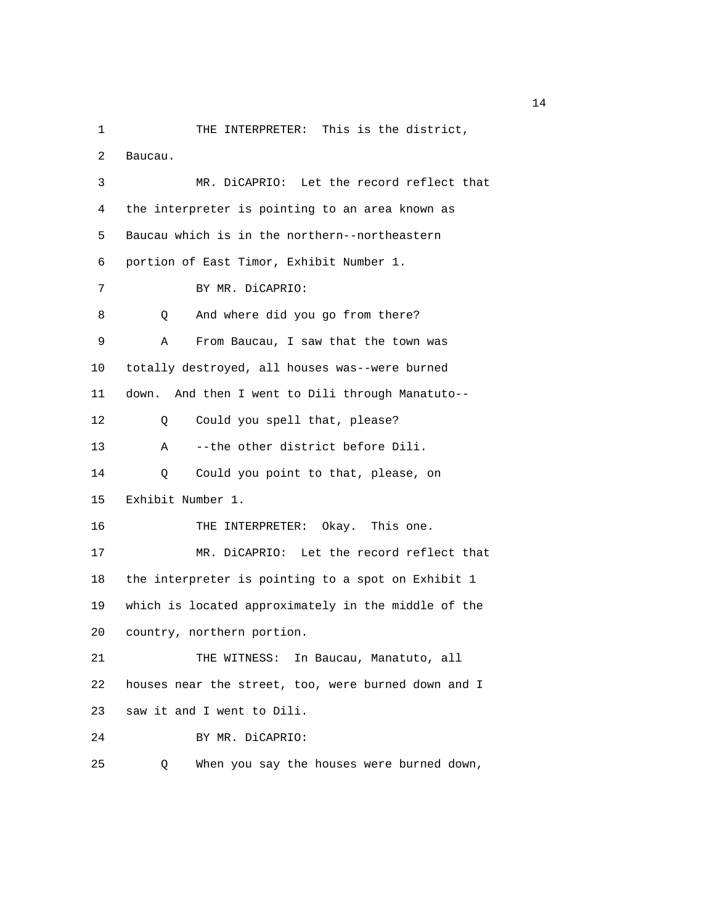1 THE INTERPRETER: This is the district, 2 Baucau. 3 MR. DiCAPRIO: Let the record reflect that 4 the interpreter is pointing to an area known as 5 Baucau which is in the northern--northeastern 6 portion of East Timor, Exhibit Number 1. 7 BY MR. DiCAPRIO: 8 Q And where did you go from there? 9 A From Baucau, I saw that the town was 10 totally destroyed, all houses was--were burned 11 down. And then I went to Dili through Manatuto-- 12 Q Could you spell that, please? 13 A --the other district before Dili. 14 Q Could you point to that, please, on 15 Exhibit Number 1. 16 THE INTERPRETER: Okay. This one. 17 MR. DiCAPRIO: Let the record reflect that 18 the interpreter is pointing to a spot on Exhibit 1 19 which is located approximately in the middle of the 20 country, northern portion. 21 THE WITNESS: In Baucau, Manatuto, all 22 houses near the street, too, were burned down and I 23 saw it and I went to Dili. 24 BY MR. DiCAPRIO: 25 Q When you say the houses were burned down,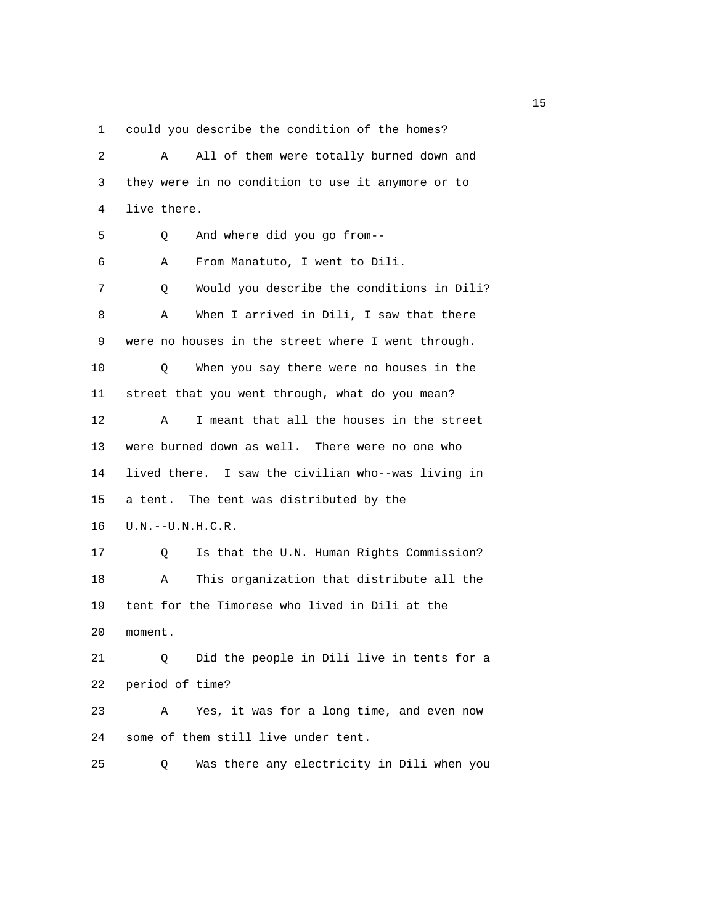1 could you describe the condition of the homes?

| 2  | All of them were totally burned down and<br>Α      |
|----|----------------------------------------------------|
| 3  | they were in no condition to use it anymore or to  |
| 4  | live there.                                        |
| 5  | And where did you go from--<br>Q                   |
| 6  | From Manatuto, I went to Dili.<br>Α                |
| 7  | Would you describe the conditions in Dili?<br>Q    |
| 8  | When I arrived in Dili, I saw that there<br>Α      |
| 9  | were no houses in the street where I went through. |
| 10 | When you say there were no houses in the<br>Q      |
| 11 | street that you went through, what do you mean?    |
| 12 | I meant that all the houses in the street<br>Α     |
| 13 | were burned down as well. There were no one who    |
| 14 | lived there. I saw the civilian who--was living in |
| 15 | a tent. The tent was distributed by the            |
| 16 | $U.N. -- U.N.H.C.R.$                               |
| 17 | Is that the U.N. Human Rights Commission?<br>Q     |
| 18 | This organization that distribute all the<br>Α     |
| 19 | tent for the Timorese who lived in Dili at the     |
| 20 | moment.                                            |
| 21 | Did the people in Dili live in tents for a<br>Q.   |
| 22 | period of time?                                    |
| 23 | Yes, it was for a long time, and even now<br>Α     |
| 24 | some of them still live under tent.                |
| 25 | Was there any electricity in Dili when you<br>Q    |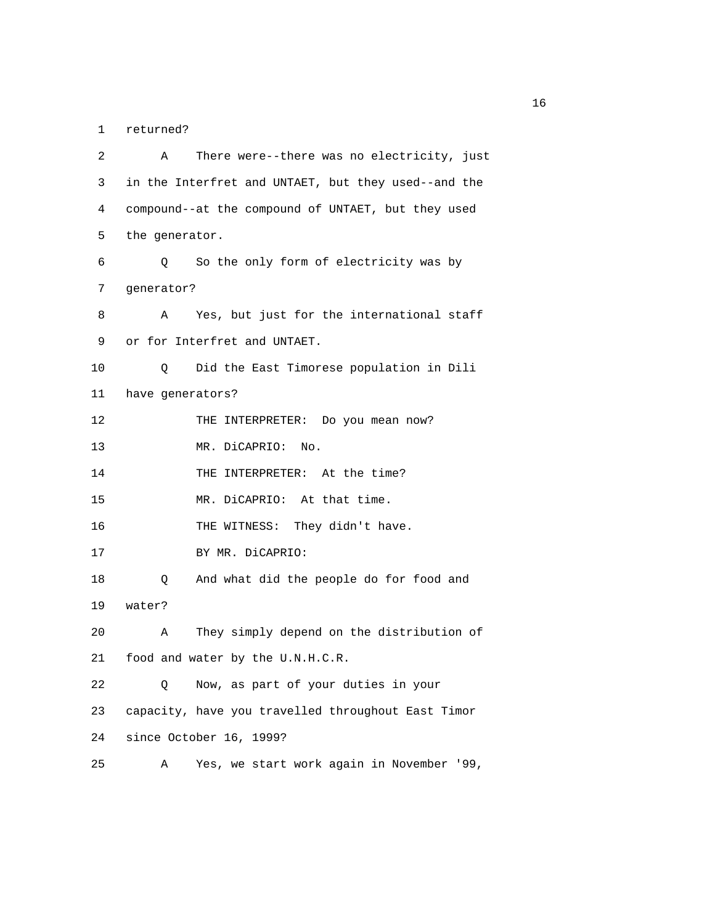1 returned?

| 2  | There were--there was no electricity, just<br>Α     |
|----|-----------------------------------------------------|
| 3  | in the Interfret and UNTAET, but they used--and the |
| 4  | compound--at the compound of UNTAET, but they used  |
| 5  | the generator.                                      |
| 6  | So the only form of electricity was by<br>Q         |
| 7  | generator?                                          |
| 8  | Yes, but just for the international staff<br>Α      |
| 9  | or for Interfret and UNTAET.                        |
| 10 | Did the East Timorese population in Dili<br>Q       |
| 11 | have generators?                                    |
| 12 | THE INTERPRETER: Do you mean now?                   |
| 13 | MR. DiCAPRIO:<br>No.                                |
| 14 | THE INTERPRETER: At the time?                       |
| 15 | MR. DiCAPRIO: At that time.                         |
| 16 | THE WITNESS: They didn't have.                      |
| 17 | BY MR. DiCAPRIO:                                    |
| 18 | And what did the people do for food and<br>Q        |
| 19 | water?                                              |
| 20 | They simply depend on the distribution of<br>Α      |
| 21 | food and water by the U.N.H.C.R.                    |
| 22 | Now, as part of your duties in your<br>Q            |
| 23 | capacity, have you travelled throughout East Timor  |
| 24 | since October 16, 1999?                             |
| 25 | Yes, we start work again in November '99,<br>Α      |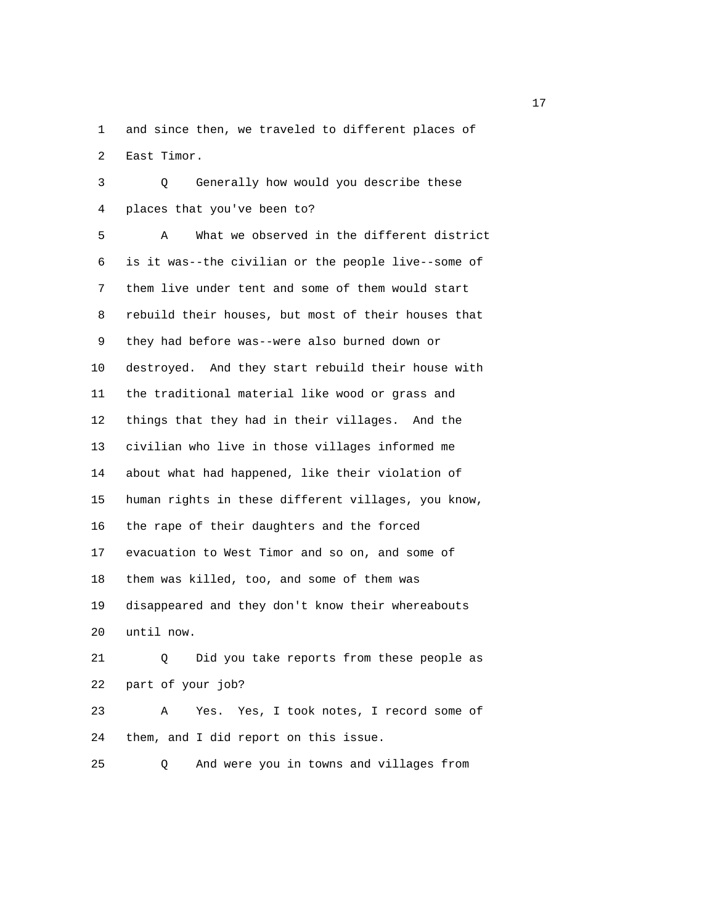1 and since then, we traveled to different places of 2 East Timor.

 3 Q Generally how would you describe these 4 places that you've been to?

 5 A What we observed in the different district 6 is it was--the civilian or the people live--some of 7 them live under tent and some of them would start 8 rebuild their houses, but most of their houses that 9 they had before was--were also burned down or 10 destroyed. And they start rebuild their house with 11 the traditional material like wood or grass and 12 things that they had in their villages. And the 13 civilian who live in those villages informed me 14 about what had happened, like their violation of 15 human rights in these different villages, you know, 16 the rape of their daughters and the forced 17 evacuation to West Timor and so on, and some of 18 them was killed, too, and some of them was 19 disappeared and they don't know their whereabouts 20 until now.

 21 Q Did you take reports from these people as 22 part of your job? 23 A Yes. Yes, I took notes, I record some of

24 them, and I did report on this issue.

25 Q And were you in towns and villages from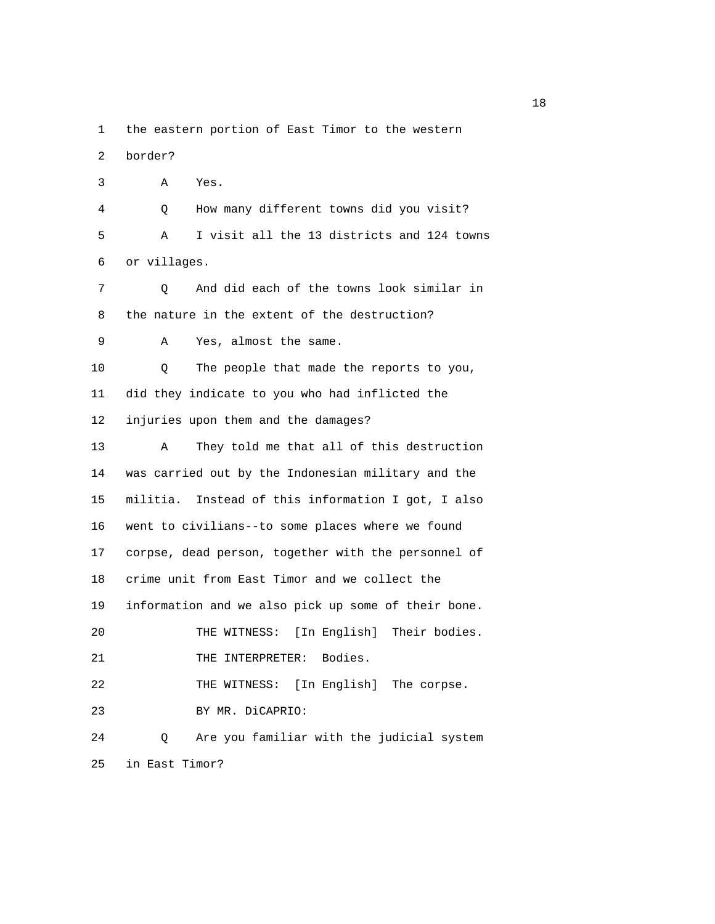1 the eastern portion of East Timor to the western

2 border?

 3 A Yes. 4 Q How many different towns did you visit? 5 A I visit all the 13 districts and 124 towns 6 or villages. 7 Q And did each of the towns look similar in 8 the nature in the extent of the destruction? 9 A Yes, almost the same. 10 Q The people that made the reports to you, 11 did they indicate to you who had inflicted the 12 injuries upon them and the damages? 13 A They told me that all of this destruction 14 was carried out by the Indonesian military and the 15 militia. Instead of this information I got, I also 16 went to civilians--to some places where we found 17 corpse, dead person, together with the personnel of 18 crime unit from East Timor and we collect the 19 information and we also pick up some of their bone. 20 THE WITNESS: [In English] Their bodies. 21 THE INTERPRETER: Bodies. 22 THE WITNESS: [In English] The corpse. 23 BY MR. DiCAPRIO: 24 Q Are you familiar with the judicial system 25 in East Timor?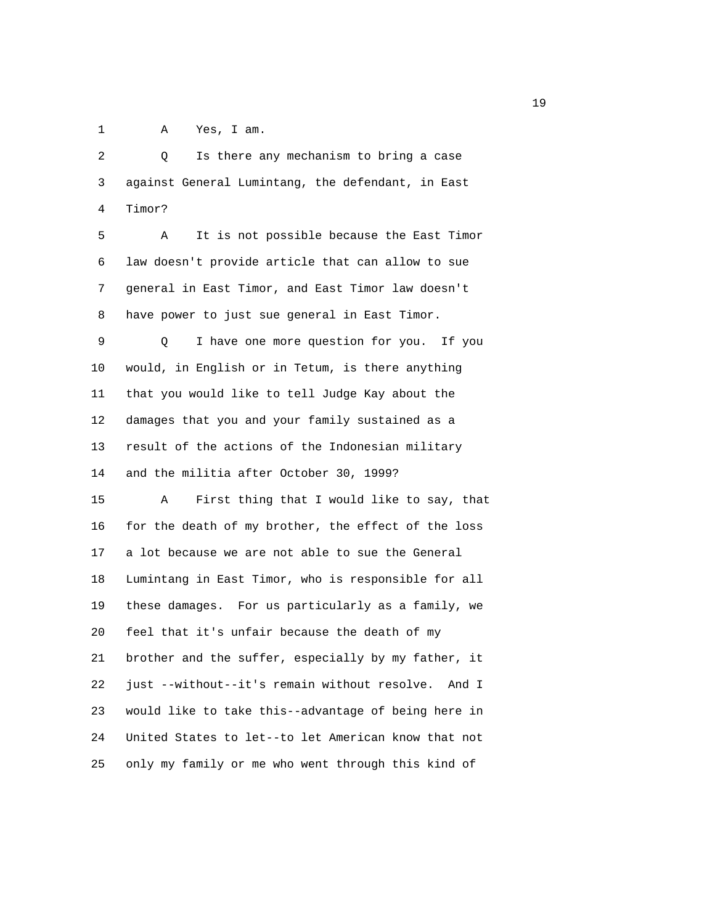1 A Yes, I am.

| 2  | Is there any mechanism to bring a case<br>Q         |
|----|-----------------------------------------------------|
| 3  | against General Lumintang, the defendant, in East   |
| 4  | Timor?                                              |
| 5  | It is not possible because the East Timor<br>Α      |
| 6  | law doesn't provide article that can allow to sue   |
| 7  | general in East Timor, and East Timor law doesn't   |
| 8  | have power to just sue general in East Timor.       |
| 9  | I have one more question for you. If you<br>Q       |
| 10 | would, in English or in Tetum, is there anything    |
| 11 | that you would like to tell Judge Kay about the     |
| 12 | damages that you and your family sustained as a     |
| 13 | result of the actions of the Indonesian military    |
| 14 | and the militia after October 30, 1999?             |
| 15 | First thing that I would like to say, that<br>Α     |
| 16 | for the death of my brother, the effect of the loss |
| 17 | a lot because we are not able to sue the General    |
| 18 | Lumintang in East Timor, who is responsible for all |
| 19 | these damages. For us particularly as a family, we  |
| 20 | feel that it's unfair because the death of my       |
| 21 | brother and the suffer, especially by my father, it |
| 22 | just --without--it's remain without resolve. And I  |
| 23 | would like to take this--advantage of being here in |
| 24 | United States to let--to let American know that not |
| 25 | only my family or me who went through this kind of  |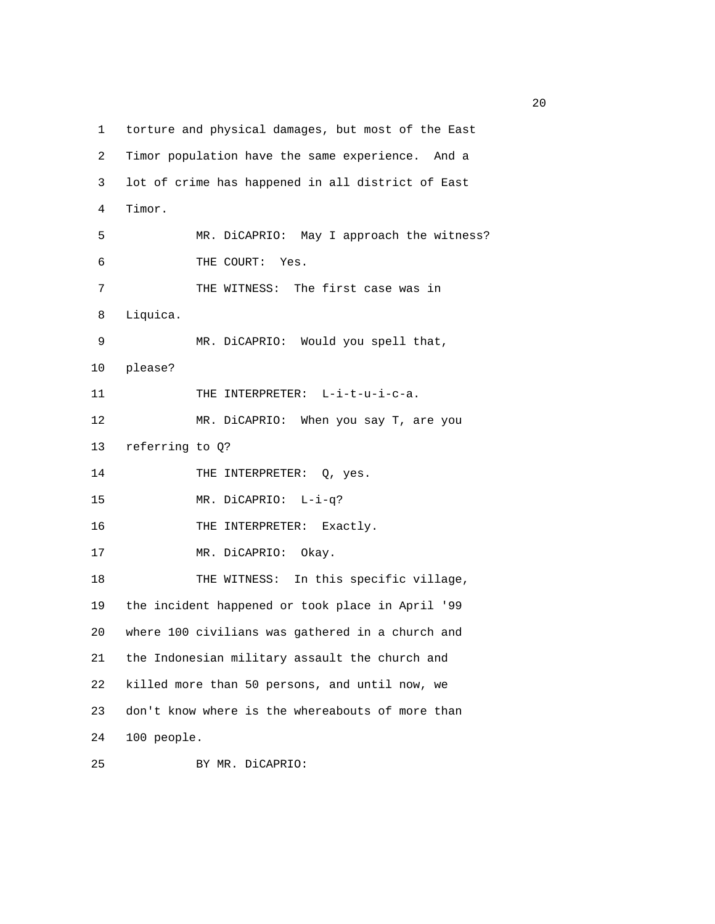1 torture and physical damages, but most of the East 2 Timor population have the same experience. And a 3 lot of crime has happened in all district of East 4 Timor. 5 MR. DiCAPRIO: May I approach the witness? 6 THE COURT: Yes. 7 THE WITNESS: The first case was in 8 Liquica. 9 MR. DiCAPRIO: Would you spell that, 10 please? 11 THE INTERPRETER: L-i-t-u-i-c-a. 12 MR. DiCAPRIO: When you say T, are you 13 referring to Q? 14 THE INTERPRETER: Q, yes. 15 MR. DiCAPRIO: L-i-q? 16 THE INTERPRETER: Exactly. 17 MR. DiCAPRIO: Okay. 18 THE WITNESS: In this specific village, 19 the incident happened or took place in April '99 20 where 100 civilians was gathered in a church and 21 the Indonesian military assault the church and 22 killed more than 50 persons, and until now, we 23 don't know where is the whereabouts of more than 24 100 people.

25 BY MR. DiCAPRIO: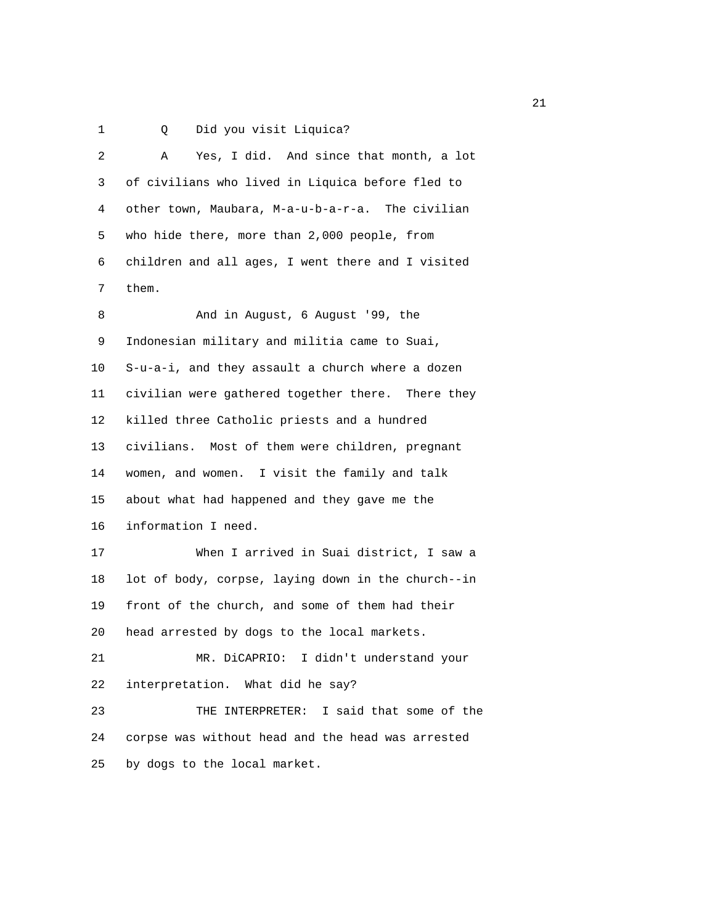1 Q Did you visit Liquica?

| 2  | Yes, I did. And since that month, a lot<br>Α       |
|----|----------------------------------------------------|
| 3  | of civilians who lived in Liquica before fled to   |
| 4  | other town, Maubara, M-a-u-b-a-r-a. The civilian   |
| 5  | who hide there, more than 2,000 people, from       |
| 6  | children and all ages, I went there and I visited  |
| 7  | them.                                              |
| 8  | And in August, 6 August '99, the                   |
| 9  | Indonesian military and militia came to Suai,      |
| 10 | S-u-a-i, and they assault a church where a dozen   |
| 11 | civilian were gathered together there. There they  |
| 12 | killed three Catholic priests and a hundred        |
| 13 | civilians. Most of them were children, pregnant    |
| 14 | women, and women. I visit the family and talk      |
| 15 | about what had happened and they gave me the       |
| 16 | information I need.                                |
| 17 | When I arrived in Suai district, I saw a           |
| 18 | lot of body, corpse, laying down in the church--in |
| 19 | front of the church, and some of them had their    |
| 20 | head arrested by dogs to the local markets.        |
| 21 | MR. DiCAPRIO: I didn't understand your             |
| 22 | interpretation. What did he say?                   |
| 23 | THE INTERPRETER: I said that some of the           |
| 24 | corpse was without head and the head was arrested  |
| 25 | by dogs to the local market.                       |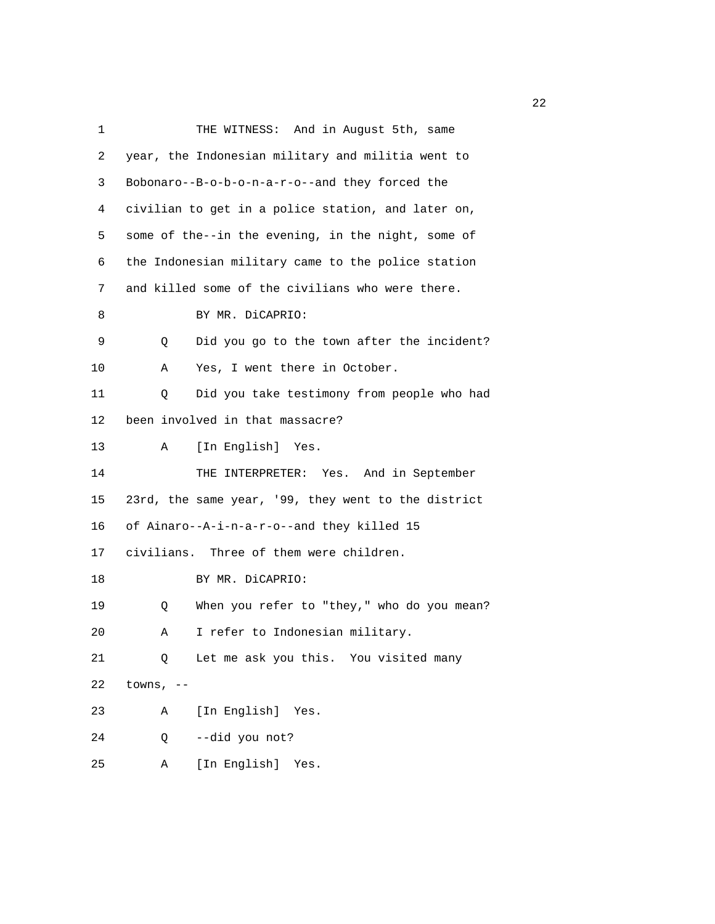| $\mathbf{1}$ | THE WITNESS: And in August 5th, same                |
|--------------|-----------------------------------------------------|
| 2            | year, the Indonesian military and militia went to   |
| 3            | Bobonaro--B-o-b-o-n-a-r-o--and they forced the      |
| 4            | civilian to get in a police station, and later on,  |
| 5            | some of the--in the evening, in the night, some of  |
| 6            | the Indonesian military came to the police station  |
| 7            | and killed some of the civilians who were there.    |
| 8            | BY MR. DiCAPRIO:                                    |
| 9            | Did you go to the town after the incident?<br>Q     |
| 10           | Yes, I went there in October.<br>Α                  |
| 11           | Did you take testimony from people who had<br>Q     |
| 12           | been involved in that massacre?                     |
| 13           | Α<br>[In English] Yes.                              |
| 14           | THE INTERPRETER: Yes. And in September              |
| 15           | 23rd, the same year, '99, they went to the district |
| 16           | of Ainaro--A-i-n-a-r-o--and they killed 15          |
| 17           | civilians. Three of them were children.             |
| 18           | BY MR. DiCAPRIO:                                    |
| 19           | When you refer to "they," who do you mean?<br>Q     |
| 20           | I refer to Indonesian military.<br>Α                |
| 21           | Let me ask you this. You visited many<br>Q          |
| 22           | towns, $--$                                         |
| 23           | [In English] Yes.<br>Α                              |
| 24           | --did you not?<br>Q                                 |
| 25           | [In English]<br>Α<br>Yes.                           |

22 and 23 and 23 and 23 and 23 and 23 and 23 and 23 and 23 and 23 and 23 and 23 and 23 and 23 and 23 and 23 and 23 and 23 and 23 and 23 and 23 and 23 and 23 and 23 and 23 and 23 and 23 and 23 and 23 and 23 and 24 and 25 an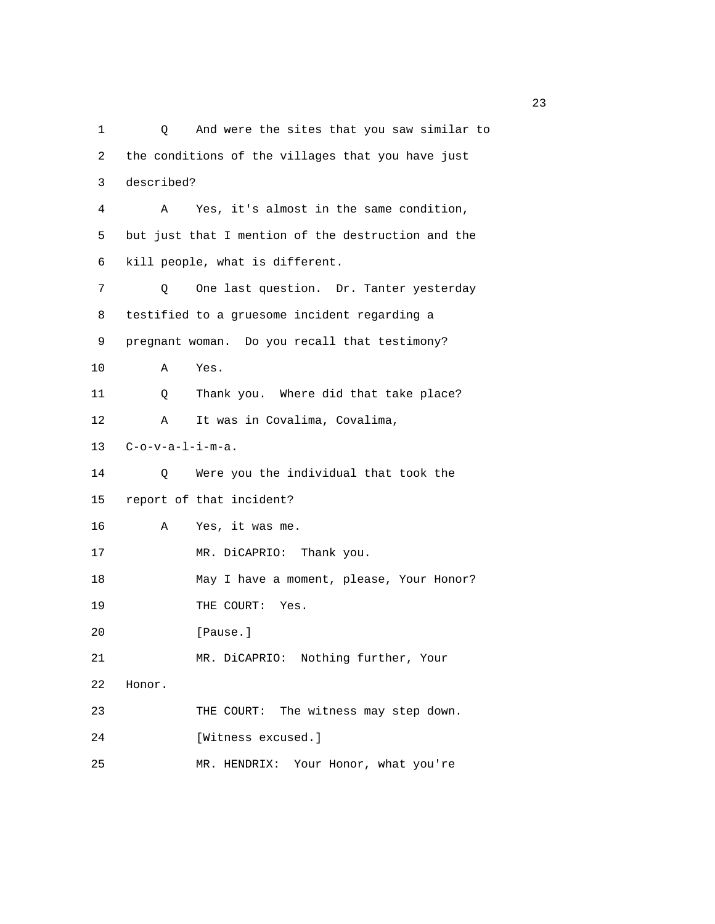1 Q And were the sites that you saw similar to 2 the conditions of the villages that you have just 3 described? 4 A Yes, it's almost in the same condition, 5 but just that I mention of the destruction and the 6 kill people, what is different. 7 Q One last question. Dr. Tanter yesterday 8 testified to a gruesome incident regarding a 9 pregnant woman. Do you recall that testimony? 10 A Yes. 11 Q Thank you. Where did that take place? 12 A It was in Covalima, Covalima, 13 C-o-v-a-l-i-m-a. 14 Q Were you the individual that took the 15 report of that incident? 16 A Yes, it was me. 17 MR. DiCAPRIO: Thank you. 18 May I have a moment, please, Your Honor? 19 THE COURT: Yes. 20 [Pause.] 21 MR. DiCAPRIO: Nothing further, Your 22 Honor. 23 THE COURT: The witness may step down. 24 [Witness excused.] 25 MR. HENDRIX: Your Honor, what you're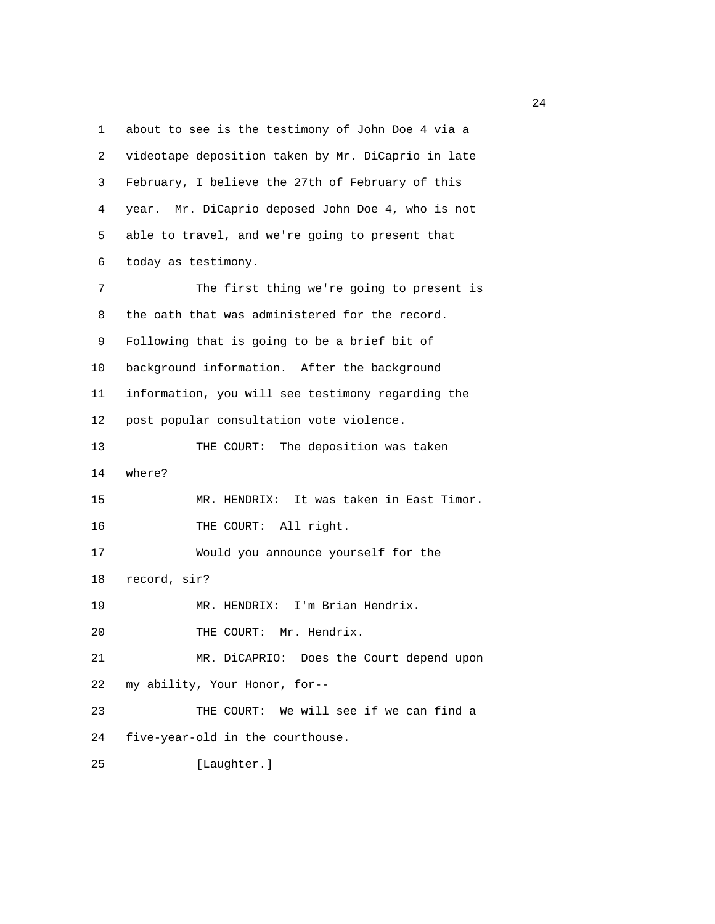1 about to see is the testimony of John Doe 4 via a 2 videotape deposition taken by Mr. DiCaprio in late 3 February, I believe the 27th of February of this 4 year. Mr. DiCaprio deposed John Doe 4, who is not 5 able to travel, and we're going to present that 6 today as testimony. 7 The first thing we're going to present is 8 the oath that was administered for the record. 9 Following that is going to be a brief bit of 10 background information. After the background 11 information, you will see testimony regarding the 12 post popular consultation vote violence. 13 THE COURT: The deposition was taken 14 where? 15 MR. HENDRIX: It was taken in East Timor. 16 THE COURT: All right. 17 Would you announce yourself for the 18 record, sir? 19 MR. HENDRIX: I'm Brian Hendrix. 20 THE COURT: Mr. Hendrix. 21 MR. DiCAPRIO: Does the Court depend upon 22 my ability, Your Honor, for-- 23 THE COURT: We will see if we can find a 24 five-year-old in the courthouse. 25 [Laughter.]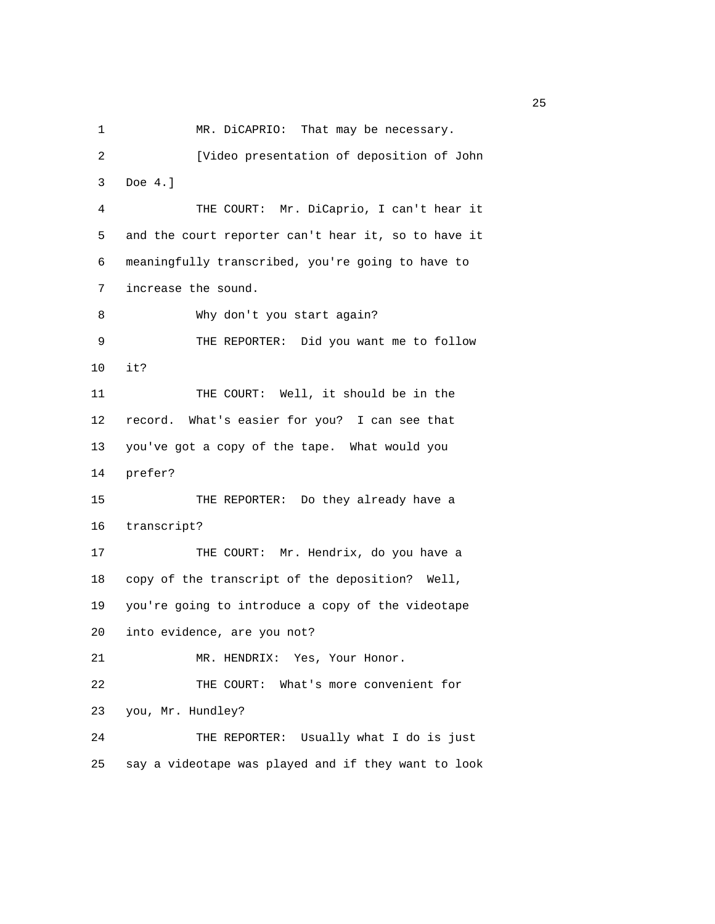1 MR. DiCAPRIO: That may be necessary.

2 [Video presentation of deposition of John

 3 Doe 4.] 4 THE COURT: Mr. DiCaprio, I can't hear it 5 and the court reporter can't hear it, so to have it 6 meaningfully transcribed, you're going to have to 7 increase the sound. 8 Why don't you start again? 9 THE REPORTER: Did you want me to follow 10 it? 11 THE COURT: Well, it should be in the 12 record. What's easier for you? I can see that 13 you've got a copy of the tape. What would you 14 prefer? 15 THE REPORTER: Do they already have a 16 transcript? 17 THE COURT: Mr. Hendrix, do you have a 18 copy of the transcript of the deposition? Well, 19 you're going to introduce a copy of the videotape 20 into evidence, are you not? 21 MR. HENDRIX: Yes, Your Honor. 22 THE COURT: What's more convenient for 23 you, Mr. Hundley? 24 THE REPORTER: Usually what I do is just 25 say a videotape was played and if they want to look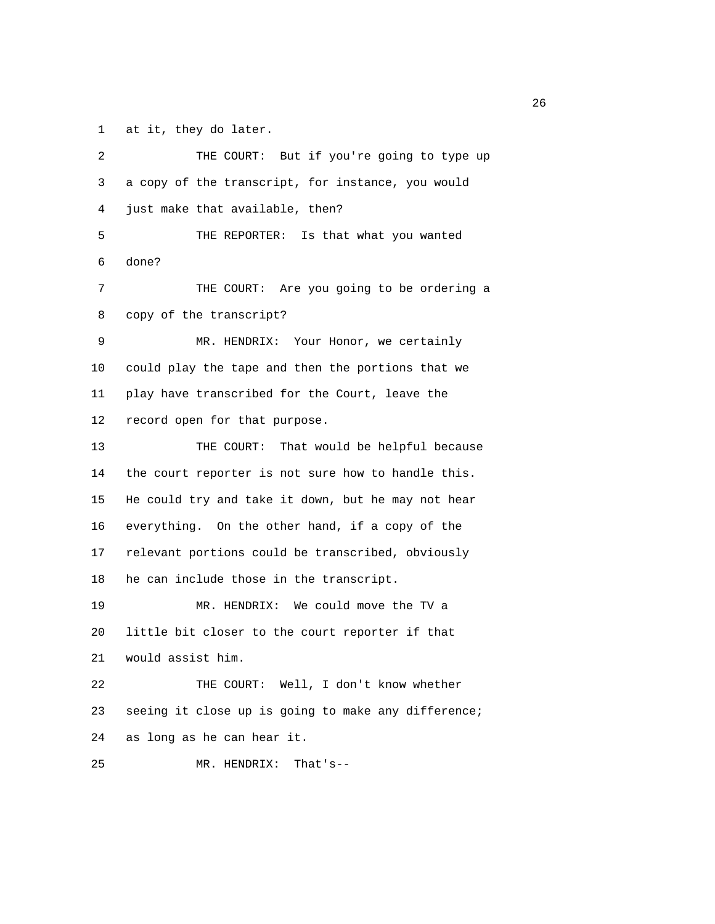1 at it, they do later.

| 2  | THE COURT: But if you're going to type up           |
|----|-----------------------------------------------------|
| 3  | a copy of the transcript, for instance, you would   |
| 4  | just make that available, then?                     |
| 5  | THE REPORTER: Is that what you wanted               |
| 6  | done?                                               |
| 7  | THE COURT: Are you going to be ordering a           |
| 8  | copy of the transcript?                             |
| 9  | MR. HENDRIX: Your Honor, we certainly               |
| 10 | could play the tape and then the portions that we   |
| 11 | play have transcribed for the Court, leave the      |
| 12 | record open for that purpose.                       |
| 13 | THE COURT: That would be helpful because            |
| 14 | the court reporter is not sure how to handle this.  |
| 15 | He could try and take it down, but he may not hear  |
| 16 | everything. On the other hand, if a copy of the     |
| 17 | relevant portions could be transcribed, obviously   |
| 18 | he can include those in the transcript.             |
| 19 | MR. HENDRIX: We could move the TV a                 |
| 20 | little bit closer to the court reporter if that     |
| 21 | would assist him.                                   |
| 22 | THE COURT: Well, I don't know whether               |
| 23 | seeing it close up is going to make any difference; |
| 24 | as long as he can hear it.                          |
| 25 | MR. HENDRIX:<br>That's--                            |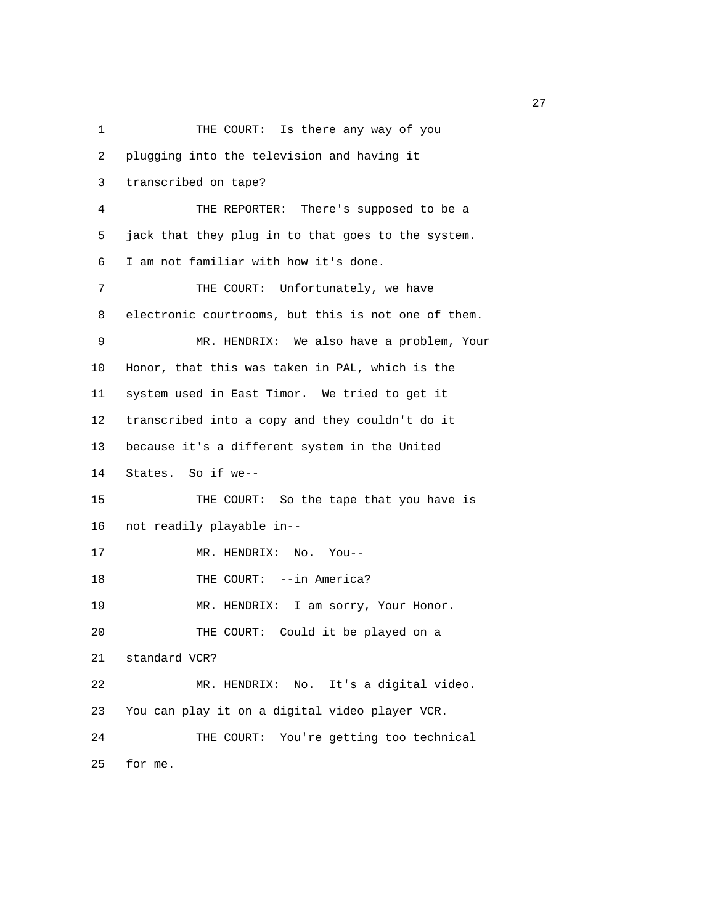1 THE COURT: Is there any way of you 2 plugging into the television and having it 3 transcribed on tape? 4 THE REPORTER: There's supposed to be a 5 jack that they plug in to that goes to the system. 6 I am not familiar with how it's done. 7 THE COURT: Unfortunately, we have 8 electronic courtrooms, but this is not one of them. 9 MR. HENDRIX: We also have a problem, Your 10 Honor, that this was taken in PAL, which is the 11 system used in East Timor. We tried to get it 12 transcribed into a copy and they couldn't do it 13 because it's a different system in the United 14 States. So if we-- 15 THE COURT: So the tape that you have is 16 not readily playable in-- 17 MR. HENDRIX: No. You-- 18 THE COURT: --in America? 19 MR. HENDRIX: I am sorry, Your Honor. 20 THE COURT: Could it be played on a 21 standard VCR? 22 MR. HENDRIX: No. It's a digital video. 23 You can play it on a digital video player VCR. 24 THE COURT: You're getting too technical 25 for me.

27 and 27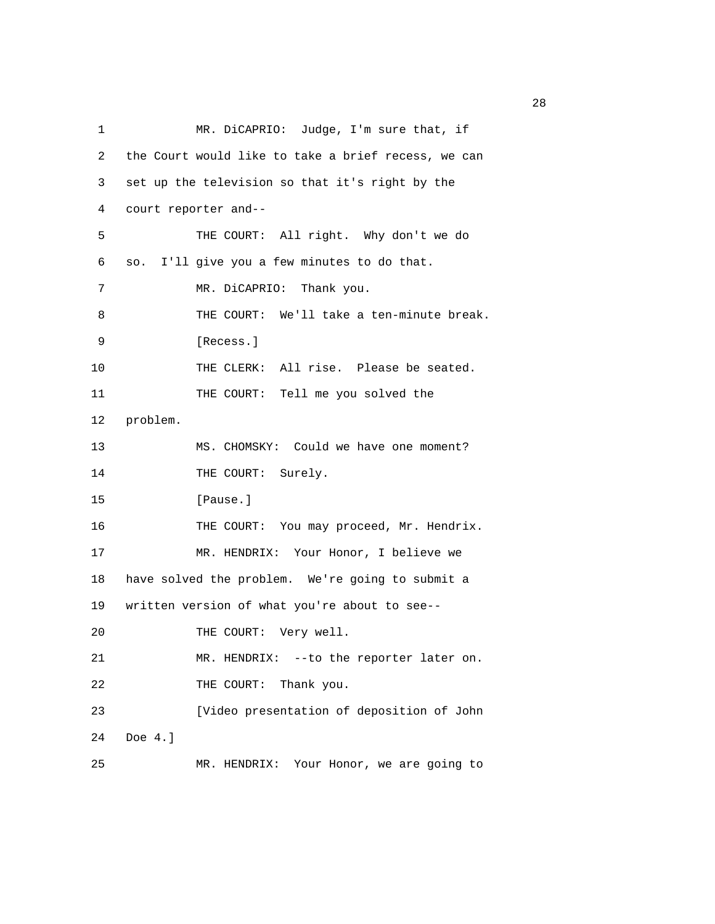| 1  | MR. DiCAPRIO: Judge, I'm sure that, if              |  |  |
|----|-----------------------------------------------------|--|--|
| 2  | the Court would like to take a brief recess, we can |  |  |
| 3  | set up the television so that it's right by the     |  |  |
| 4  | court reporter and--                                |  |  |
| 5  | THE COURT: All right. Why don't we do               |  |  |
| 6  | so. I'll give you a few minutes to do that.         |  |  |
| 7  | MR. DiCAPRIO: Thank you.                            |  |  |
| 8  | THE COURT: We'll take a ten-minute break.           |  |  |
| 9  | [Recess.]                                           |  |  |
| 10 | THE CLERK: All rise. Please be seated.              |  |  |
| 11 | THE COURT: Tell me you solved the                   |  |  |
| 12 | problem.                                            |  |  |
| 13 | MS. CHOMSKY: Could we have one moment?              |  |  |
| 14 | THE COURT: Surely.                                  |  |  |
| 15 | [Pause.]                                            |  |  |
| 16 | THE COURT: You may proceed, Mr. Hendrix.            |  |  |
| 17 | MR. HENDRIX: Your Honor, I believe we               |  |  |
| 18 | have solved the problem. We're going to submit a    |  |  |
| 19 | written version of what you're about to see--       |  |  |
| 20 | THE COURT: Very well.                               |  |  |
| 21 | MR. HENDRIX: -- to the reporter later on.           |  |  |
| 22 | Thank you.<br>THE COURT:                            |  |  |
| 23 | [Video presentation of deposition of John           |  |  |
| 24 | Doe $4.$ ]                                          |  |  |
| 25 | Your Honor, we are going to<br>MR. HENDRIX:         |  |  |

<u>28</u>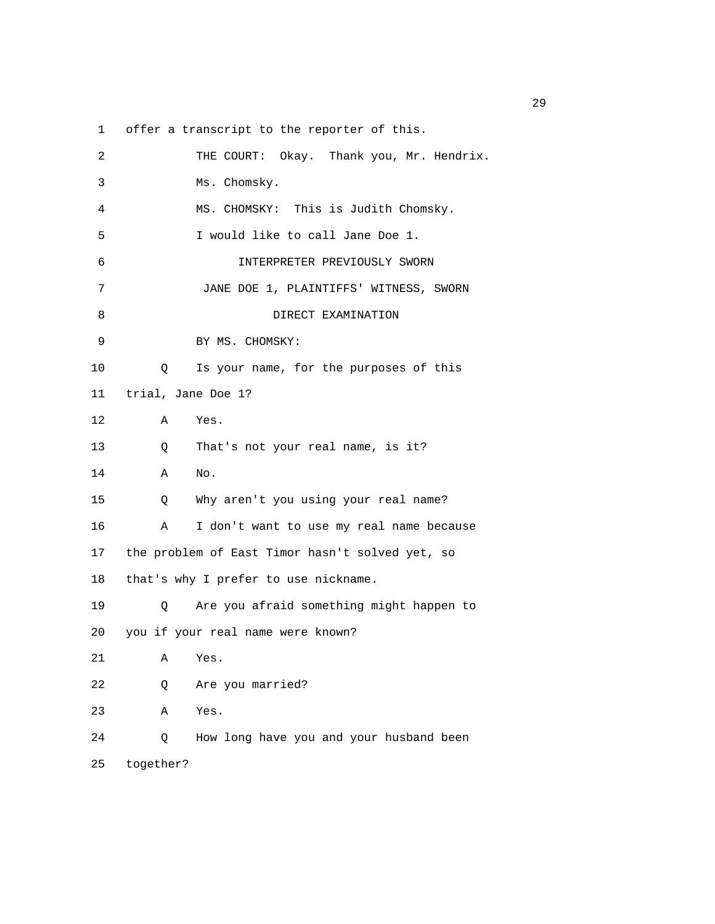1 offer a transcript to the reporter of this.

| 2    | THE COURT: Okay. Thank you, Mr. Hendrix.        |
|------|-------------------------------------------------|
| 3    | Ms. Chomsky.                                    |
| 4    | MS. CHOMSKY: This is Judith Chomsky.            |
| 5    | I would like to call Jane Doe 1.                |
| 6    | INTERPRETER PREVIOUSLY SWORN                    |
| 7    | JANE DOE 1, PLAINTIFFS' WITNESS, SWORN          |
| 8    | DIRECT EXAMINATION                              |
| 9    | BY MS. CHOMSKY:                                 |
| 10   | Is your name, for the purposes of this<br>Q     |
| 11 — | trial, Jane Doe 1?                              |
| 12   | Yes.<br>Α                                       |
| 13   | That's not your real name, is it?<br>Q          |
| 14   | Α<br>No.                                        |
| 15   | Why aren't you using your real name?<br>Q       |
| 16   | I don't want to use my real name because<br>Α   |
| 17   | the problem of East Timor hasn't solved yet, so |
| 18   | that's why I prefer to use nickname.            |
| 19   | Are you afraid something might happen to<br>Q   |
| 20   | you if your real name were known?               |
| 21   | Yes.<br>Α                                       |
| 22   | Are you married?<br>Q                           |
| 23   | Α<br>Yes.                                       |
| 24   | How long have you and your husband been<br>Q    |
| 25   | together?                                       |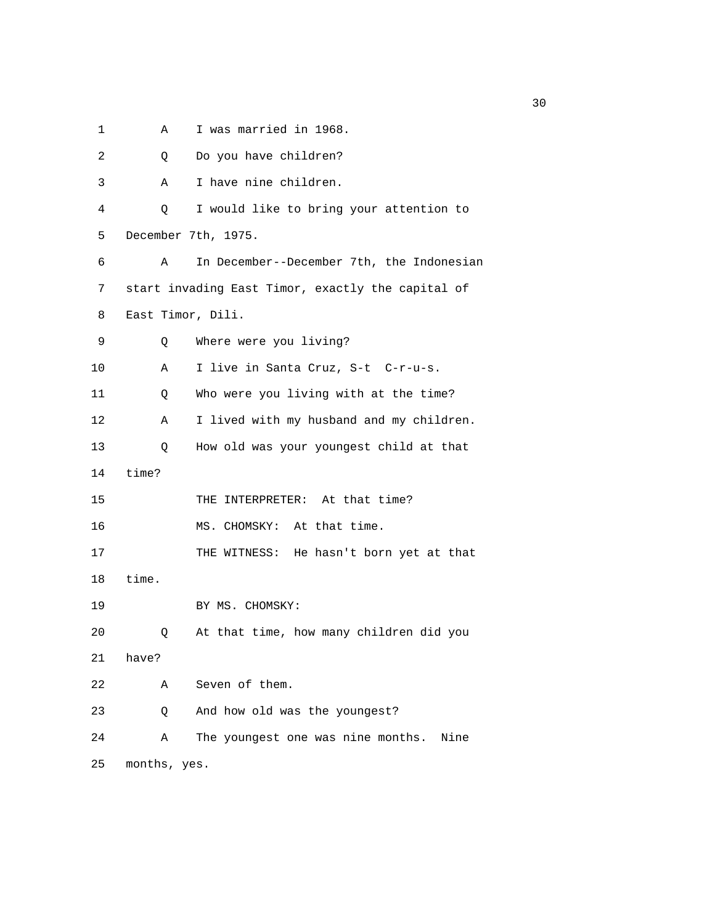1 A I was married in 1968.

| 2  | Q                 | Do you have children?                             |
|----|-------------------|---------------------------------------------------|
| 3  | Α                 | I have nine children.                             |
| 4  | Q                 | I would like to bring your attention to           |
| 5  |                   | December 7th, 1975.                               |
| 6  | Α                 | In December--December 7th, the Indonesian         |
| 7  |                   | start invading East Timor, exactly the capital of |
| 8  | East Timor, Dili. |                                                   |
| 9  | Q                 | Where were you living?                            |
| 10 | Α                 | I live in Santa Cruz, S-t C-r-u-s.                |
| 11 | Q                 | Who were you living with at the time?             |
| 12 | Α                 | I lived with my husband and my children.          |
| 13 | Q                 | How old was your youngest child at that           |
| 14 | time?             |                                                   |
| 15 |                   | THE INTERPRETER: At that time?                    |
| 16 |                   | MS. CHOMSKY: At that time.                        |
| 17 |                   | THE WITNESS: He hasn't born yet at that           |
| 18 | time.             |                                                   |
| 19 |                   | BY MS. CHOMSKY:                                   |
| 20 | Q                 | At that time, how many children did you           |
| 21 | have?             |                                                   |
| 22 | Α                 | Seven of them.                                    |
| 23 | Q                 | And how old was the youngest?                     |
| 24 | Α                 | The youngest one was nine months.<br>Nine         |
| 25 | months, yes.      |                                                   |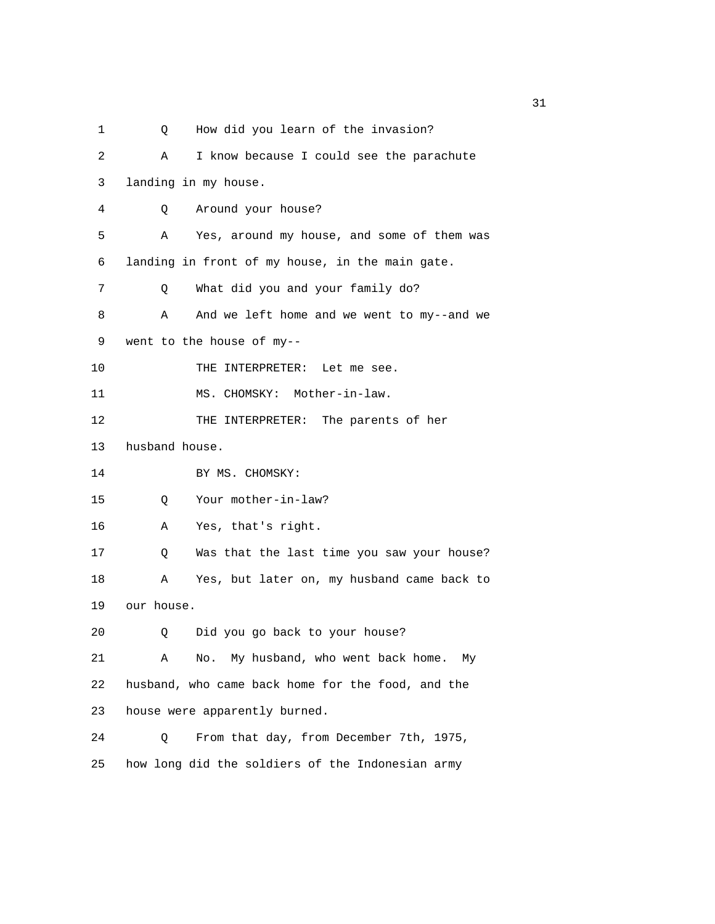1 Q How did you learn of the invasion? 2 A I know because I could see the parachute 3 landing in my house. 4 Q Around your house? 5 A Yes, around my house, and some of them was 6 landing in front of my house, in the main gate. 7 Q What did you and your family do? 8 A And we left home and we went to my--and we 9 went to the house of my-- 10 THE INTERPRETER: Let me see. 11 MS. CHOMSKY: Mother-in-law. 12 THE INTERPRETER: The parents of her 13 husband house. 14 BY MS. CHOMSKY: 15 Q Your mother-in-law? 16 A Yes, that's right. 17 Q Was that the last time you saw your house? 18 A Yes, but later on, my husband came back to 19 our house. 20 Q Did you go back to your house? 21 A No. My husband, who went back home. My 22 husband, who came back home for the food, and the 23 house were apparently burned. 24 Q From that day, from December 7th, 1975, 25 how long did the soldiers of the Indonesian army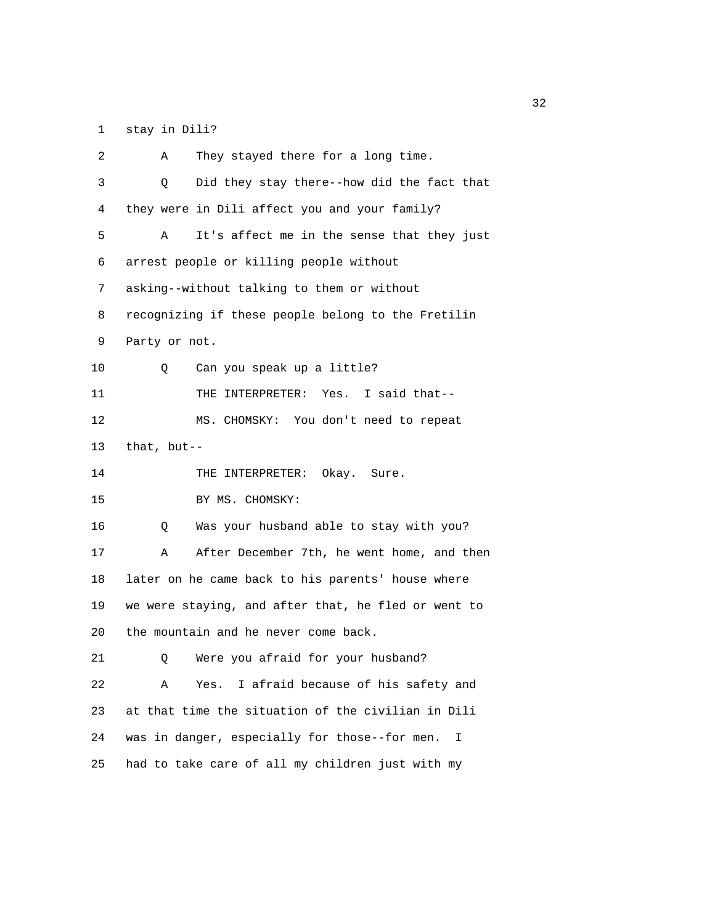1 stay in Dili?

| 2  | They stayed there for a long time.<br>Α             |  |  |
|----|-----------------------------------------------------|--|--|
| 3  | Did they stay there--how did the fact that<br>O     |  |  |
| 4  | they were in Dili affect you and your family?       |  |  |
| 5  | It's affect me in the sense that they just<br>Α     |  |  |
| 6  | arrest people or killing people without             |  |  |
| 7  | asking--without talking to them or without          |  |  |
| 8  | recognizing if these people belong to the Fretilin  |  |  |
| 9  | Party or not.                                       |  |  |
| 10 | Can you speak up a little?<br>Q.                    |  |  |
| 11 | THE INTERPRETER: Yes. I said that--                 |  |  |
| 12 | MS. CHOMSKY: You don't need to repeat               |  |  |
| 13 | that, $but--$                                       |  |  |
| 14 | THE INTERPRETER: Okay. Sure.                        |  |  |
| 15 | BY MS. CHOMSKY:                                     |  |  |
| 16 | Was your husband able to stay with you?<br>Q        |  |  |
| 17 | After December 7th, he went home, and then<br>Α     |  |  |
| 18 | later on he came back to his parents' house where   |  |  |
| 19 | we were staying, and after that, he fled or went to |  |  |
| 20 | the mountain and he never come back.                |  |  |
| 21 | Were you afraid for your husband?<br>Q.             |  |  |
| 22 | I afraid because of his safety and<br>Α<br>Yes.     |  |  |
| 23 | at that time the situation of the civilian in Dili  |  |  |
| 24 | was in danger, especially for those--for men.<br>I  |  |  |
| 25 | had to take care of all my children just with my    |  |  |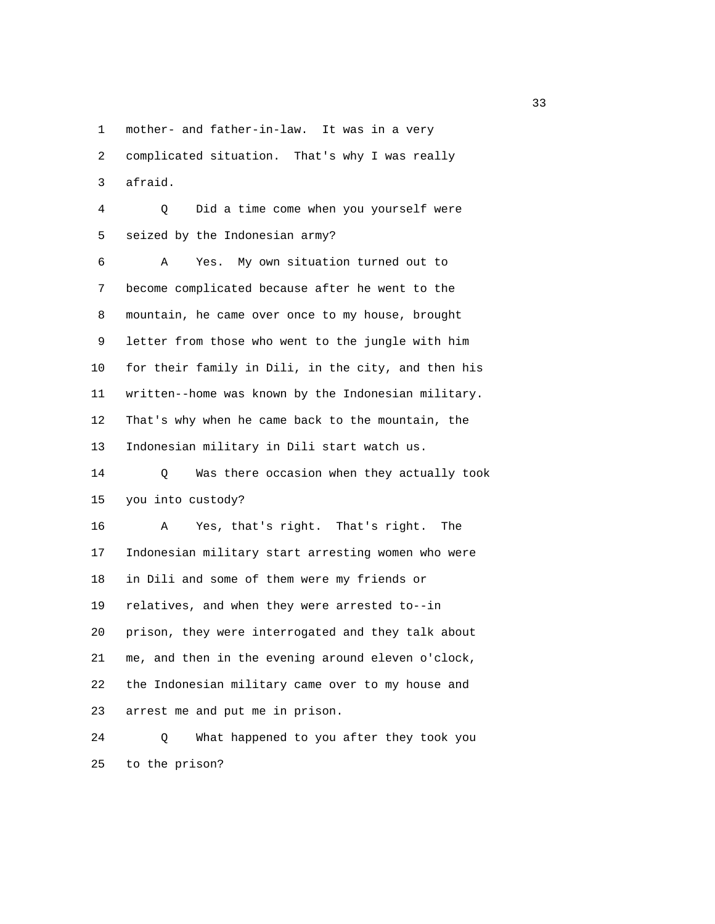1 mother- and father-in-law. It was in a very

 2 complicated situation. That's why I was really 3 afraid.

 4 Q Did a time come when you yourself were 5 seized by the Indonesian army?

 6 A Yes. My own situation turned out to 7 become complicated because after he went to the 8 mountain, he came over once to my house, brought 9 letter from those who went to the jungle with him 10 for their family in Dili, in the city, and then his 11 written--home was known by the Indonesian military. 12 That's why when he came back to the mountain, the 13 Indonesian military in Dili start watch us.

 14 Q Was there occasion when they actually took 15 you into custody?

 16 A Yes, that's right. That's right. The 17 Indonesian military start arresting women who were 18 in Dili and some of them were my friends or 19 relatives, and when they were arrested to--in 20 prison, they were interrogated and they talk about 21 me, and then in the evening around eleven o'clock, 22 the Indonesian military came over to my house and 23 arrest me and put me in prison.

 24 Q What happened to you after they took you 25 to the prison?

and the state of the state of the state of the state of the state of the state of the state of the state of the state of the state of the state of the state of the state of the state of the state of the state of the state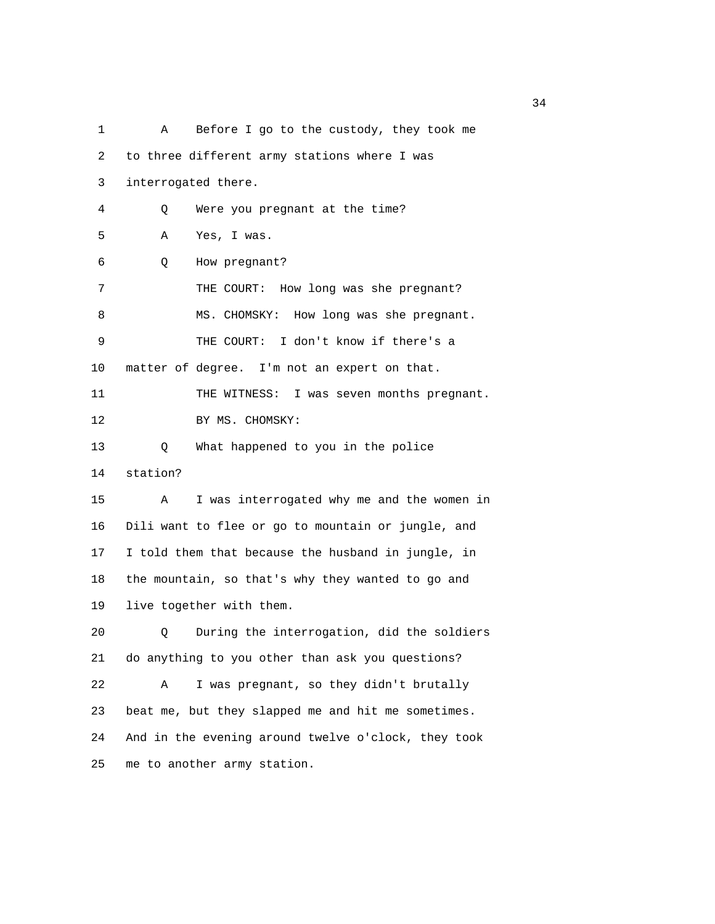1 A Before I go to the custody, they took me 2 to three different army stations where I was 3 interrogated there. 4 Q Were you pregnant at the time? 5 A Yes, I was. 6 Q How pregnant? 7 THE COURT: How long was she pregnant? 8 MS. CHOMSKY: How long was she pregnant. 9 THE COURT: I don't know if there's a 10 matter of degree. I'm not an expert on that. 11 THE WITNESS: I was seven months pregnant. 12 BY MS. CHOMSKY: 13 Q What happened to you in the police 14 station? 15 A I was interrogated why me and the women in 16 Dili want to flee or go to mountain or jungle, and 17 I told them that because the husband in jungle, in 18 the mountain, so that's why they wanted to go and 19 live together with them. 20 Q During the interrogation, did the soldiers 21 do anything to you other than ask you questions? 22 A I was pregnant, so they didn't brutally 23 beat me, but they slapped me and hit me sometimes. 24 And in the evening around twelve o'clock, they took 25 me to another army station.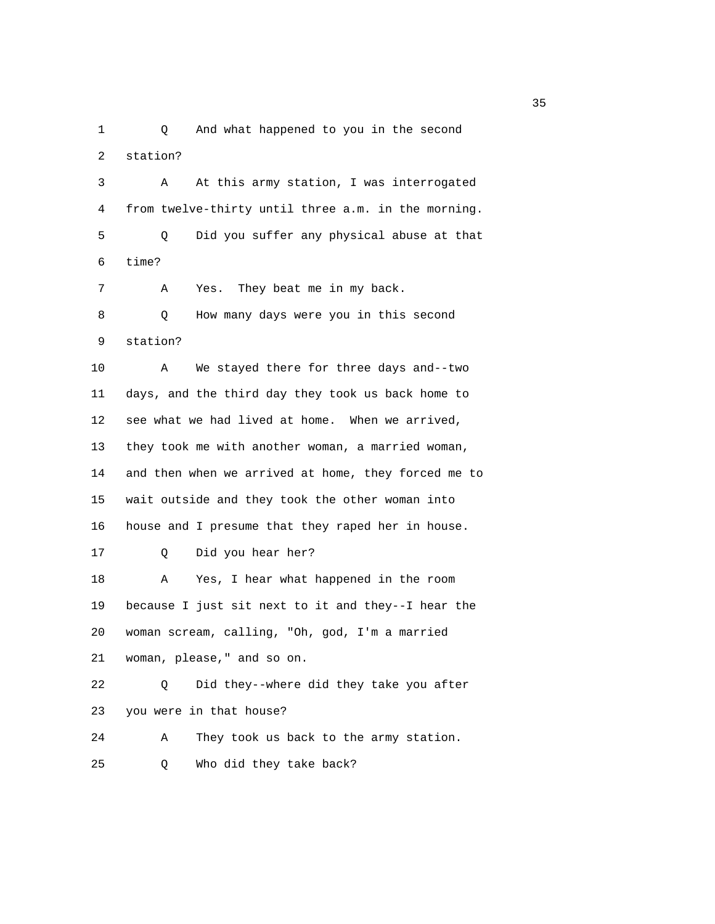1 Q And what happened to you in the second 2 station?

 3 A At this army station, I was interrogated 4 from twelve-thirty until three a.m. in the morning. 5 Q Did you suffer any physical abuse at that 6 time? 7 A Yes. They beat me in my back. 8 Q How many days were you in this second 9 station? 10 A We stayed there for three days and--two 11 days, and the third day they took us back home to 12 see what we had lived at home. When we arrived, 13 they took me with another woman, a married woman, 14 and then when we arrived at home, they forced me to 15 wait outside and they took the other woman into 16 house and I presume that they raped her in house. 17 Q Did you hear her? 18 A Yes, I hear what happened in the room 19 because I just sit next to it and they--I hear the 20 woman scream, calling, "Oh, god, I'm a married 21 woman, please," and so on. 22 Q Did they--where did they take you after 23 you were in that house? 24 A They took us back to the army station. 25 Q Who did they take back?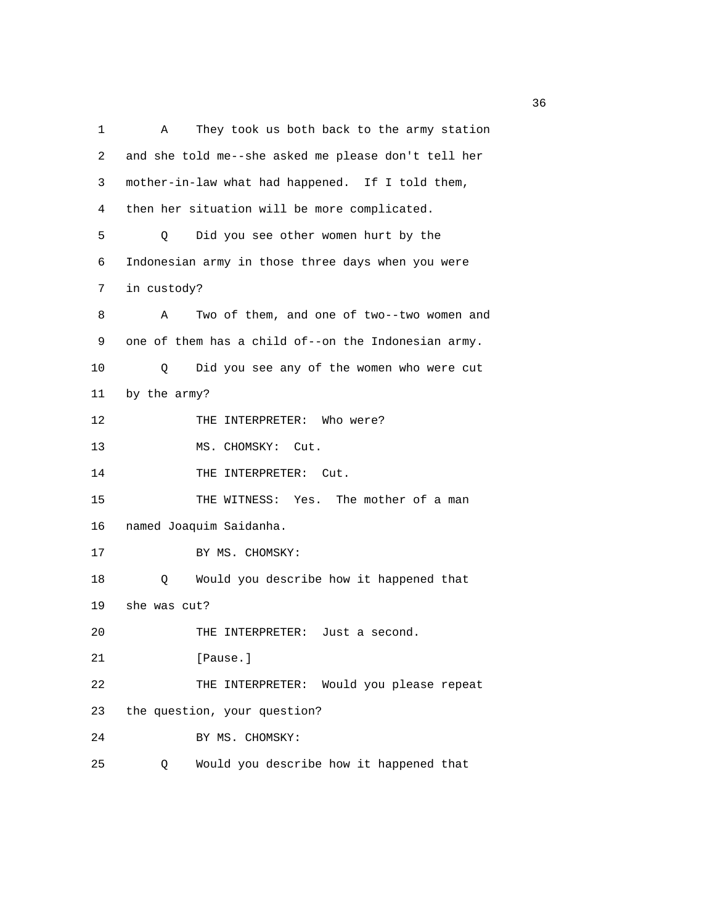1 A They took us both back to the army station 2 and she told me--she asked me please don't tell her 3 mother-in-law what had happened. If I told them, 4 then her situation will be more complicated. 5 Q Did you see other women hurt by the 6 Indonesian army in those three days when you were 7 in custody? 8 A Two of them, and one of two--two women and 9 one of them has a child of--on the Indonesian army. 10 Q Did you see any of the women who were cut 11 by the army? 12 THE INTERPRETER: Who were? 13 MS. CHOMSKY: Cut. 14 THE INTERPRETER: Cut. 15 THE WITNESS: Yes. The mother of a man 16 named Joaquim Saidanha. 17 BY MS. CHOMSKY: 18 Q Would you describe how it happened that 19 she was cut? 20 THE INTERPRETER: Just a second. 21 [Pause.] 22 THE INTERPRETER: Would you please repeat 23 the question, your question? 24 BY MS. CHOMSKY: 25 Q Would you describe how it happened that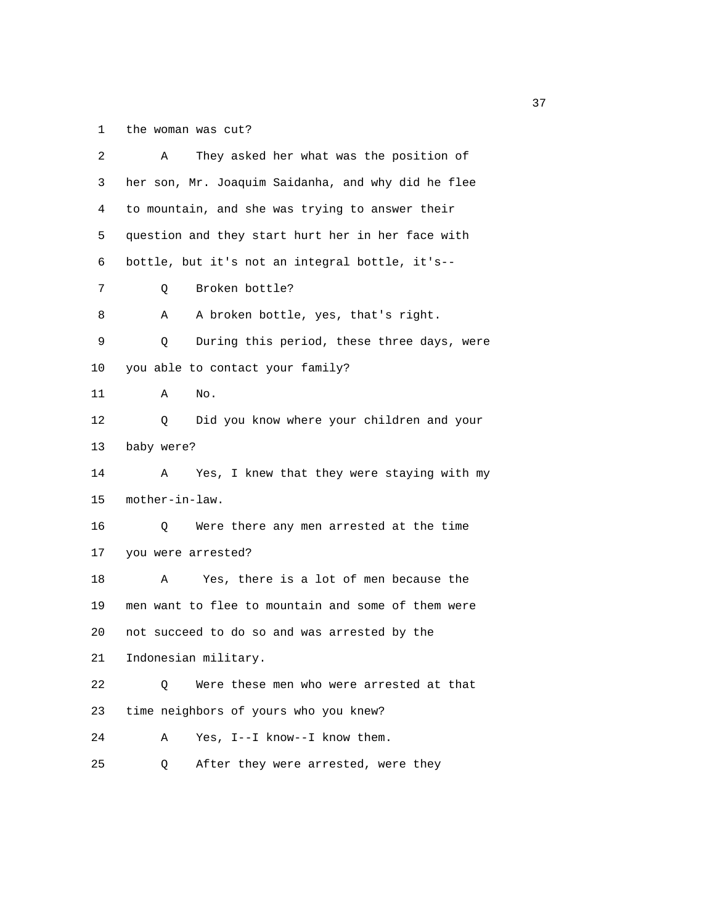## 1 the woman was cut?

| 2  | They asked her what was the position of<br>Α       |
|----|----------------------------------------------------|
| 3  | her son, Mr. Joaquim Saidanha, and why did he flee |
| 4  | to mountain, and she was trying to answer their    |
| 5  | question and they start hurt her in her face with  |
| 6  | bottle, but it's not an integral bottle, it's--    |
| 7  | Broken bottle?<br>Q                                |
| 8  | A broken bottle, yes, that's right.<br>Α           |
| 9  | During this period, these three days, were<br>Q    |
| 10 | you able to contact your family?                   |
| 11 | Α<br>No.                                           |
| 12 | Did you know where your children and your<br>Q     |
| 13 | baby were?                                         |
| 14 | Yes, I knew that they were staying with my<br>Α    |
| 15 | mother-in-law.                                     |
| 16 | Were there any men arrested at the time<br>Q       |
| 17 | you were arrested?                                 |
| 18 | Yes, there is a lot of men because the<br>Α        |
| 19 | men want to flee to mountain and some of them were |
| 20 | not succeed to do so and was arrested by the       |
| 21 | Indonesian military.                               |
| 22 | Were these men who were arrested at that<br>Q      |
| 23 | time neighbors of yours who you knew?              |
| 24 | Yes, I--I know--I know them.<br>Α                  |
| 25 | After they were arrested, were they<br>Q           |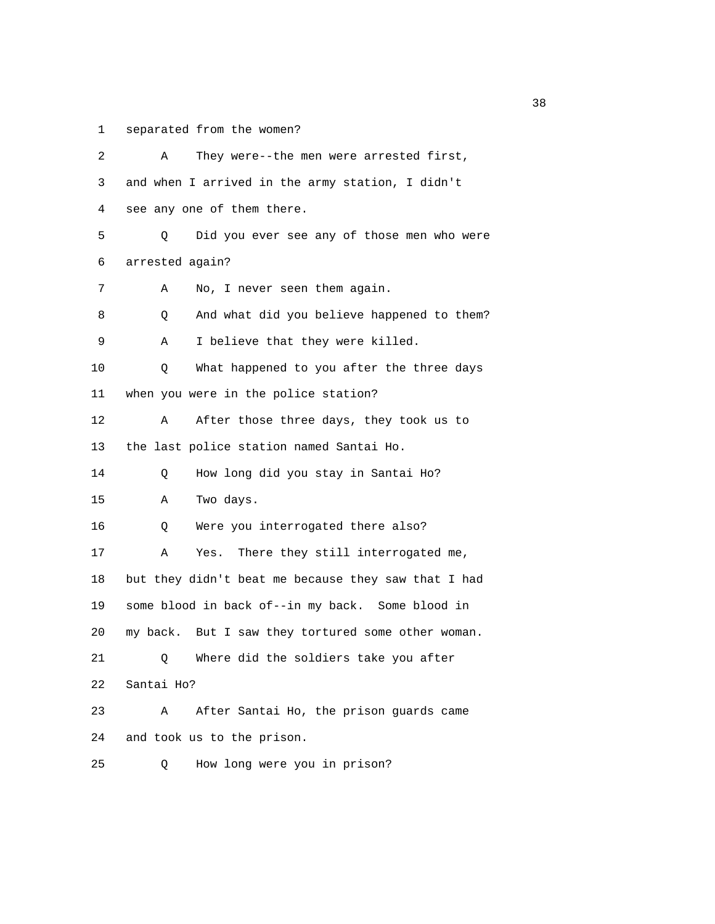1 separated from the women?

| 2  | They were--the men were arrested first,<br>Α        |
|----|-----------------------------------------------------|
| 3  | and when I arrived in the army station, I didn't    |
| 4  | see any one of them there.                          |
| 5  | Did you ever see any of those men who were<br>Q     |
| 6  | arrested again?                                     |
| 7  | No, I never seen them again.<br>Α                   |
| 8  | And what did you believe happened to them?<br>Q     |
| 9  | I believe that they were killed.<br>Α               |
| 10 | What happened to you after the three days<br>Q      |
| 11 | when you were in the police station?                |
| 12 | After those three days, they took us to<br>Α        |
| 13 | the last police station named Santai Ho.            |
| 14 | How long did you stay in Santai Ho?<br>Q            |
| 15 | Two days.<br>Α                                      |
| 16 | Were you interrogated there also?<br>Q              |
| 17 | There they still interrogated me,<br>Α<br>Yes.      |
| 18 | but they didn't beat me because they saw that I had |
| 19 | some blood in back of--in my back. Some blood in    |
| 20 | my back. But I saw they tortured some other woman.  |
| 21 | Where did the soldiers take you after<br>Q.         |
| 22 | Santai Ho?                                          |
| 23 | After Santai Ho, the prison guards came<br>Α        |
| 24 | and took us to the prison.                          |
| 25 | How long were you in prison?<br>Q                   |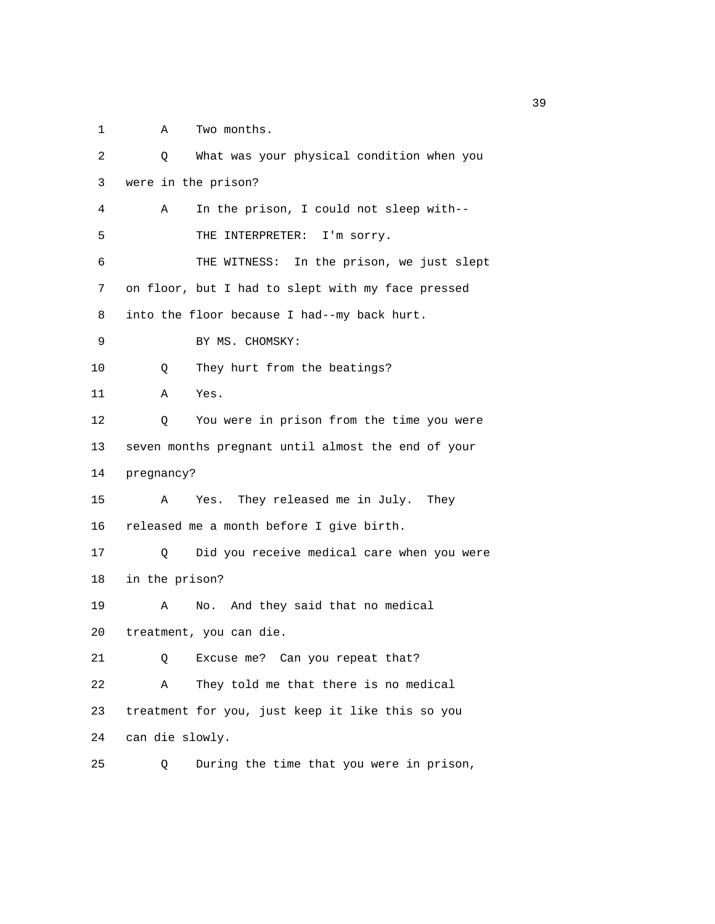1 A Two months.

| 2  | What was your physical condition when you<br>Q     |
|----|----------------------------------------------------|
| 3  | were in the prison?                                |
| 4  | In the prison, I could not sleep with--<br>Α       |
| 5  | THE INTERPRETER: I'm sorry.                        |
| 6  | In the prison, we just slept<br>THE WITNESS:       |
| 7  | on floor, but I had to slept with my face pressed  |
| 8  | into the floor because I had--my back hurt.        |
| 9  | BY MS. CHOMSKY:                                    |
| 10 | They hurt from the beatings?<br>Q                  |
| 11 | Yes.<br>Α                                          |
| 12 | You were in prison from the time you were<br>Q     |
| 13 | seven months pregnant until almost the end of your |
| 14 | pregnancy?                                         |
| 15 | They released me in July. They<br>Yes.<br>A        |
| 16 | released me a month before I give birth.           |
| 17 | Did you receive medical care when you were<br>O    |
| 18 | in the prison?                                     |
| 19 | No. And they said that no medical<br>Α             |
| 20 | treatment, you can die.                            |
| 21 | Can you repeat that?<br>Excuse me?<br>Q            |
| 22 | They told me that there is no medical<br>Α         |
| 23 | treatment for you, just keep it like this so you   |
| 24 | can die slowly.                                    |
| 25 | During the time that you were in prison,<br>Q      |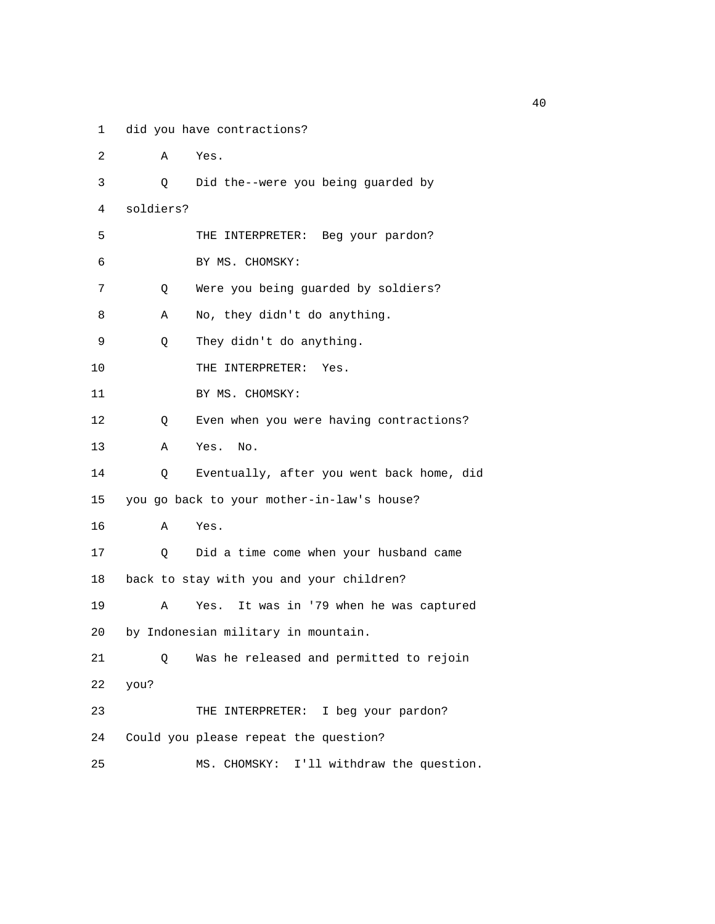1 did you have contractions?

| 2  | Α         | Yes.                                       |
|----|-----------|--------------------------------------------|
| 3  | Q         | Did the--were you being guarded by         |
| 4  | soldiers? |                                            |
| 5  |           | THE INTERPRETER: Beg your pardon?          |
| 6  |           | BY MS. CHOMSKY:                            |
| 7  | Q         | Were you being guarded by soldiers?        |
| 8  | Α         | No, they didn't do anything.               |
| 9  | Q         | They didn't do anything.                   |
| 10 |           | THE INTERPRETER:<br>Yes.                   |
| 11 |           | BY MS. CHOMSKY:                            |
| 12 | Q         | Even when you were having contractions?    |
| 13 | Α         | Yes.<br>No.                                |
| 14 | Q         | Eventually, after you went back home, did  |
| 15 |           | you go back to your mother-in-law's house? |
| 16 | Α         | Yes.                                       |
| 17 | Q         | Did a time come when your husband came     |
| 18 |           | back to stay with you and your children?   |
| 19 | Α         | It was in '79 when he was captured<br>Yes. |
| 20 |           | by Indonesian military in mountain.        |
| 21 | Q         | Was he released and permitted to rejoin    |
| 22 | you?      |                                            |
| 23 |           | THE INTERPRETER: I beg your pardon?        |
| 24 |           | Could you please repeat the question?      |
| 25 |           | MS. CHOMSKY: I'll withdraw the question.   |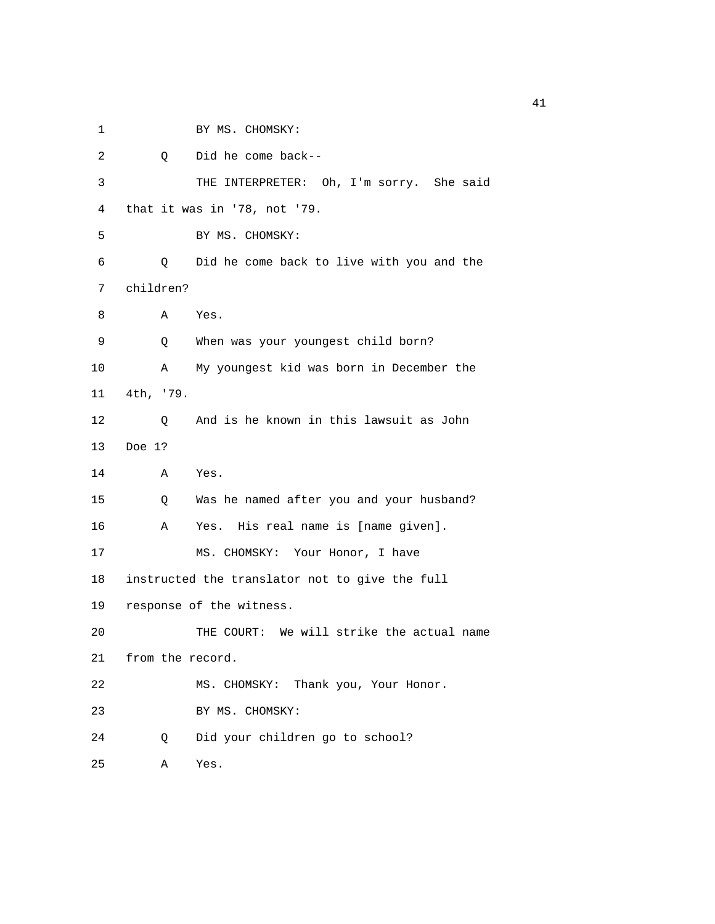1 BY MS. CHOMSKY: 2 Q Did he come back-- 3 THE INTERPRETER: Oh, I'm sorry. She said 4 that it was in '78, not '79. 5 BY MS. CHOMSKY: 6 Q Did he come back to live with you and the 7 children? 8 A Yes. 9 Q When was your youngest child born? 10 A My youngest kid was born in December the 11 4th, '79. 12 Q And is he known in this lawsuit as John 13 Doe 1? 14 A Yes. 15 Q Was he named after you and your husband? 16 A Yes. His real name is [name given]. 17 MS. CHOMSKY: Your Honor, I have 18 instructed the translator not to give the full 19 response of the witness. 20 THE COURT: We will strike the actual name 21 from the record. 22 MS. CHOMSKY: Thank you, Your Honor. 23 BY MS. CHOMSKY: 24 Q Did your children go to school? 25 A Yes.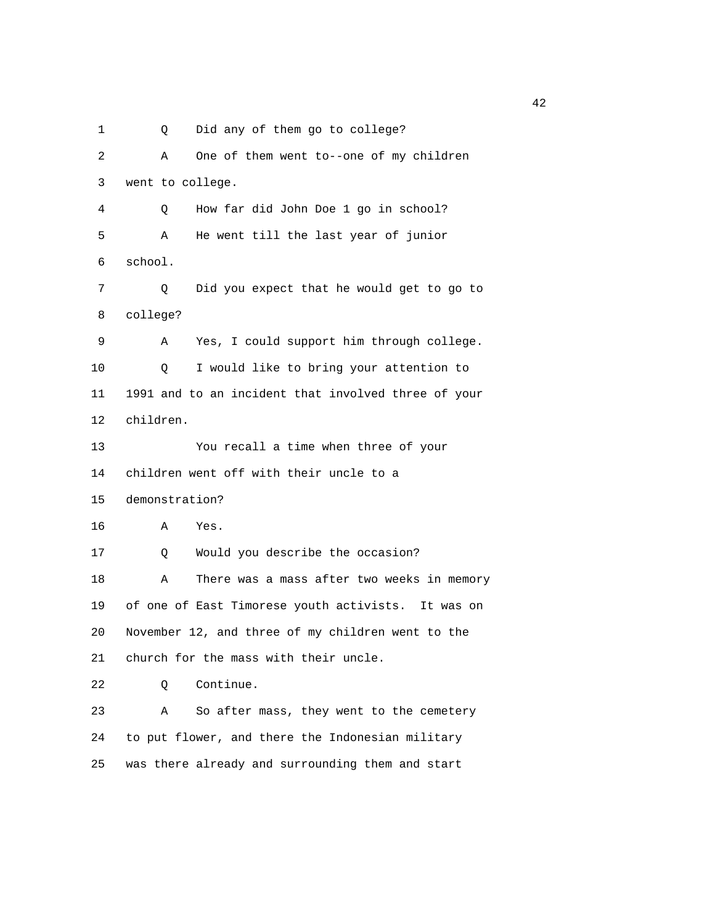1 Q Did any of them go to college?

 2 A One of them went to--one of my children 3 went to college. 4 Q How far did John Doe 1 go in school? 5 A He went till the last year of junior 6 school. 7 Q Did you expect that he would get to go to 8 college? 9 A Yes, I could support him through college. 10 Q I would like to bring your attention to 11 1991 and to an incident that involved three of your 12 children. 13 You recall a time when three of your 14 children went off with their uncle to a 15 demonstration? 16 A Yes. 17 Q Would you describe the occasion? 18 A There was a mass after two weeks in memory 19 of one of East Timorese youth activists. It was on 20 November 12, and three of my children went to the 21 church for the mass with their uncle. 22 Q Continue. 23 A So after mass, they went to the cemetery 24 to put flower, and there the Indonesian military 25 was there already and surrounding them and start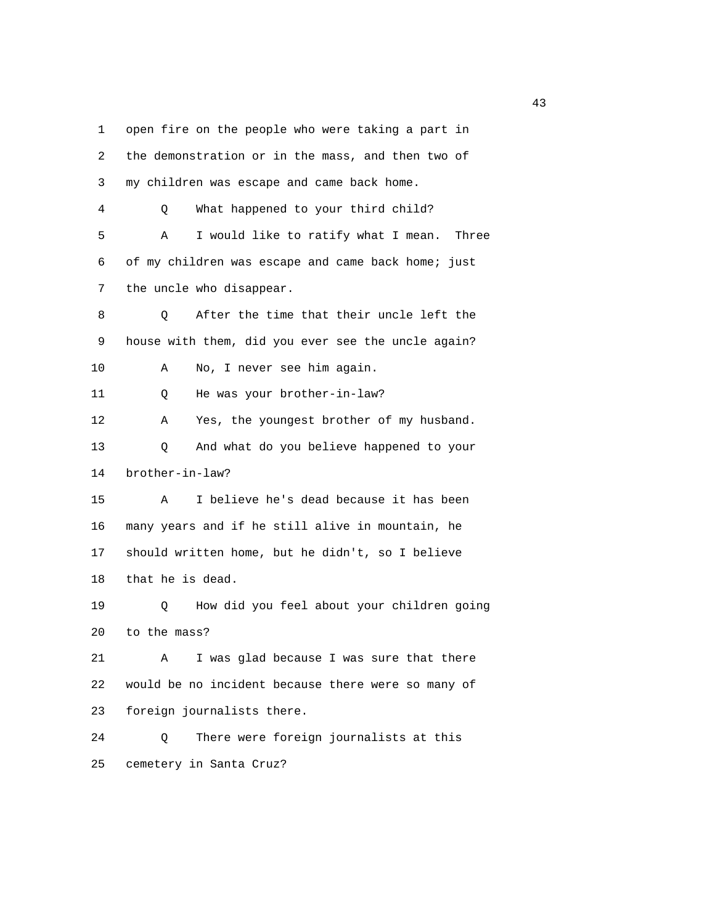1 open fire on the people who were taking a part in 2 the demonstration or in the mass, and then two of 3 my children was escape and came back home. 4 Q What happened to your third child? 5 A I would like to ratify what I mean. Three 6 of my children was escape and came back home; just 7 the uncle who disappear. 8 Q After the time that their uncle left the 9 house with them, did you ever see the uncle again? 10 A No, I never see him again. 11 Q He was your brother-in-law? 12 A Yes, the youngest brother of my husband. 13 Q And what do you believe happened to your 14 brother-in-law? 15 A I believe he's dead because it has been 16 many years and if he still alive in mountain, he 17 should written home, but he didn't, so I believe 18 that he is dead. 19 Q How did you feel about your children going 20 to the mass? 21 A I was glad because I was sure that there 22 would be no incident because there were so many of 23 foreign journalists there. 24 Q There were foreign journalists at this 25 cemetery in Santa Cruz?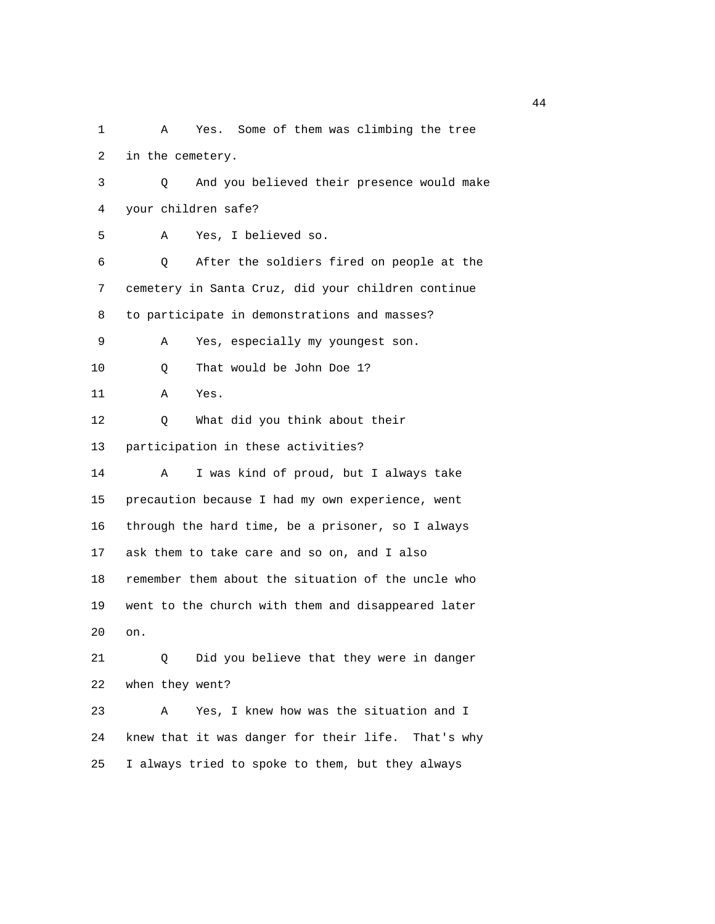1 A Yes. Some of them was climbing the tree 2 in the cemetery. 3 Q And you believed their presence would make 4 your children safe? 5 A Yes, I believed so. 6 Q After the soldiers fired on people at the 7 cemetery in Santa Cruz, did your children continue 8 to participate in demonstrations and masses? 9 A Yes, especially my youngest son. 10 Q That would be John Doe 1? 11 A Yes. 12 Q What did you think about their 13 participation in these activities? 14 A I was kind of proud, but I always take 15 precaution because I had my own experience, went 16 through the hard time, be a prisoner, so I always 17 ask them to take care and so on, and I also 18 remember them about the situation of the uncle who 19 went to the church with them and disappeared later 20 on. 21 Q Did you believe that they were in danger 22 when they went? 23 A Yes, I knew how was the situation and I 24 knew that it was danger for their life. That's why 25 I always tried to spoke to them, but they always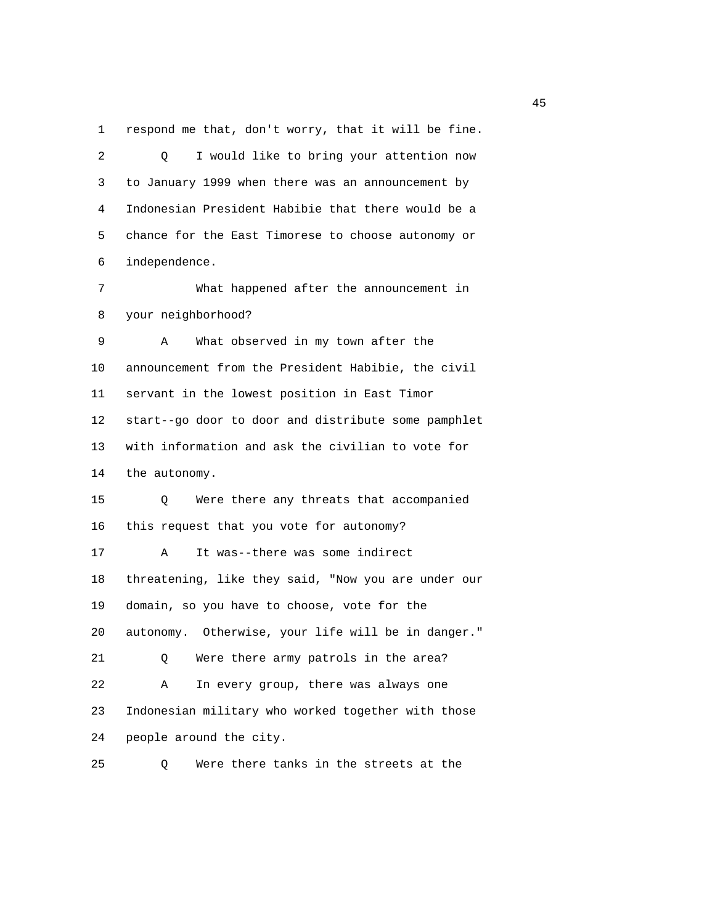1 respond me that, don't worry, that it will be fine.

 2 Q I would like to bring your attention now 3 to January 1999 when there was an announcement by 4 Indonesian President Habibie that there would be a 5 chance for the East Timorese to choose autonomy or 6 independence. 7 What happened after the announcement in 8 your neighborhood? 9 A What observed in my town after the 10 announcement from the President Habibie, the civil 11 servant in the lowest position in East Timor

 12 start--go door to door and distribute some pamphlet 13 with information and ask the civilian to vote for 14 the autonomy.

 15 Q Were there any threats that accompanied 16 this request that you vote for autonomy? 17 A It was--there was some indirect 18 threatening, like they said, "Now you are under our 19 domain, so you have to choose, vote for the 20 autonomy. Otherwise, your life will be in danger." 21 Q Were there army patrols in the area? 22 A In every group, there was always one 23 Indonesian military who worked together with those 24 people around the city.

25 Q Were there tanks in the streets at the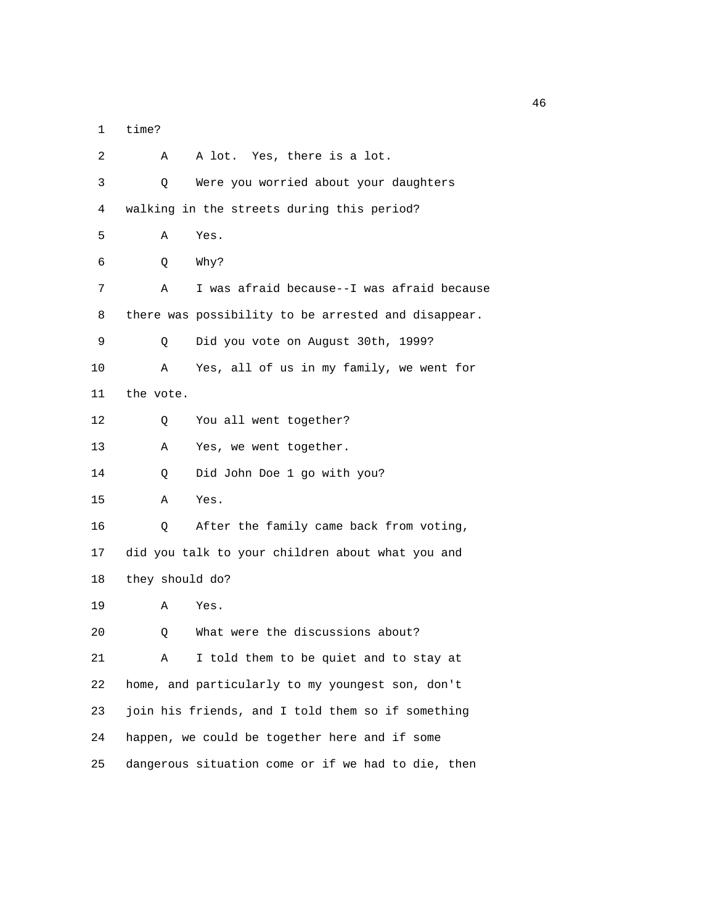1 time?

 2 A A lot. Yes, there is a lot. 3 Q Were you worried about your daughters 4 walking in the streets during this period? 5 A Yes. 6 Q Why? 7 A I was afraid because--I was afraid because 8 there was possibility to be arrested and disappear. 9 Q Did you vote on August 30th, 1999? 10 A Yes, all of us in my family, we went for 11 the vote. 12 Q You all went together? 13 A Yes, we went together. 14 Q Did John Doe 1 go with you? 15 A Yes. 16 Q After the family came back from voting, 17 did you talk to your children about what you and 18 they should do? 19 A Yes. 20 Q What were the discussions about? 21 A I told them to be quiet and to stay at 22 home, and particularly to my youngest son, don't 23 join his friends, and I told them so if something 24 happen, we could be together here and if some 25 dangerous situation come or if we had to die, then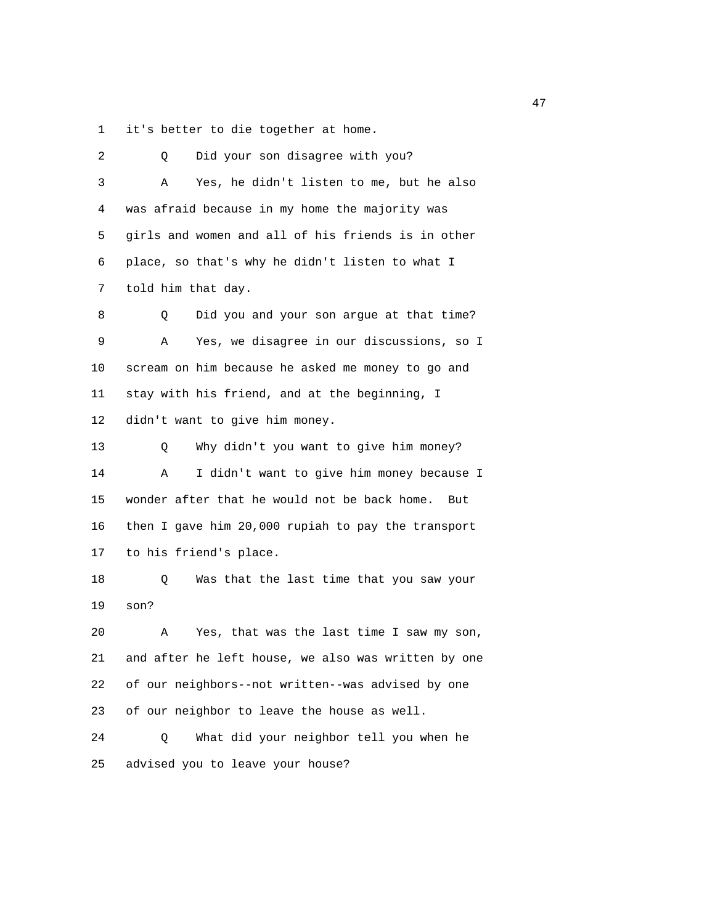1 it's better to die together at home.

| 2  | Did your son disagree with you?<br>Q                |
|----|-----------------------------------------------------|
| 3  | Yes, he didn't listen to me, but he also<br>Α       |
| 4  | was afraid because in my home the majority was      |
| 5  | girls and women and all of his friends is in other  |
| 6  | place, so that's why he didn't listen to what I     |
| 7  | told him that day.                                  |
| 8  | Did you and your son argue at that time?<br>Q       |
| 9  | Yes, we disagree in our discussions, so I<br>Α      |
| 10 | scream on him because he asked me money to go and   |
| 11 | stay with his friend, and at the beginning, I       |
| 12 | didn't want to give him money.                      |
| 13 | Why didn't you want to give him money?<br>Q         |
| 14 | I didn't want to give him money because I<br>Α      |
| 15 | wonder after that he would not be back home.<br>But |
| 16 | then I gave him 20,000 rupiah to pay the transport  |
| 17 | to his friend's place.                              |
| 18 | Was that the last time that you saw your<br>Q       |
| 19 | son?                                                |
| 20 | Yes, that was the last time I saw my son,<br>Α      |
| 21 | and after he left house, we also was written by one |
| 22 | of our neighbors--not written--was advised by one   |
| 23 | of our neighbor to leave the house as well.         |
| 24 | What did your neighbor tell you when he<br>Q        |
| 25 | advised you to leave your house?                    |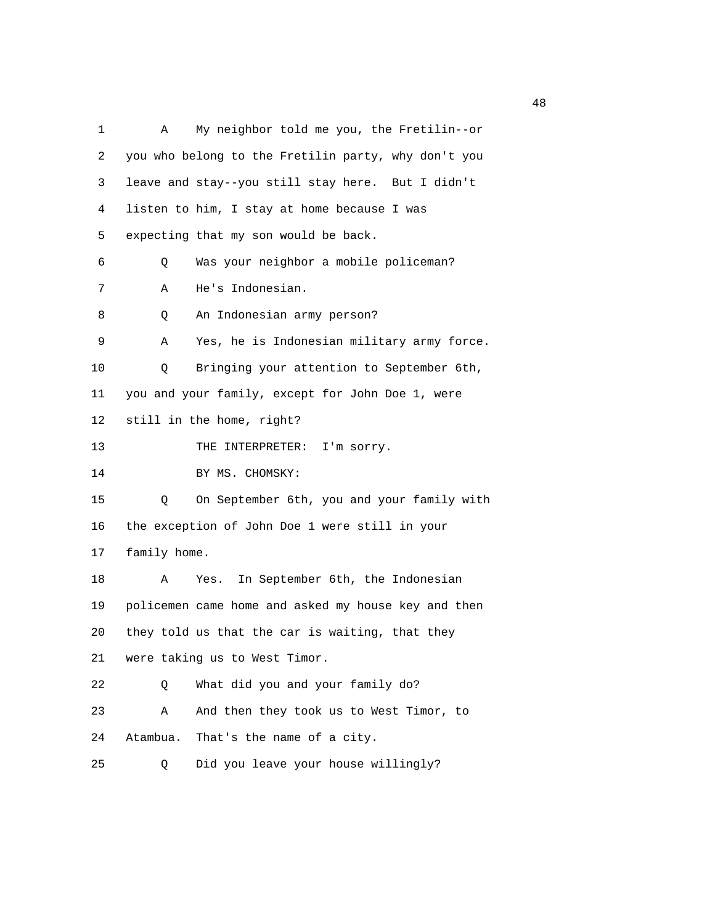1 A My neighbor told me you, the Fretilin--or 2 you who belong to the Fretilin party, why don't you 3 leave and stay--you still stay here. But I didn't 4 listen to him, I stay at home because I was 5 expecting that my son would be back. 6 Q Was your neighbor a mobile policeman? 7 A He's Indonesian. 8 Q An Indonesian army person? 9 A Yes, he is Indonesian military army force. 10 Q Bringing your attention to September 6th, 11 you and your family, except for John Doe 1, were 12 still in the home, right? 13 THE INTERPRETER: I'm sorry. 14 BY MS. CHOMSKY: 15 Q On September 6th, you and your family with 16 the exception of John Doe 1 were still in your 17 family home. 18 A Yes. In September 6th, the Indonesian 19 policemen came home and asked my house key and then 20 they told us that the car is waiting, that they 21 were taking us to West Timor. 22 Q What did you and your family do? 23 A And then they took us to West Timor, to 24 Atambua. That's the name of a city. 25 Q Did you leave your house willingly?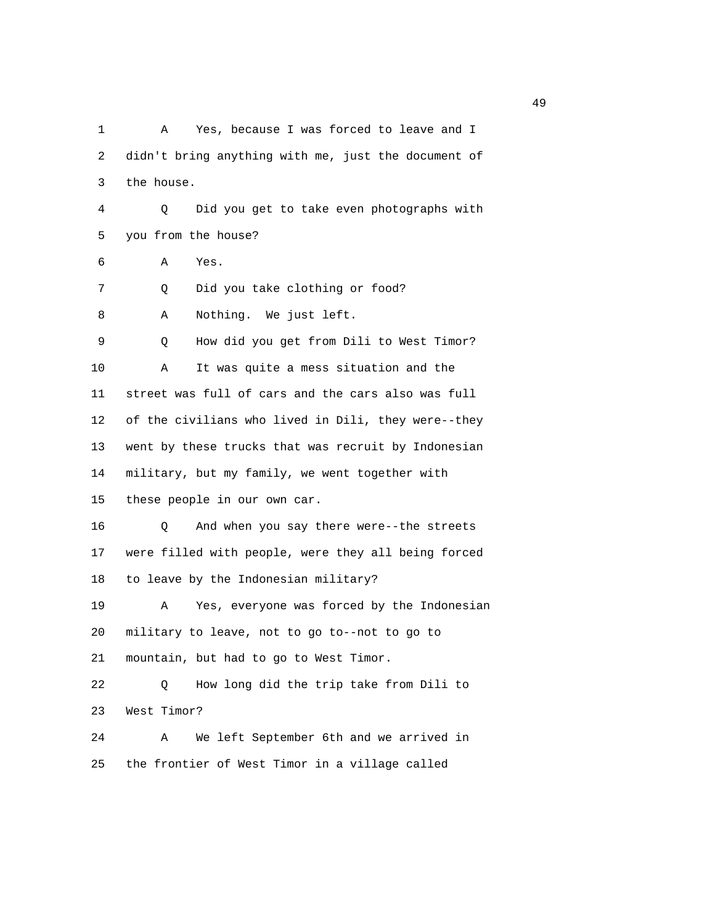1 A Yes, because I was forced to leave and I 2 didn't bring anything with me, just the document of 3 the house. 4 Q Did you get to take even photographs with 5 you from the house? 6 A Yes. 7 Q Did you take clothing or food? 8 A Nothing. We just left. 9 Q How did you get from Dili to West Timor? 10 A It was quite a mess situation and the 11 street was full of cars and the cars also was full 12 of the civilians who lived in Dili, they were--they 13 went by these trucks that was recruit by Indonesian 14 military, but my family, we went together with 15 these people in our own car. 16 Q And when you say there were--the streets 17 were filled with people, were they all being forced 18 to leave by the Indonesian military? 19 A Yes, everyone was forced by the Indonesian 20 military to leave, not to go to--not to go to 21 mountain, but had to go to West Timor. 22 Q How long did the trip take from Dili to 23 West Timor? 24 A We left September 6th and we arrived in 25 the frontier of West Timor in a village called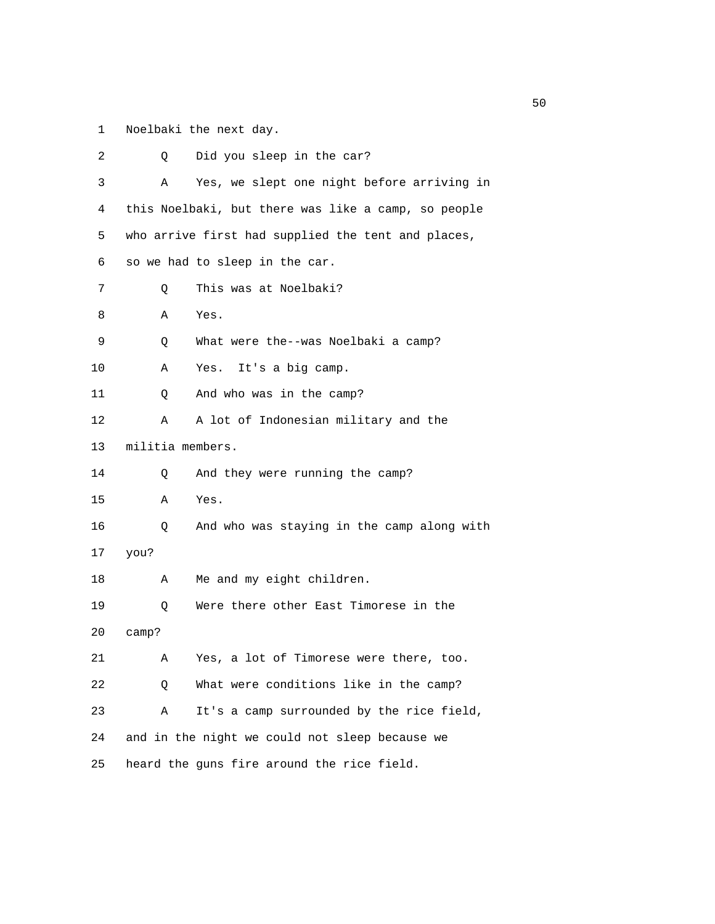1 Noelbaki the next day.

| 2  | Q                | Did you sleep in the car?                           |
|----|------------------|-----------------------------------------------------|
| 3  | Α                | Yes, we slept one night before arriving in          |
| 4  |                  | this Noelbaki, but there was like a camp, so people |
| 5  |                  | who arrive first had supplied the tent and places,  |
| 6  |                  | so we had to sleep in the car.                      |
| 7  | Q                | This was at Noelbaki?                               |
| 8  | Α                | Yes.                                                |
| 9  | Q                | What were the--was Noelbaki a camp?                 |
| 10 | Α                | It's a big camp.<br>Yes.                            |
| 11 | Q                | And who was in the camp?                            |
| 12 | Α                | A lot of Indonesian military and the                |
| 13 | militia members. |                                                     |
| 14 | Q                | And they were running the camp?                     |
| 15 | Α                | Yes.                                                |
| 16 | Q                | And who was staying in the camp along with          |
| 17 | you?             |                                                     |
| 18 | Α                | Me and my eight children.                           |
| 19 | Q                | Were there other East Timorese in the               |
| 20 | camp?            |                                                     |
| 21 | Α                | Yes, a lot of Timorese were there, too.             |
| 22 | Q                | What were conditions like in the camp?              |
| 23 | Α                | It's a camp surrounded by the rice field,           |
| 24 |                  | and in the night we could not sleep because we      |
| 25 |                  | heard the guns fire around the rice field.          |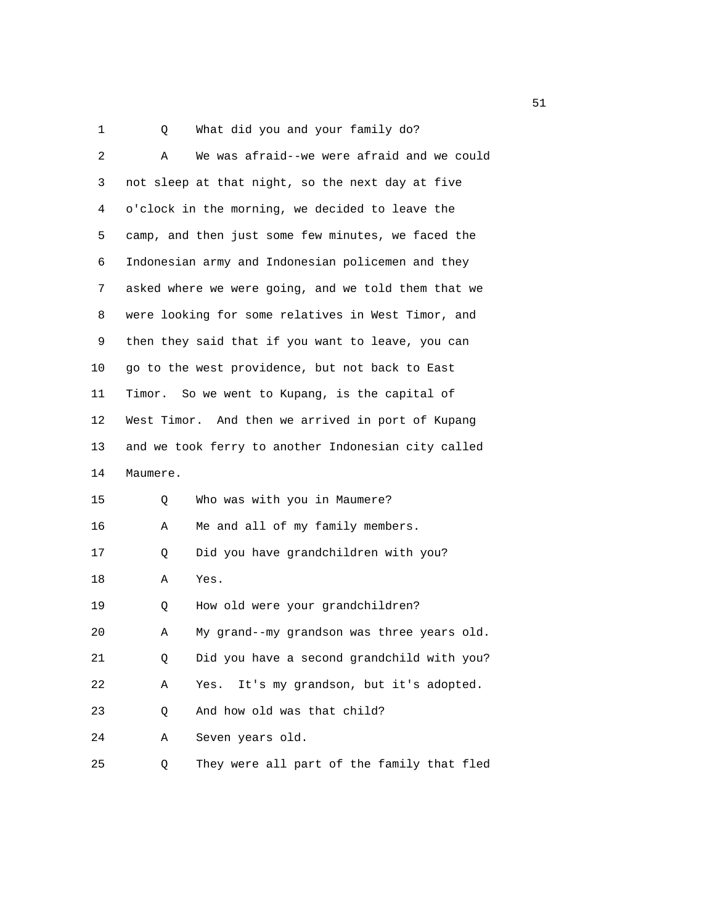1 Q What did you and your family do?

| 2  | Α        | We was afraid--we were afraid and we could          |
|----|----------|-----------------------------------------------------|
| 3  |          | not sleep at that night, so the next day at five    |
| 4  |          | o'clock in the morning, we decided to leave the     |
| 5  |          | camp, and then just some few minutes, we faced the  |
| 6  |          | Indonesian army and Indonesian policemen and they   |
| 7  |          | asked where we were going, and we told them that we |
| 8  |          | were looking for some relatives in West Timor, and  |
| 9  |          | then they said that if you want to leave, you can   |
| 10 |          | go to the west providence, but not back to East     |
| 11 |          | Timor. So we went to Kupang, is the capital of      |
| 12 |          | West Timor. And then we arrived in port of Kupang   |
| 13 |          | and we took ferry to another Indonesian city called |
| 14 | Maumere. |                                                     |
| 15 | Q        | Who was with you in Maumere?                        |
| 16 | Α        | Me and all of my family members.                    |
| 17 | Q        | Did you have grandchildren with you?                |
| 18 | Α        | Yes.                                                |
| 19 | Q        | How old were your grandchildren?                    |
| 20 | Α        | My grand--my grandson was three years old.          |
| 21 | Q        | Did you have a second grandchild with you?          |
| 22 | Α        | Yes. It's my grandson, but it's adopted.            |
| 23 | Q        | And how old was that child?                         |
| 24 | Α        | Seven years old.                                    |
| 25 | Q        | They were all part of the family that fled          |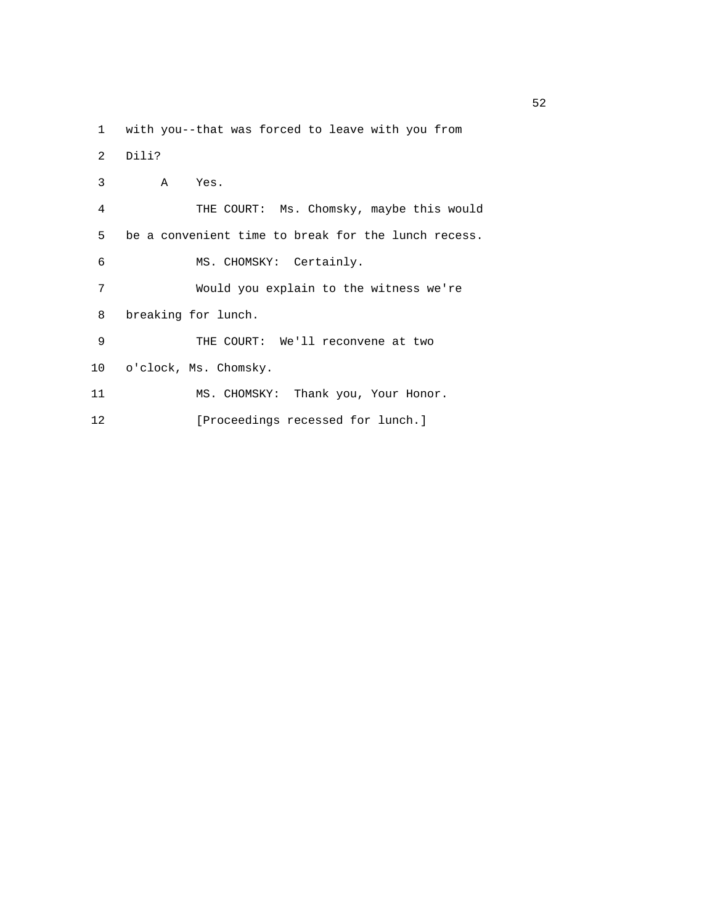1 with you--that was forced to leave with you from

2 Dili?

| 3  | $\mathbb A$<br>Yes.                                 |
|----|-----------------------------------------------------|
| 4  | THE COURT: Ms. Chomsky, maybe this would            |
| 5  | be a convenient time to break for the lunch recess. |
| 6  | MS. CHOMSKY: Certainly.                             |
| 7  | Would you explain to the witness we're              |
| 8  | breaking for lunch.                                 |
| 9  | THE COURT: We'll reconvene at two                   |
| 10 | o'clock, Ms. Chomsky.                               |
| 11 | MS. CHOMSKY: Thank you, Your Honor.                 |
| 12 | [Proceedings recessed for lunch.]                   |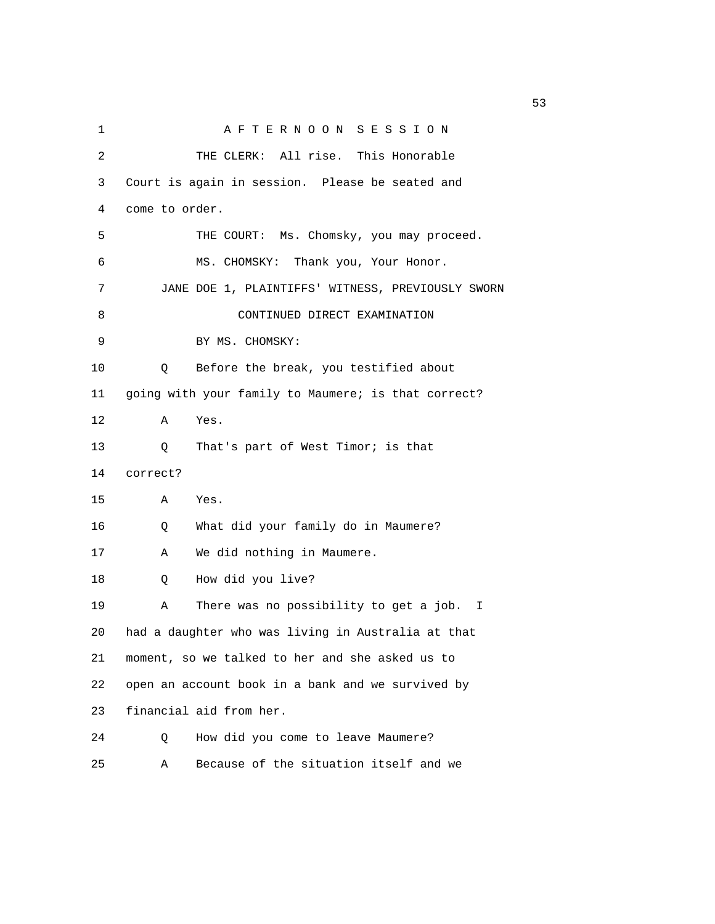| 1  | AFTERNOON SESSION                                   |
|----|-----------------------------------------------------|
| 2  | THE CLERK: All rise. This Honorable                 |
| 3  | Court is again in session. Please be seated and     |
| 4  | come to order.                                      |
| 5  | THE COURT: Ms. Chomsky, you may proceed.            |
| 6  | MS. CHOMSKY: Thank you, Your Honor.                 |
| 7  | JANE DOE 1, PLAINTIFFS' WITNESS, PREVIOUSLY SWORN   |
| 8  | CONTINUED DIRECT EXAMINATION                        |
| 9  | BY MS. CHOMSKY:                                     |
| 10 | Before the break, you testified about<br>Q          |
| 11 | going with your family to Maumere; is that correct? |
| 12 | Α<br>Yes.                                           |
| 13 | That's part of West Timor; is that<br>Q             |
| 14 | correct?                                            |
| 15 | Yes.<br>Α                                           |
| 16 | What did your family do in Maumere?<br>Q            |
| 17 | We did nothing in Maumere.<br>Α                     |
| 18 | How did you live?<br>Q                              |
| 19 | There was no possibility to get a job. I<br>Α       |
| 20 | had a daughter who was living in Australia at that  |
| 21 | moment, so we talked to her and she asked us to     |
| 22 | open an account book in a bank and we survived by   |
| 23 | financial aid from her.                             |
| 24 | How did you come to leave Maumere?<br>Q             |
| 25 | Because of the situation itself and we<br>Α         |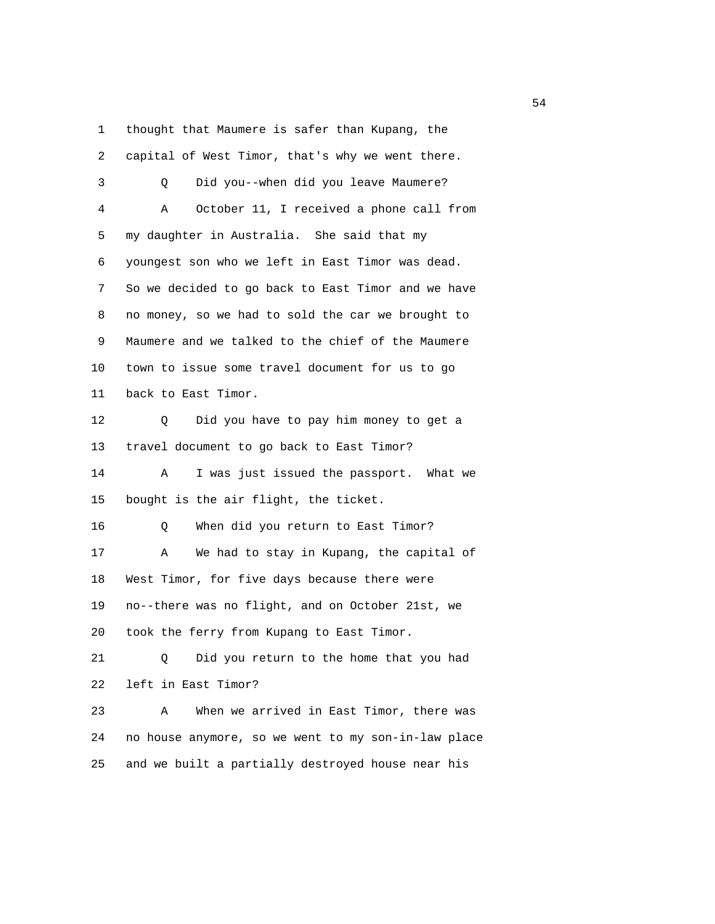1 thought that Maumere is safer than Kupang, the

| 2  | capital of West Timor, that's why we went there.    |
|----|-----------------------------------------------------|
| 3  | Did you--when did you leave Maumere?<br>O           |
| 4  | October 11, I received a phone call from<br>Α       |
| 5  | my daughter in Australia. She said that my          |
| 6  | youngest son who we left in East Timor was dead.    |
| 7  | So we decided to go back to East Timor and we have  |
| 8  | no money, so we had to sold the car we brought to   |
| 9  | Maumere and we talked to the chief of the Maumere   |
| 10 | town to issue some travel document for us to go     |
| 11 | back to East Timor.                                 |
| 12 | Did you have to pay him money to get a<br>0         |
| 13 | travel document to go back to East Timor?           |
| 14 | Α<br>I was just issued the passport. What we        |
| 15 | bought is the air flight, the ticket.               |
| 16 | When did you return to East Timor?<br>Q             |
| 17 | We had to stay in Kupang, the capital of<br>Α       |
| 18 | West Timor, for five days because there were        |
| 19 | no--there was no flight, and on October 21st, we    |
| 20 | took the ferry from Kupang to East Timor.           |
| 21 | Did you return to the home that you had<br>Q        |
| 22 | left in East Timor?                                 |
| 23 | When we arrived in East Timor, there was<br>Α       |
| 24 | no house anymore, so we went to my son-in-law place |
| 25 | and we built a partially destroyed house near his   |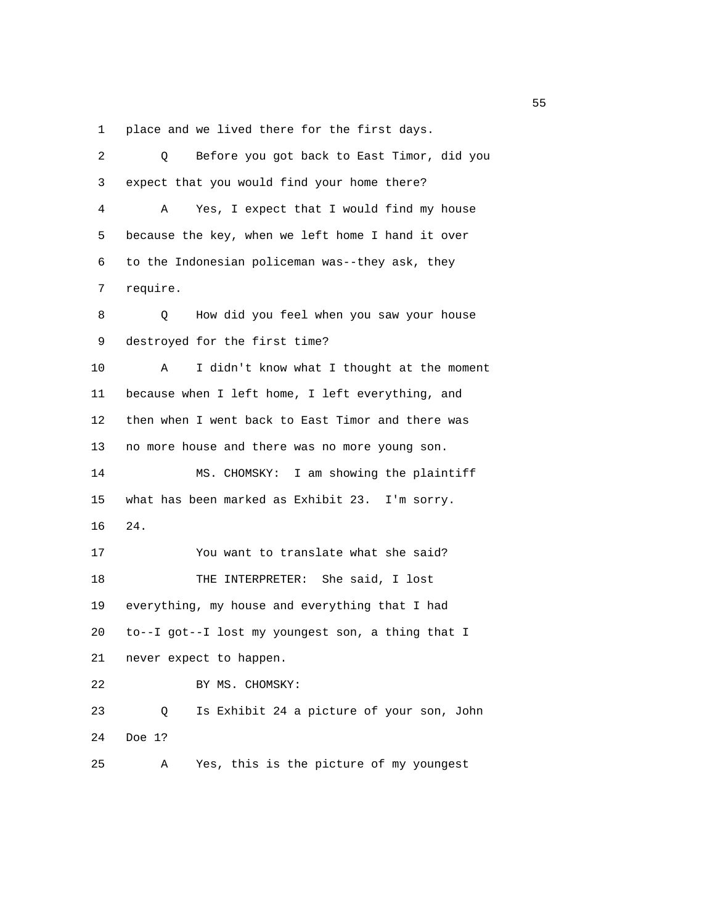1 place and we lived there for the first days.

| 2  | Before you got back to East Timor, did you<br>Q.  |
|----|---------------------------------------------------|
| 3  | expect that you would find your home there?       |
| 4  | Yes, I expect that I would find my house<br>Α     |
| 5  | because the key, when we left home I hand it over |
| 6  | to the Indonesian policeman was--they ask, they   |
| 7  | require.                                          |
| 8  | How did you feel when you saw your house<br>Q     |
| 9  | destroyed for the first time?                     |
| 10 | I didn't know what I thought at the moment<br>Α   |
| 11 | because when I left home, I left everything, and  |
| 12 | then when I went back to East Timor and there was |
| 13 | no more house and there was no more young son.    |
| 14 | MS. CHOMSKY: I am showing the plaintiff           |
| 15 | what has been marked as Exhibit 23. I'm sorry.    |
| 16 | $24$ .                                            |
| 17 | You want to translate what she said?              |
| 18 | THE INTERPRETER: She said, I lost                 |
| 19 | everything, my house and everything that I had    |
| 20 | to--I got--I lost my youngest son, a thing that I |
| 21 | never expect to happen.                           |
| 22 | BY MS. CHOMSKY:                                   |
| 23 | Is Exhibit 24 a picture of your son, John<br>Q    |
|    |                                                   |
| 24 | Doe 1?                                            |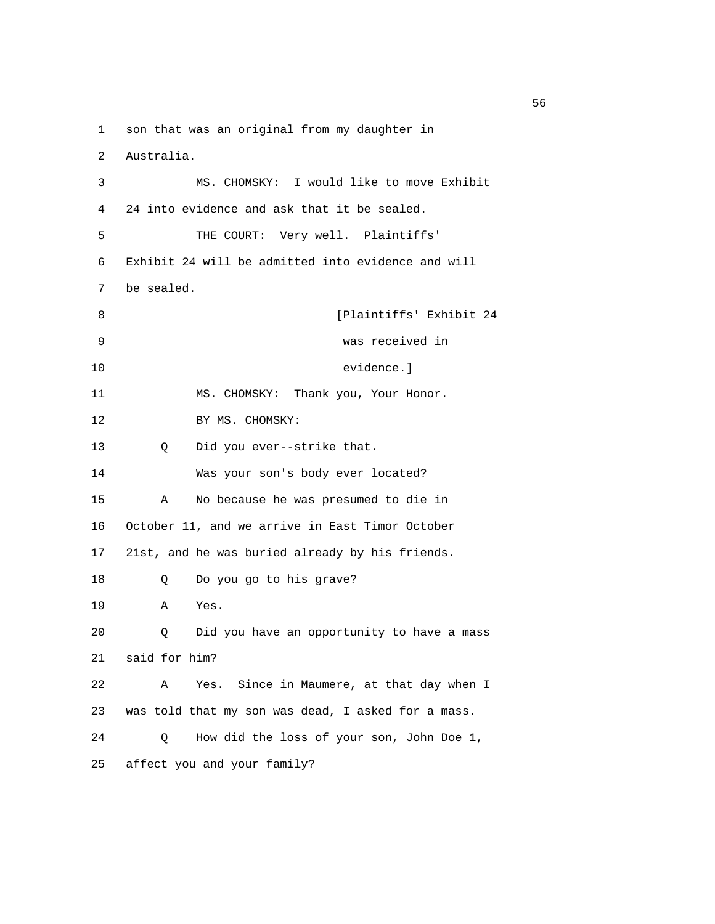1 son that was an original from my daughter in

2 Australia.

| 3  | MS. CHOMSKY: I would like to move Exhibit          |
|----|----------------------------------------------------|
| 4  | 24 into evidence and ask that it be sealed.        |
| 5  | THE COURT: Very well. Plaintiffs'                  |
| 6  | Exhibit 24 will be admitted into evidence and will |
| 7  | be sealed.                                         |
| 8  | [Plaintiffs' Exhibit 24                            |
| 9  | was received in                                    |
| 10 | evidence.]                                         |
| 11 | MS. CHOMSKY: Thank you, Your Honor.                |
| 12 | BY MS. CHOMSKY:                                    |
| 13 | Did you ever--strike that.<br>$\circ$              |
| 14 | Was your son's body ever located?                  |
| 15 | No because he was presumed to die in<br>Α          |
| 16 | October 11, and we arrive in East Timor October    |
| 17 | 21st, and he was buried already by his friends.    |
| 18 | Do you go to his grave?<br>Q                       |
| 19 | Α<br>Yes.                                          |
| 20 | Did you have an opportunity to have a mass<br>Q    |
| 21 | said for him?                                      |
| 22 | Yes. Since in Maumere, at that day when I<br>Α     |
| 23 | was told that my son was dead, I asked for a mass. |
| 24 | How did the loss of your son, John Doe 1,<br>0     |
| 25 | affect you and your family?                        |

 $\sim$  56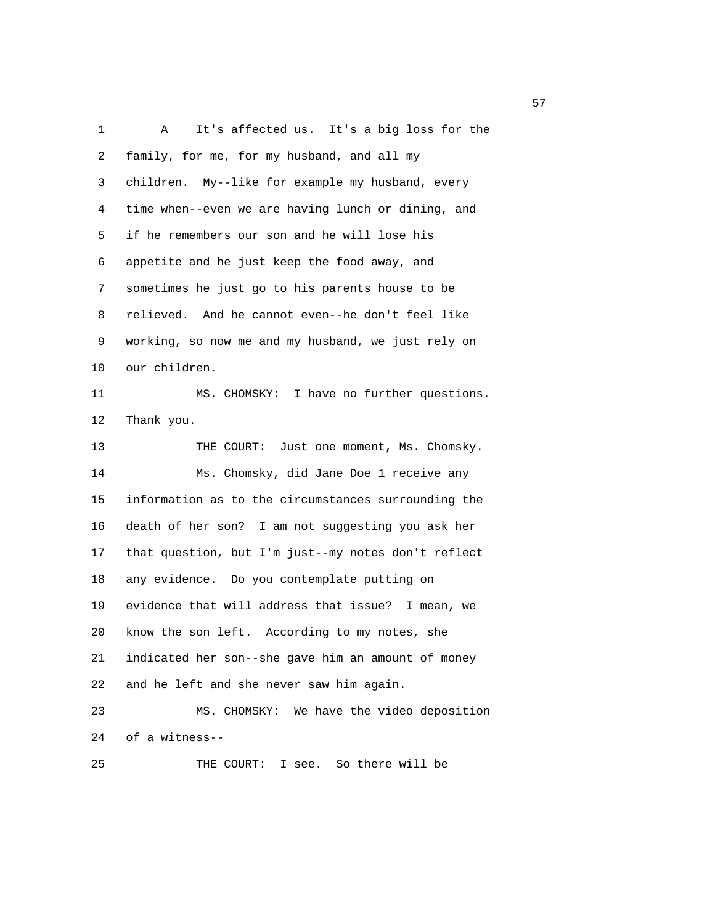1 A It's affected us. It's a big loss for the 2 family, for me, for my husband, and all my 3 children. My--like for example my husband, every 4 time when--even we are having lunch or dining, and 5 if he remembers our son and he will lose his 6 appetite and he just keep the food away, and 7 sometimes he just go to his parents house to be 8 relieved. And he cannot even--he don't feel like 9 working, so now me and my husband, we just rely on 10 our children. 11 MS. CHOMSKY: I have no further questions. 12 Thank you. 13 THE COURT: Just one moment, Ms. Chomsky. 14 Ms. Chomsky, did Jane Doe 1 receive any 15 information as to the circumstances surrounding the 16 death of her son? I am not suggesting you ask her 17 that question, but I'm just--my notes don't reflect 18 any evidence. Do you contemplate putting on 19 evidence that will address that issue? I mean, we 20 know the son left. According to my notes, she 21 indicated her son--she gave him an amount of money 22 and he left and she never saw him again. 23 MS. CHOMSKY: We have the video deposition 24 of a witness-- 25 THE COURT: I see. So there will be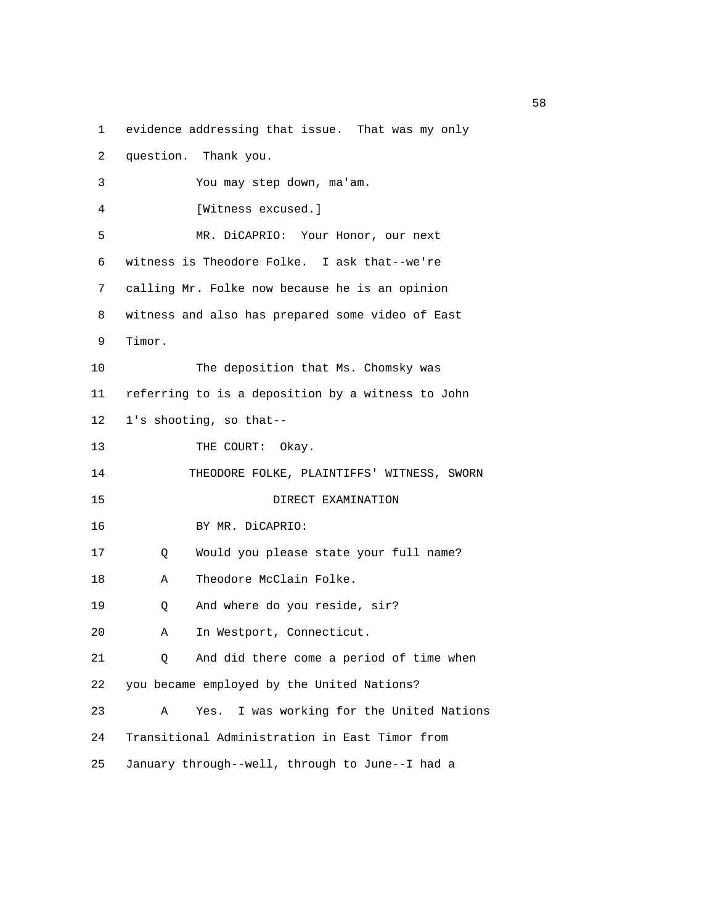1 evidence addressing that issue. That was my only

| 2  | question. Thank you.                              |
|----|---------------------------------------------------|
| 3  | You may step down, ma'am.                         |
| 4  | [Witness excused.]                                |
| 5  | MR. DiCAPRIO: Your Honor, our next                |
| 6  | witness is Theodore Folke. I ask that--we're      |
| 7  | calling Mr. Folke now because he is an opinion    |
| 8  | witness and also has prepared some video of East  |
| 9  | Timor.                                            |
| 10 | The deposition that Ms. Chomsky was               |
| 11 | referring to is a deposition by a witness to John |
| 12 | 1's shooting, so that--                           |
| 13 | THE COURT: Okay.                                  |
| 14 | THEODORE FOLKE, PLAINTIFFS' WITNESS, SWORN        |
| 15 | DIRECT EXAMINATION                                |
| 16 | BY MR. DiCAPRIO:                                  |
| 17 | Would you please state your full name?<br>Q       |
| 18 | Theodore McClain Folke.<br>Α                      |
| 19 | And where do you reside, sir?<br>Q                |
| 20 | In Westport, Connecticut.<br>Α                    |
| 21 | And did there come a period of time when<br>Q     |
| 22 | you became employed by the United Nations?        |
| 23 | I was working for the United Nations<br>Α<br>Yes. |
| 24 | Transitional Administration in East Timor from    |
| 25 | January through--well, through to June--I had a   |

<u>58</u> Samuel Control of the Control of the Control of the Control of the Control of the Control of the Control of the Control of the Control of the Control of the Control of the Control of the Control of the Control of the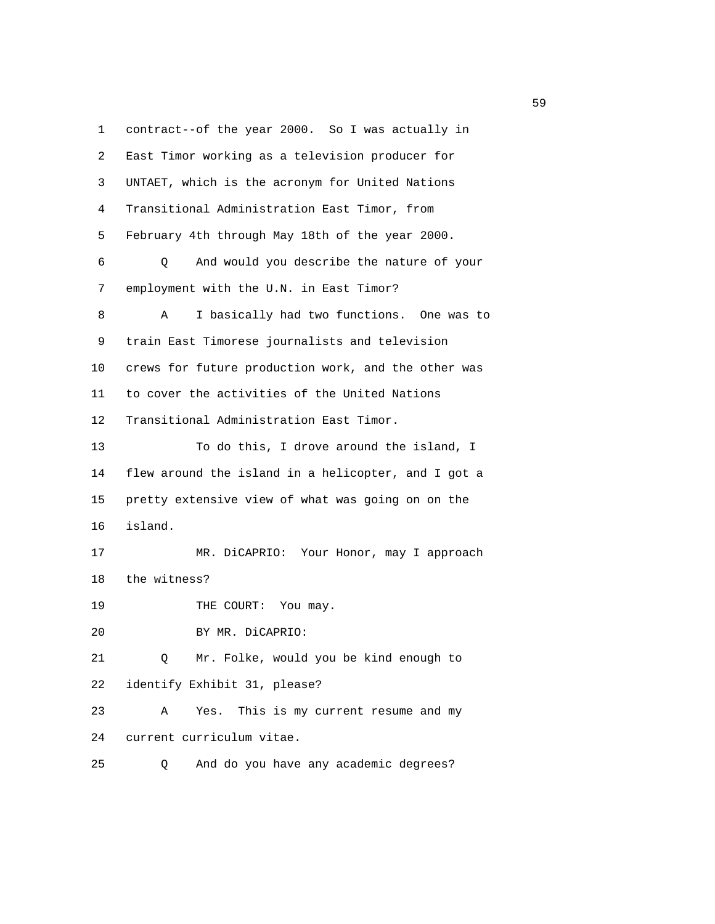1 contract--of the year 2000. So I was actually in 2 East Timor working as a television producer for 3 UNTAET, which is the acronym for United Nations 4 Transitional Administration East Timor, from 5 February 4th through May 18th of the year 2000. 6 Q And would you describe the nature of your 7 employment with the U.N. in East Timor? 8 A I basically had two functions. One was to 9 train East Timorese journalists and television 10 crews for future production work, and the other was 11 to cover the activities of the United Nations 12 Transitional Administration East Timor. 13 To do this, I drove around the island, I 14 flew around the island in a helicopter, and I got a 15 pretty extensive view of what was going on on the 16 island. 17 MR. DiCAPRIO: Your Honor, may I approach 18 the witness? 19 THE COURT: You may. 20 BY MR. DiCAPRIO: 21 Q Mr. Folke, would you be kind enough to 22 identify Exhibit 31, please? 23 A Yes. This is my current resume and my 24 current curriculum vitae. 25 Q And do you have any academic degrees?

 $\sim$  59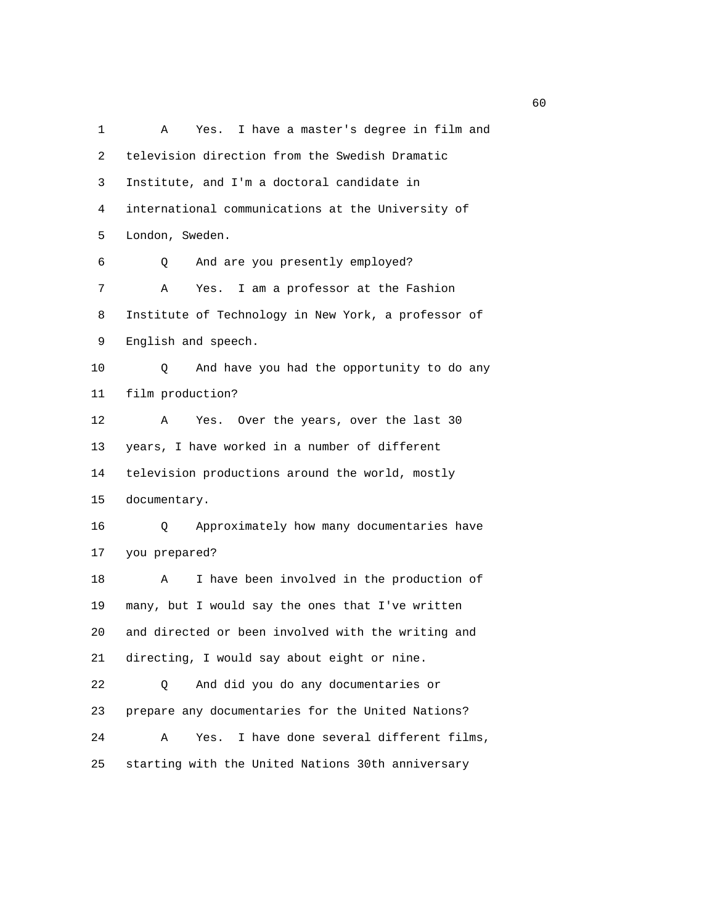1 A Yes. I have a master's degree in film and 2 television direction from the Swedish Dramatic 3 Institute, and I'm a doctoral candidate in 4 international communications at the University of 5 London, Sweden. 6 Q And are you presently employed? 7 A Yes. I am a professor at the Fashion 8 Institute of Technology in New York, a professor of 9 English and speech. 10 Q And have you had the opportunity to do any 11 film production? 12 A Yes. Over the years, over the last 30 13 years, I have worked in a number of different 14 television productions around the world, mostly 15 documentary. 16 Q Approximately how many documentaries have 17 you prepared? 18 A I have been involved in the production of 19 many, but I would say the ones that I've written 20 and directed or been involved with the writing and 21 directing, I would say about eight or nine. 22 Q And did you do any documentaries or 23 prepare any documentaries for the United Nations? 24 A Yes. I have done several different films, 25 starting with the United Nations 30th anniversary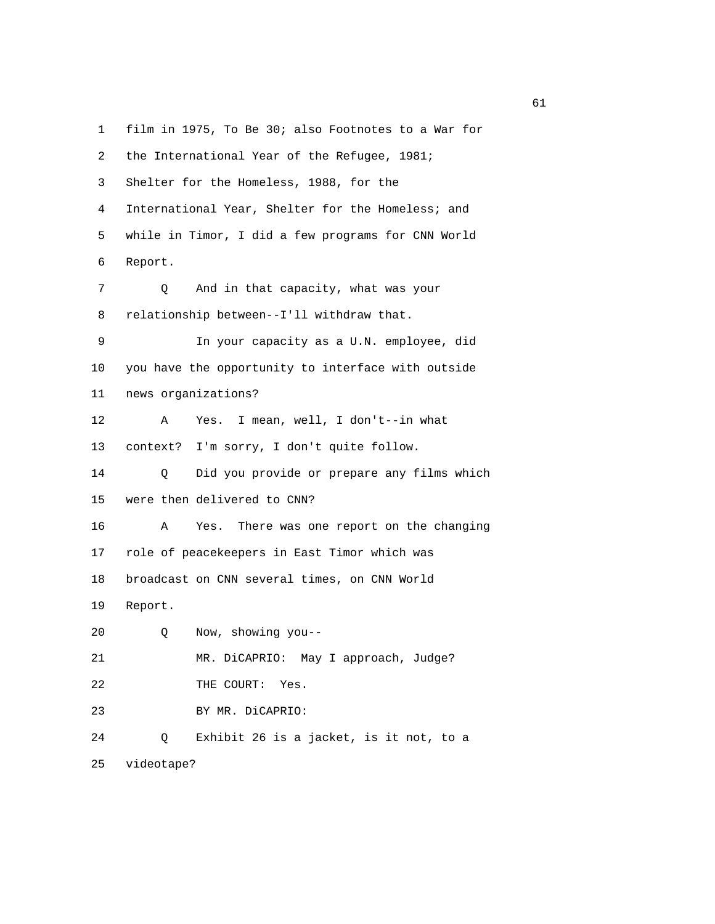1 film in 1975, To Be 30; also Footnotes to a War for 2 the International Year of the Refugee, 1981; 3 Shelter for the Homeless, 1988, for the 4 International Year, Shelter for the Homeless; and 5 while in Timor, I did a few programs for CNN World 6 Report. 7 Q And in that capacity, what was your 8 relationship between--I'll withdraw that. 9 In your capacity as a U.N. employee, did 10 you have the opportunity to interface with outside 11 news organizations? 12 A Yes. I mean, well, I don't--in what 13 context? I'm sorry, I don't quite follow. 14 Q Did you provide or prepare any films which 15 were then delivered to CNN? 16 A Yes. There was one report on the changing 17 role of peacekeepers in East Timor which was 18 broadcast on CNN several times, on CNN World 19 Report. 20 Q Now, showing you-- 21 MR. DiCAPRIO: May I approach, Judge? 22 THE COURT: Yes. 23 BY MR. DiCAPRIO: 24 Q Exhibit 26 is a jacket, is it not, to a 25 videotape?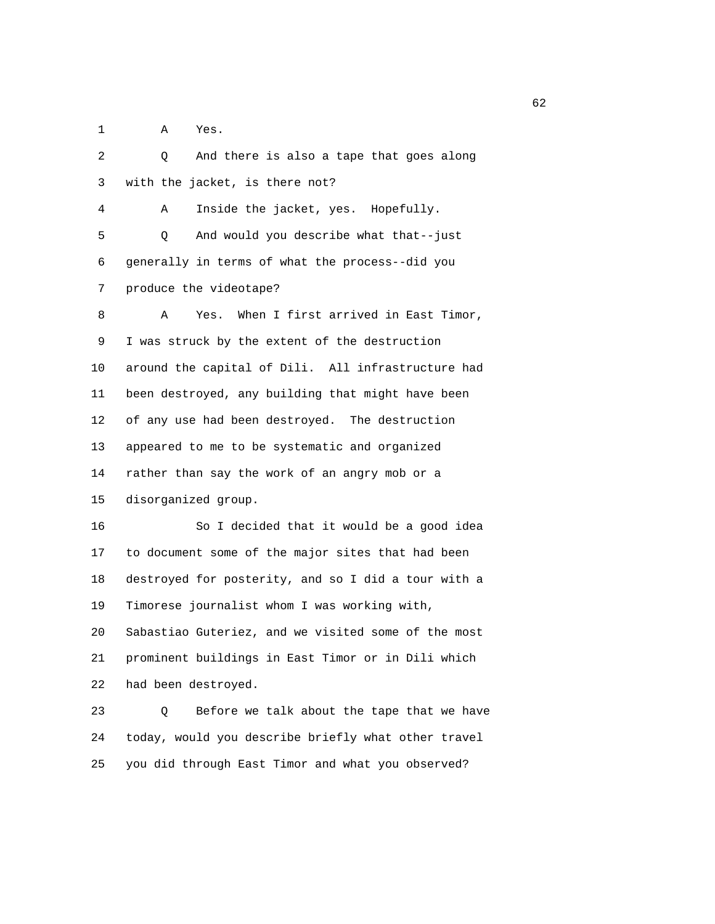1 A Yes.

 2 Q And there is also a tape that goes along 3 with the jacket, is there not? 4 A Inside the jacket, yes. Hopefully. 5 Q And would you describe what that--just 6 generally in terms of what the process--did you 7 produce the videotape? 8 A Yes. When I first arrived in East Timor, 9 I was struck by the extent of the destruction 10 around the capital of Dili. All infrastructure had 11 been destroyed, any building that might have been 12 of any use had been destroyed. The destruction 13 appeared to me to be systematic and organized 14 rather than say the work of an angry mob or a 15 disorganized group. 16 So I decided that it would be a good idea 17 to document some of the major sites that had been 18 destroyed for posterity, and so I did a tour with a 19 Timorese journalist whom I was working with, 20 Sabastiao Guteriez, and we visited some of the most 21 prominent buildings in East Timor or in Dili which 22 had been destroyed. 23 Q Before we talk about the tape that we have 24 today, would you describe briefly what other travel

25 you did through East Timor and what you observed?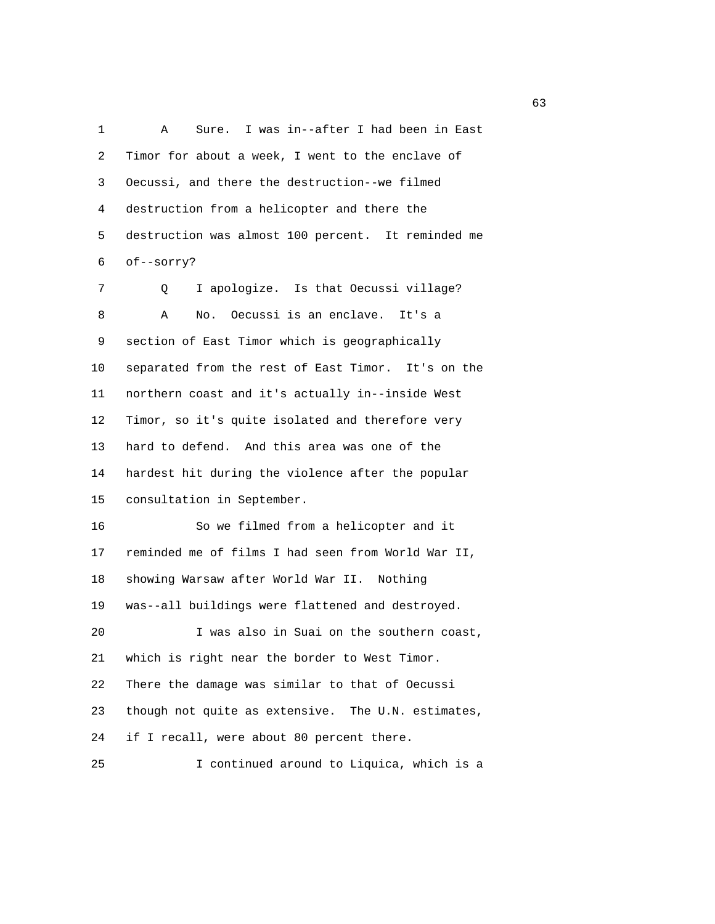1 A Sure. I was in--after I had been in East 2 Timor for about a week, I went to the enclave of 3 Oecussi, and there the destruction--we filmed 4 destruction from a helicopter and there the 5 destruction was almost 100 percent. It reminded me 6 of--sorry? 7 Q I apologize. Is that Oecussi village? 8 A No. Oecussi is an enclave. It's a 9 section of East Timor which is geographically 10 separated from the rest of East Timor. It's on the 11 northern coast and it's actually in--inside West 12 Timor, so it's quite isolated and therefore very 13 hard to defend. And this area was one of the 14 hardest hit during the violence after the popular

15 consultation in September.

 16 So we filmed from a helicopter and it 17 reminded me of films I had seen from World War II, 18 showing Warsaw after World War II. Nothing 19 was--all buildings were flattened and destroyed. 20 I was also in Suai on the southern coast, 21 which is right near the border to West Timor. 22 There the damage was similar to that of Oecussi 23 though not quite as extensive. The U.N. estimates, 24 if I recall, were about 80 percent there.

25 I continued around to Liquica, which is a

 $\sim$  63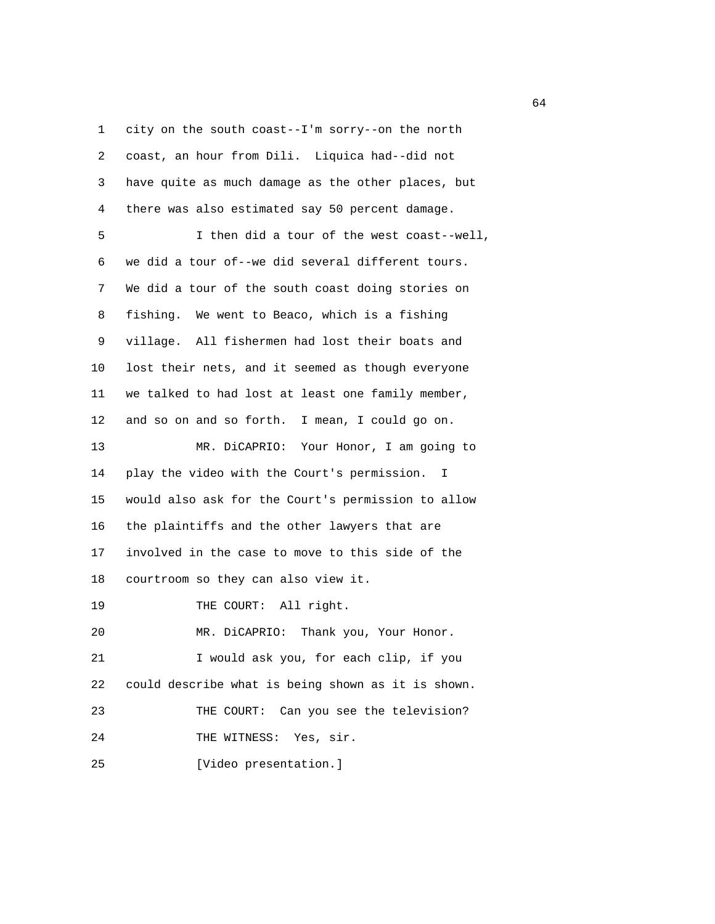1 city on the south coast--I'm sorry--on the north 2 coast, an hour from Dili. Liquica had--did not 3 have quite as much damage as the other places, but 4 there was also estimated say 50 percent damage. 5 I then did a tour of the west coast--well, 6 we did a tour of--we did several different tours. 7 We did a tour of the south coast doing stories on 8 fishing. We went to Beaco, which is a fishing 9 village. All fishermen had lost their boats and 10 lost their nets, and it seemed as though everyone 11 we talked to had lost at least one family member, 12 and so on and so forth. I mean, I could go on. 13 MR. DiCAPRIO: Your Honor, I am going to 14 play the video with the Court's permission. I 15 would also ask for the Court's permission to allow 16 the plaintiffs and the other lawyers that are 17 involved in the case to move to this side of the 18 courtroom so they can also view it. 19 THE COURT: All right. 20 MR. DiCAPRIO: Thank you, Your Honor. 21 I would ask you, for each clip, if you 22 could describe what is being shown as it is shown. 23 THE COURT: Can you see the television? 24 THE WITNESS: Yes, sir. 25 [Video presentation.]

 $\sim$  64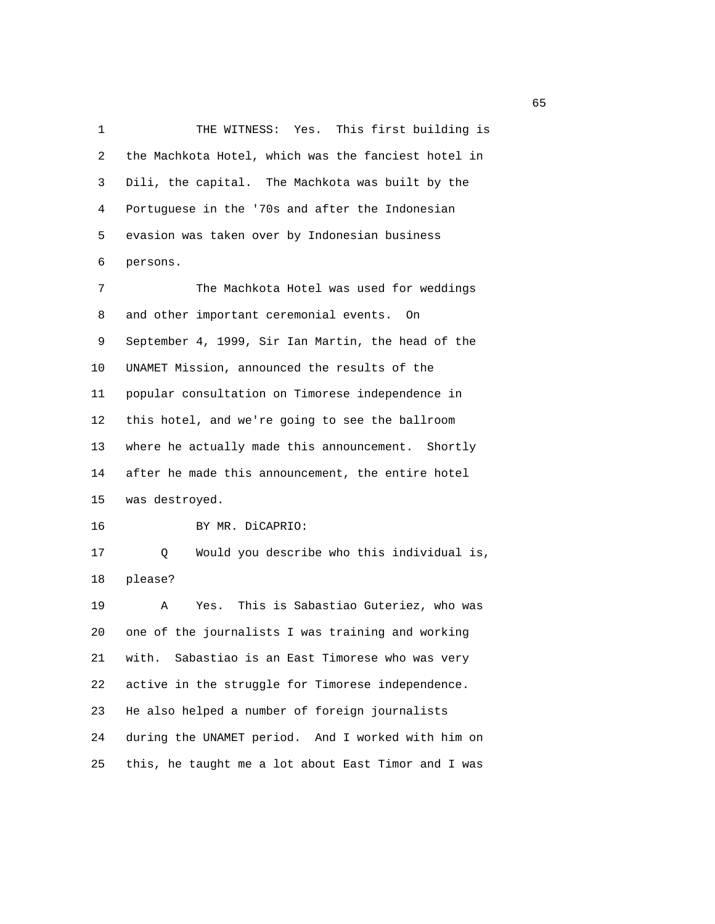1 THE WITNESS: Yes. This first building is 2 the Machkota Hotel, which was the fanciest hotel in 3 Dili, the capital. The Machkota was built by the 4 Portuguese in the '70s and after the Indonesian 5 evasion was taken over by Indonesian business 6 persons.

 7 The Machkota Hotel was used for weddings 8 and other important ceremonial events. On 9 September 4, 1999, Sir Ian Martin, the head of the 10 UNAMET Mission, announced the results of the 11 popular consultation on Timorese independence in 12 this hotel, and we're going to see the ballroom 13 where he actually made this announcement. Shortly 14 after he made this announcement, the entire hotel 15 was destroyed.

16 BY MR. DiCAPRIO:

 17 Q Would you describe who this individual is, 18 please?

 19 A Yes. This is Sabastiao Guteriez, who was 20 one of the journalists I was training and working 21 with. Sabastiao is an East Timorese who was very 22 active in the struggle for Timorese independence. 23 He also helped a number of foreign journalists 24 during the UNAMET period. And I worked with him on 25 this, he taught me a lot about East Timor and I was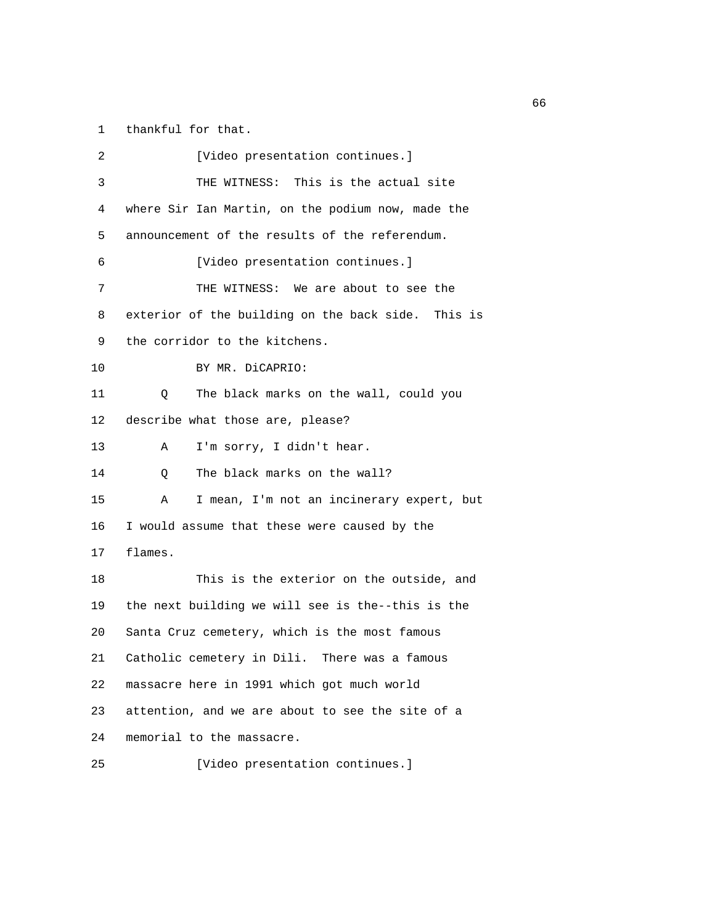1 thankful for that.

| 2  | [Video presentation continues.]                    |
|----|----------------------------------------------------|
| 3  | THE WITNESS: This is the actual site               |
| 4  | where Sir Ian Martin, on the podium now, made the  |
| 5  | announcement of the results of the referendum.     |
| 6  | [Video presentation continues.]                    |
| 7  | THE WITNESS: We are about to see the               |
| 8  | exterior of the building on the back side. This is |
| 9  | the corridor to the kitchens.                      |
| 10 | BY MR. DiCAPRIO:                                   |
| 11 | The black marks on the wall, could you<br>O        |
| 12 | describe what those are, please?                   |
| 13 | I'm sorry, I didn't hear.<br>Α                     |
| 14 | The black marks on the wall?<br>Q                  |
| 15 | I mean, I'm not an incinerary expert, but<br>Α     |
| 16 | I would assume that these were caused by the       |
| 17 | flames.                                            |
| 18 | This is the exterior on the outside, and           |
| 19 | the next building we will see is the--this is the  |
| 20 | Santa Cruz cemetery, which is the most famous      |
| 21 | Catholic cemetery in Dili. There was a famous      |
| 22 | massacre here in 1991 which got much world         |
| 23 | attention, and we are about to see the site of a   |
| 24 | memorial to the massacre.                          |

25 [Video presentation continues.]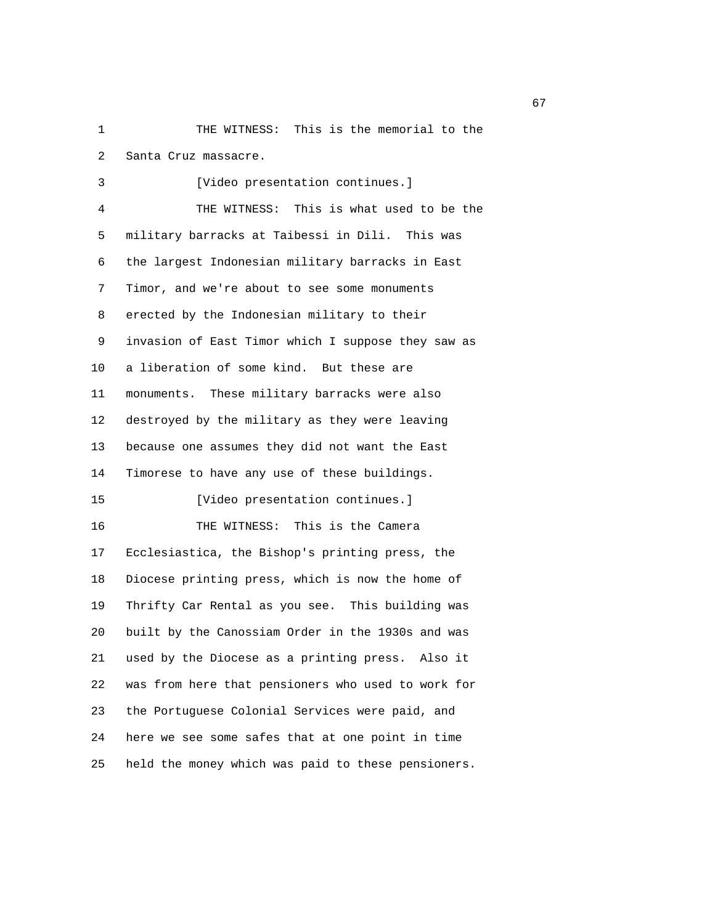1 THE WITNESS: This is the memorial to the 2 Santa Cruz massacre.

3 [Video presentation continues.] 4 THE WITNESS: This is what used to be the 5 military barracks at Taibessi in Dili. This was 6 the largest Indonesian military barracks in East 7 Timor, and we're about to see some monuments 8 erected by the Indonesian military to their 9 invasion of East Timor which I suppose they saw as 10 a liberation of some kind. But these are 11 monuments. These military barracks were also 12 destroyed by the military as they were leaving 13 because one assumes they did not want the East 14 Timorese to have any use of these buildings. 15 [Video presentation continues.] 16 THE WITNESS: This is the Camera 17 Ecclesiastica, the Bishop's printing press, the 18 Diocese printing press, which is now the home of 19 Thrifty Car Rental as you see. This building was 20 built by the Canossiam Order in the 1930s and was 21 used by the Diocese as a printing press. Also it 22 was from here that pensioners who used to work for 23 the Portuguese Colonial Services were paid, and 24 here we see some safes that at one point in time 25 held the money which was paid to these pensioners.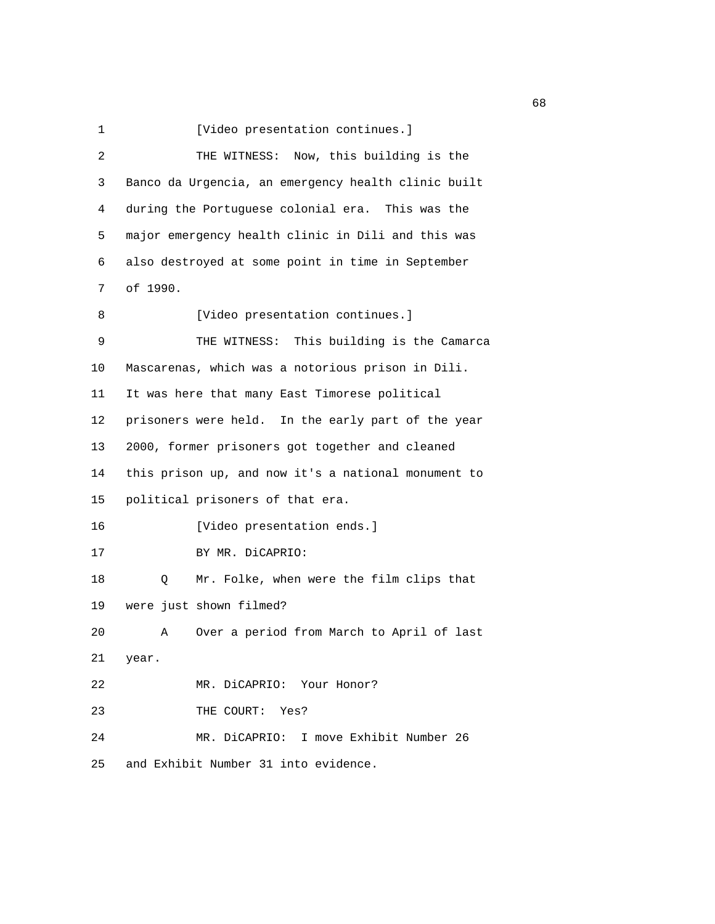1 [Video presentation continues.]

| 2  | THE WITNESS: Now, this building is the              |
|----|-----------------------------------------------------|
| 3  | Banco da Urgencia, an emergency health clinic built |
| 4  | during the Portuguese colonial era. This was the    |
| 5  | major emergency health clinic in Dili and this was  |
| 6  | also destroyed at some point in time in September   |
| 7  | of 1990.                                            |
| 8  | [Video presentation continues.]                     |
| 9  | THE WITNESS: This building is the Camarca           |
| 10 | Mascarenas, which was a notorious prison in Dili.   |
| 11 | It was here that many East Timorese political       |
| 12 | prisoners were held. In the early part of the year  |
| 13 | 2000, former prisoners got together and cleaned     |
| 14 | this prison up, and now it's a national monument to |
| 15 | political prisoners of that era.                    |
| 16 | [Video presentation ends.]                          |
| 17 | BY MR. DiCAPRIO:                                    |
| 18 | Mr. Folke, when were the film clips that<br>Q       |
| 19 | were just shown filmed?                             |
| 20 | Over a period from March to April of last<br>Α      |
| 21 | year.                                               |
| 22 | MR. DiCAPRIO: Your Honor?                           |
| 23 | THE COURT: Yes?                                     |
| 24 | MR. DiCAPRIO: I move Exhibit Number 26              |
| 25 | and Exhibit Number 31 into evidence.                |

experience of the contract of the contract of the contract of the contract of the contract of the contract of the contract of the contract of the contract of the contract of the contract of the contract of the contract of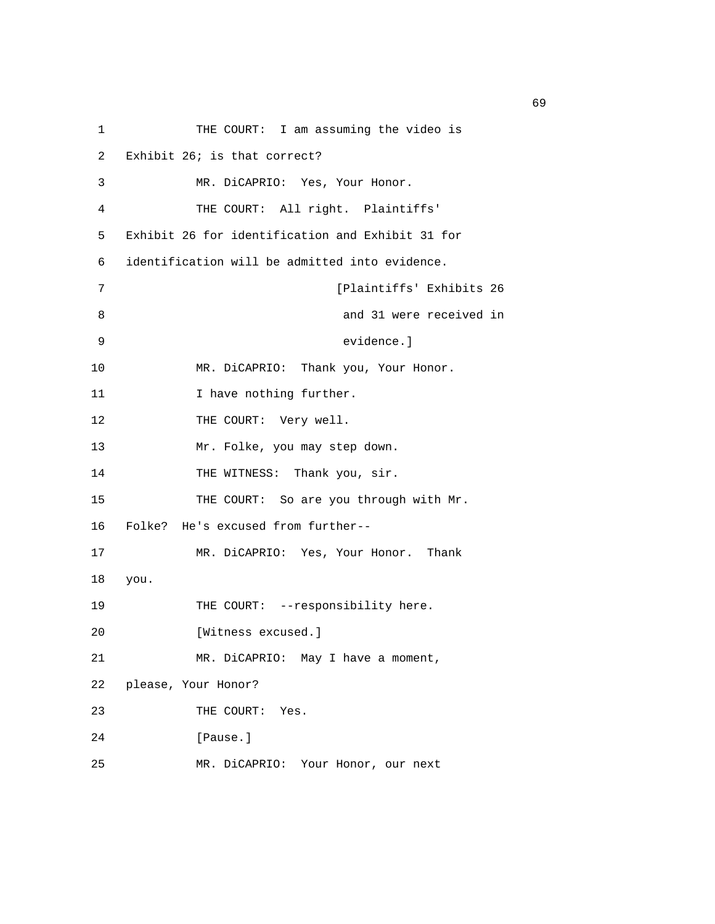| 1  | THE COURT: I am assuming the video is            |
|----|--------------------------------------------------|
| 2  | Exhibit 26; is that correct?                     |
| 3  | MR. DiCAPRIO: Yes, Your Honor.                   |
| 4  | THE COURT: All right. Plaintiffs'                |
| 5  | Exhibit 26 for identification and Exhibit 31 for |
| 6  | identification will be admitted into evidence.   |
| 7  | [Plaintiffs' Exhibits 26                         |
| 8  | and 31 were received in                          |
| 9  | evidence.]                                       |
| 10 | MR. DiCAPRIO: Thank you, Your Honor.             |
| 11 | I have nothing further.                          |
| 12 | THE COURT: Very well.                            |
| 13 | Mr. Folke, you may step down.                    |
| 14 | THE WITNESS: Thank you, sir.                     |
| 15 | THE COURT: So are you through with Mr.           |
| 16 | Folke? He's excused from further--               |
| 17 | MR. DiCAPRIO: Yes, Your Honor. Thank             |
| 18 | you.                                             |
| 19 | THE COURT: --responsibility here.                |
| 20 | [Witness excused.]                               |
| 21 | MR. DiCAPRIO: May I have a moment,               |
| 22 | please, Your Honor?                              |
| 23 | THE COURT:<br>Yes.                               |
| 24 | [Pause.]                                         |
| 25 | MR. DiCAPRIO: Your Honor, our next               |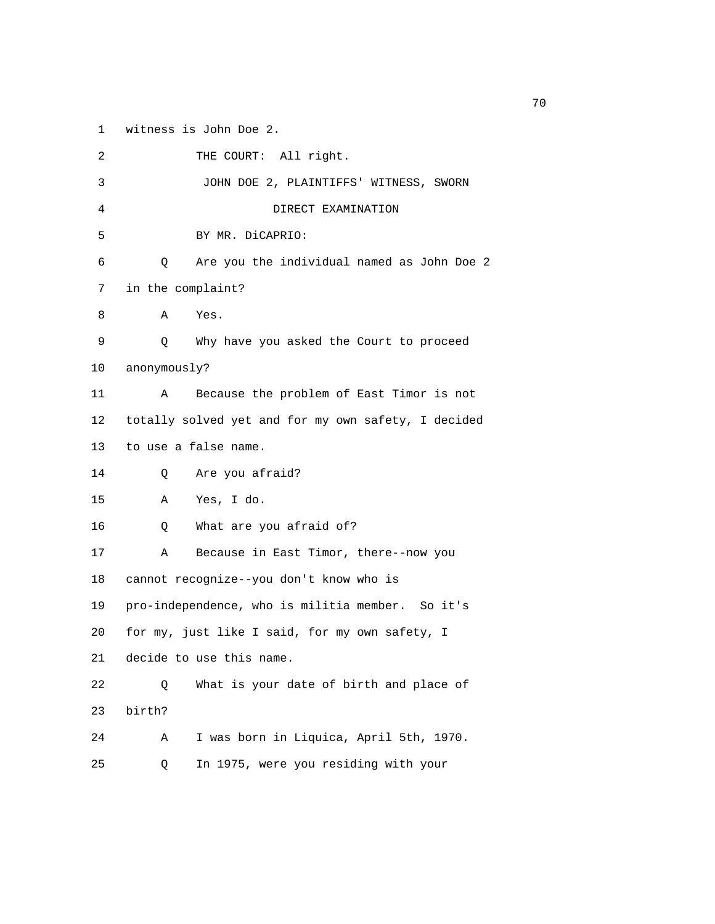1 witness is John Doe 2.

| 2  | THE COURT: All right.                               |
|----|-----------------------------------------------------|
| 3  | JOHN DOE 2, PLAINTIFFS' WITNESS, SWORN              |
| 4  | DIRECT EXAMINATION                                  |
| 5  | BY MR. DiCAPRIO:                                    |
| 6  | Are you the individual named as John Doe 2<br>Q     |
| 7  | in the complaint?                                   |
| 8  | Yes.<br>Α                                           |
| 9  | Why have you asked the Court to proceed<br>Q        |
| 10 | anonymously?                                        |
| 11 | Because the problem of East Timor is not<br>Α       |
| 12 | totally solved yet and for my own safety, I decided |
| 13 | to use a false name.                                |
| 14 | Are you afraid?<br>Q                                |
| 15 | Yes, I do.<br>Α                                     |
| 16 | What are you afraid of?<br>Q                        |
| 17 | Because in East Timor, there--now you<br>Α          |
| 18 | cannot recognize--you don't know who is             |
| 19 | pro-independence, who is militia member. So it's    |
| 20 | for my, just like I said, for my own safety, I      |
| 21 | decide to use this name.                            |
| 22 | What is your date of birth and place of<br>Q        |
| 23 | birth?                                              |
| 24 | I was born in Liquica, April 5th, 1970.<br>Α        |
| 25 | In 1975, were you residing with your<br>Q           |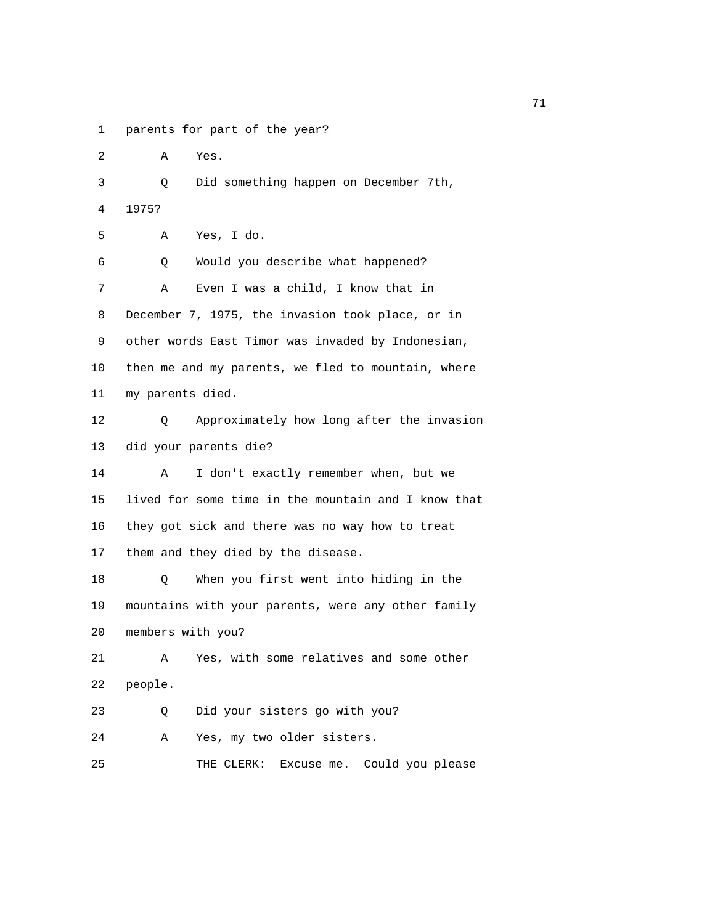1 parents for part of the year?

2 A Yes.

 3 Q Did something happen on December 7th, 4 1975?

5 A Yes, I do.

| 6  | Would you describe what happened?<br>Q              |
|----|-----------------------------------------------------|
| 7  | Even I was a child, I know that in<br>Α             |
| 8  | December 7, 1975, the invasion took place, or in    |
| 9  | other words East Timor was invaded by Indonesian,   |
| 10 | then me and my parents, we fled to mountain, where  |
| 11 | my parents died.                                    |
| 12 | Approximately how long after the invasion<br>O      |
| 13 | did your parents die?                               |
| 14 | I don't exactly remember when, but we<br>Α          |
| 15 | lived for some time in the mountain and I know that |
| 16 | they got sick and there was no way how to treat     |
| 17 | them and they died by the disease.                  |
| 18 | When you first went into hiding in the<br>Q         |
| 19 | mountains with your parents, were any other family  |
| 20 | members with you?                                   |
| 21 | Yes, with some relatives and some other<br>Α        |
| 22 | people.                                             |

23 Q Did your sisters go with you?

24 A Yes, my two older sisters.

25 THE CLERK: Excuse me. Could you please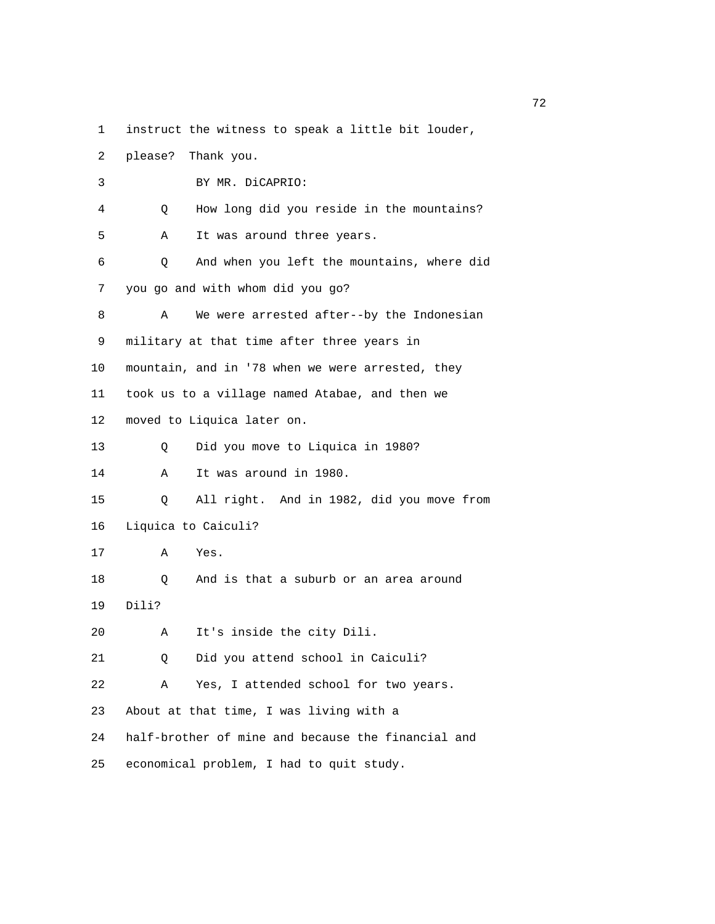- 1 instruct the witness to speak a little bit louder,
- 2 please? Thank you.

| 3  | BY MR. DiCAPRIO:                                   |
|----|----------------------------------------------------|
| 4  | How long did you reside in the mountains?<br>Q     |
| 5  | It was around three years.<br>Α                    |
| 6  | And when you left the mountains, where did<br>Q    |
| 7  | you go and with whom did you go?                   |
| 8  | We were arrested after--by the Indonesian<br>Α     |
| 9  | military at that time after three years in         |
| 10 | mountain, and in '78 when we were arrested, they   |
| 11 | took us to a village named Atabae, and then we     |
| 12 | moved to Liquica later on.                         |
| 13 | Did you move to Liquica in 1980?<br>Q              |
| 14 | It was around in 1980.<br>Α                        |
| 15 | All right. And in 1982, did you move from<br>Q     |
| 16 | Liquica to Caiculi?                                |
| 17 | Α<br>Yes.                                          |
| 18 | And is that a suburb or an area around<br>Q        |
| 19 | Dili?                                              |
| 20 | It's inside the city Dili.<br>Α                    |
| 21 | Did you attend school in Caiculi?<br>Q             |
| 22 | Yes, I attended school for two years.<br>Α         |
| 23 | About at that time, I was living with a            |
| 24 | half-brother of mine and because the financial and |
| 25 | economical problem, I had to quit study.           |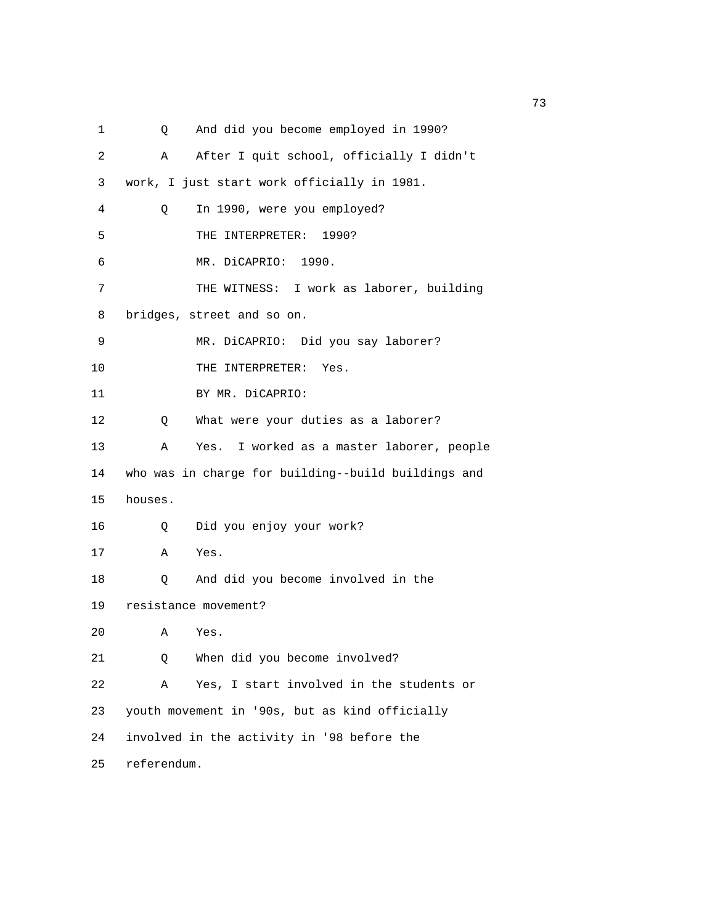1 Q And did you become employed in 1990? 2 A After I quit school, officially I didn't 3 work, I just start work officially in 1981. 4 Q In 1990, were you employed? 5 THE INTERPRETER: 1990? 6 MR. DiCAPRIO: 1990. 7 THE WITNESS: I work as laborer, building 8 bridges, street and so on. 9 MR. DiCAPRIO: Did you say laborer? 10 THE INTERPRETER: Yes. 11 BY MR. DiCAPRIO: 12 Q What were your duties as a laborer? 13 A Yes. I worked as a master laborer, people 14 who was in charge for building--build buildings and 15 houses. 16 Q Did you enjoy your work? 17 A Yes. 18 Q And did you become involved in the 19 resistance movement? 20 A Yes. 21 Q When did you become involved? 22 A Yes, I start involved in the students or 23 youth movement in '90s, but as kind officially 24 involved in the activity in '98 before the 25 referendum.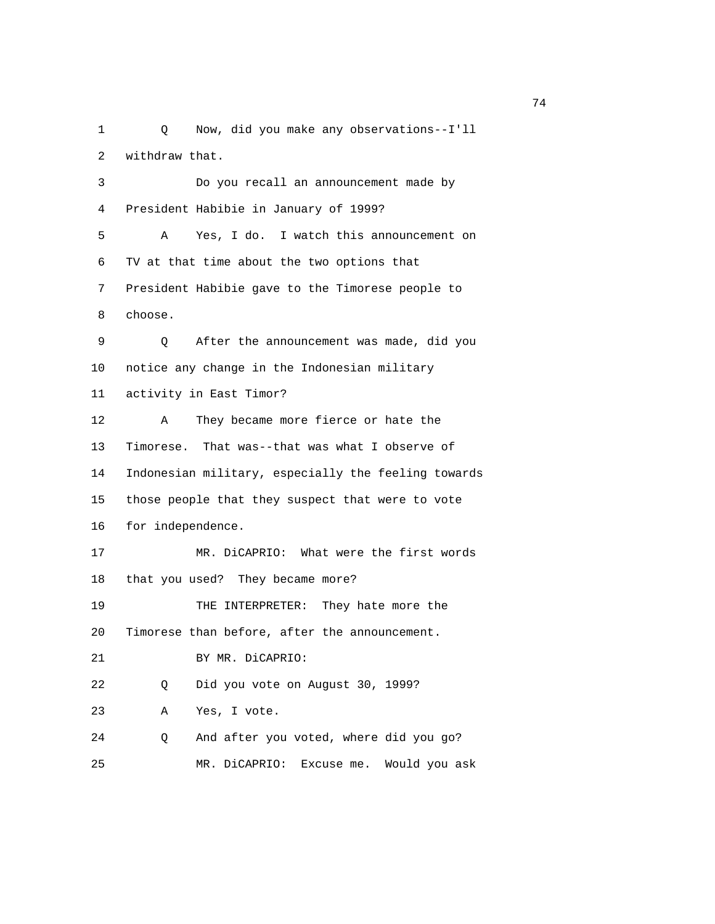1 Q Now, did you make any observations--I'll 2 withdraw that. 3 Do you recall an announcement made by 4 President Habibie in January of 1999? 5 A Yes, I do. I watch this announcement on 6 TV at that time about the two options that 7 President Habibie gave to the Timorese people to 8 choose. 9 Q After the announcement was made, did you 10 notice any change in the Indonesian military 11 activity in East Timor? 12 A They became more fierce or hate the 13 Timorese. That was--that was what I observe of 14 Indonesian military, especially the feeling towards 15 those people that they suspect that were to vote 16 for independence. 17 MR. DiCAPRIO: What were the first words 18 that you used? They became more? 19 THE INTERPRETER: They hate more the 20 Timorese than before, after the announcement. 21 BY MR. DiCAPRIO: 22 Q Did you vote on August 30, 1999? 23 A Yes, I vote. 24 Q And after you voted, where did you go? 25 MR. DiCAPRIO: Excuse me. Would you ask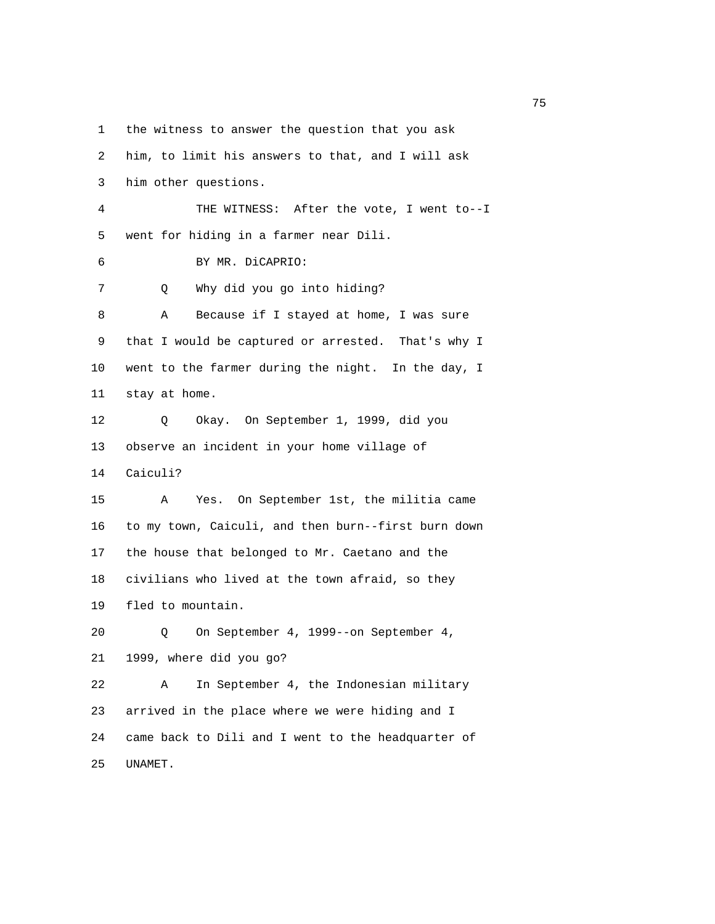1 the witness to answer the question that you ask

 2 him, to limit his answers to that, and I will ask 3 him other questions. 4 THE WITNESS: After the vote, I went to--I 5 went for hiding in a farmer near Dili. 6 BY MR. DiCAPRIO: 7 Q Why did you go into hiding? 8 A Because if I stayed at home, I was sure 9 that I would be captured or arrested. That's why I 10 went to the farmer during the night. In the day, I 11 stay at home. 12 Q Okay. On September 1, 1999, did you 13 observe an incident in your home village of 14 Caiculi? 15 A Yes. On September 1st, the militia came 16 to my town, Caiculi, and then burn--first burn down 17 the house that belonged to Mr. Caetano and the 18 civilians who lived at the town afraid, so they 19 fled to mountain. 20 Q On September 4, 1999--on September 4, 21 1999, where did you go? 22 A In September 4, the Indonesian military 23 arrived in the place where we were hiding and I 24 came back to Dili and I went to the headquarter of 25 UNAMET.

na a shekarar 175 a tsara tsara 175 a tsara tsara 175 a tsara tsara tsara 175 a tsara tsara tsara tsara tsara <br>Ta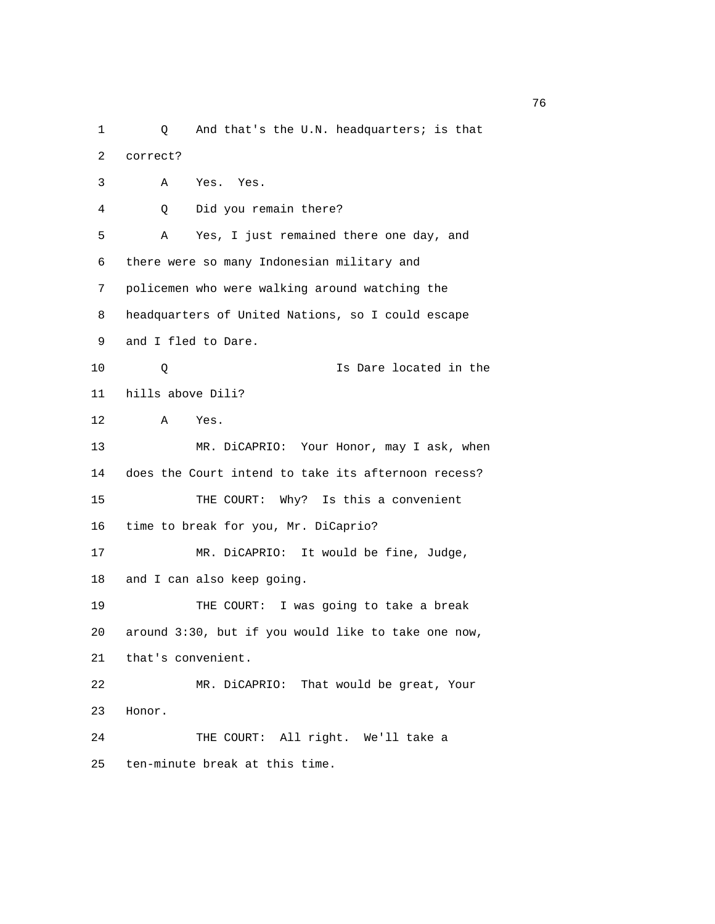1 Q And that's the U.N. headquarters; is that 2 correct? 3 A Yes. Yes. 4 Q Did you remain there? 5 A Yes, I just remained there one day, and 6 there were so many Indonesian military and 7 policemen who were walking around watching the 8 headquarters of United Nations, so I could escape 9 and I fled to Dare. 10 Q Is Dare located in the 11 hills above Dili? 12 A Yes. 13 MR. DiCAPRIO: Your Honor, may I ask, when 14 does the Court intend to take its afternoon recess? 15 THE COURT: Why? Is this a convenient 16 time to break for you, Mr. DiCaprio? 17 MR. DiCAPRIO: It would be fine, Judge, 18 and I can also keep going. 19 THE COURT: I was going to take a break 20 around 3:30, but if you would like to take one now, 21 that's convenient. 22 MR. DiCAPRIO: That would be great, Your 23 Honor. 24 THE COURT: All right. We'll take a 25 ten-minute break at this time.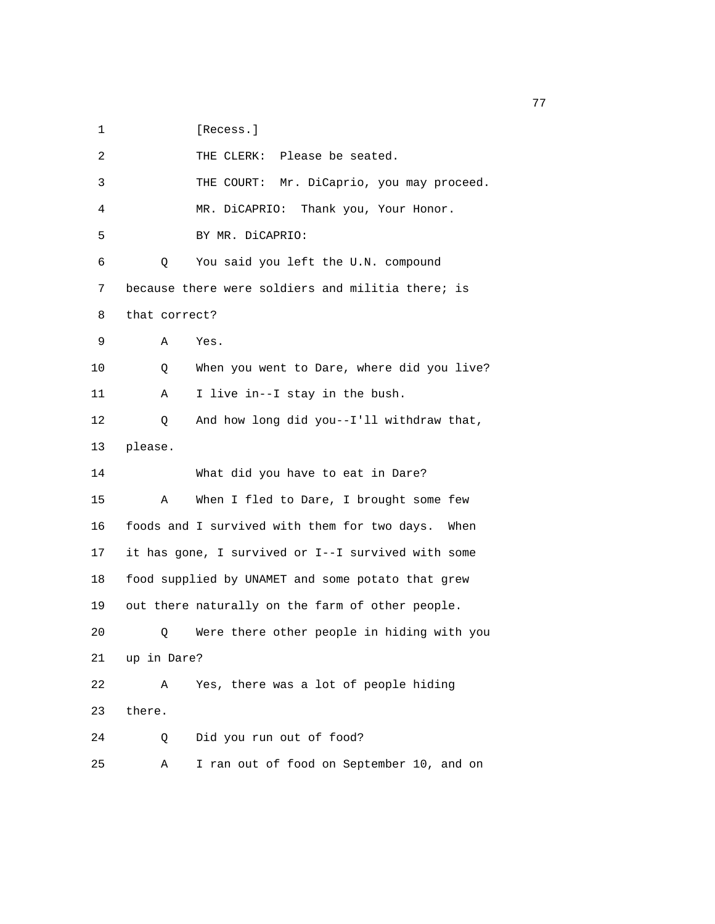1 [Recess.]

| 2  | Please be seated.<br>THE CLERK:                      |
|----|------------------------------------------------------|
| 3  | Mr. DiCaprio, you may proceed.<br>THE COURT:         |
| 4  | MR. DiCAPRIO:<br>Thank you, Your Honor.              |
| 5  | BY MR. DiCAPRIO:                                     |
| 6  | Q<br>You said you left the U.N. compound             |
| 7  | because there were soldiers and militia there; is    |
| 8  | that correct?                                        |
| 9  | Α<br>Yes.                                            |
| 10 | When you went to Dare, where did you live?<br>Q      |
| 11 | I live in--I stay in the bush.<br>Α                  |
| 12 | And how long did you--I'll withdraw that,<br>Q       |
| 13 | please.                                              |
| 14 | What did you have to eat in Dare?                    |
| 15 | Α<br>When I fled to Dare, I brought some few         |
| 16 | foods and I survived with them for two days.<br>When |
| 17 | it has gone, I survived or I--I survived with some   |
| 18 | food supplied by UNAMET and some potato that grew    |
| 19 | out there naturally on the farm of other people.     |
| 20 | Were there other people in hiding with you<br>Q      |
| 21 | up in Dare?                                          |
| 22 | Yes, there was a lot of people hiding<br>Α           |
| 23 | there.                                               |
| 24 | Did you run out of food?<br>Q                        |
| 25 | I ran out of food on September 10, and on<br>Α       |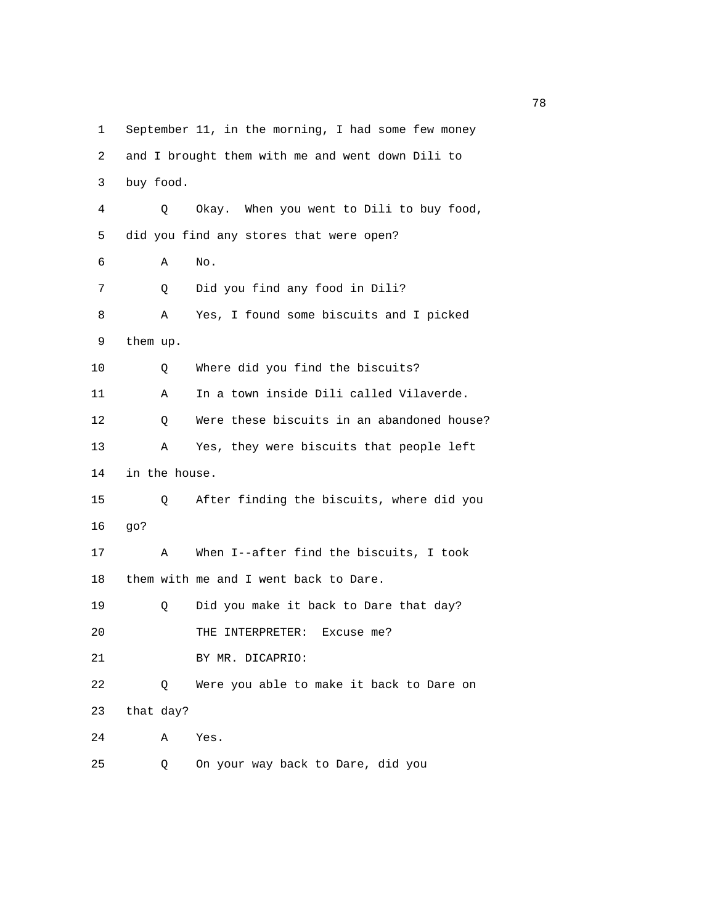1 September 11, in the morning, I had some few money 2 and I brought them with me and went down Dili to 3 buy food. 4 Q Okay. When you went to Dili to buy food, 5 did you find any stores that were open? 6 A No. 7 Q Did you find any food in Dili? 8 A Yes, I found some biscuits and I picked 9 them up. 10 Q Where did you find the biscuits? 11 A In a town inside Dili called Vilaverde. 12 Q Were these biscuits in an abandoned house? 13 A Yes, they were biscuits that people left 14 in the house. 15 Q After finding the biscuits, where did you 16 go? 17 A When I--after find the biscuits, I took 18 them with me and I went back to Dare. 19 Q Did you make it back to Dare that day? 20 THE INTERPRETER: Excuse me? 21 BY MR. DICAPRIO: 22 Q Were you able to make it back to Dare on 23 that day? 24 A Yes. 25 Q On your way back to Dare, did you

n a shekarar 178 a tsara tsara tsara tsara tsara tsara tsara tsara tsara tsara tsara tsara tsara tsara tsara t<br>Ta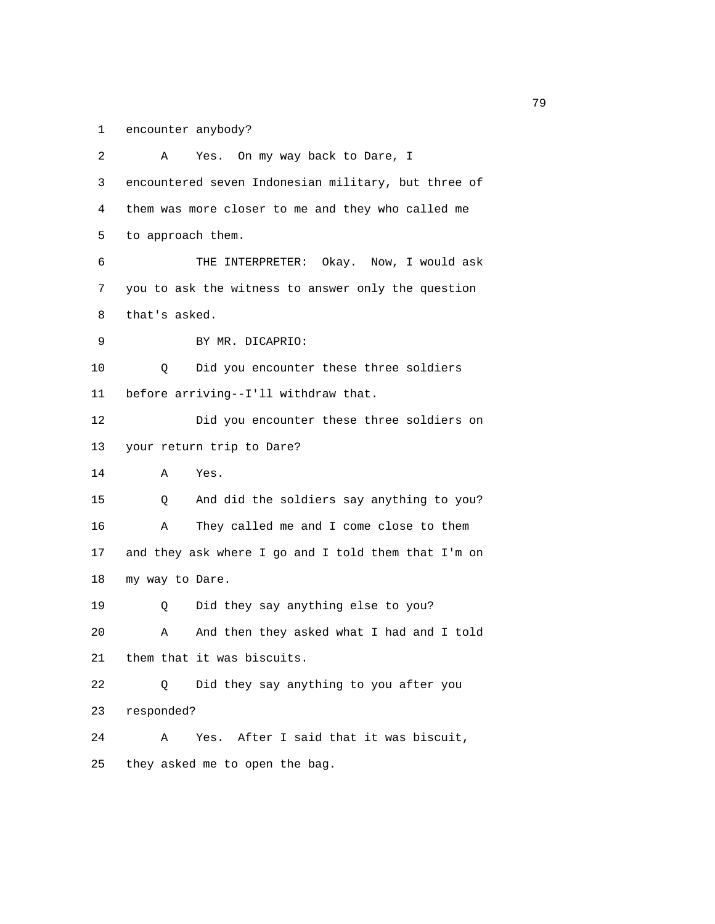1 encounter anybody?

| 2  | Yes. On my way back to Dare, I<br>Α                 |
|----|-----------------------------------------------------|
| 3  | encountered seven Indonesian military, but three of |
| 4  | them was more closer to me and they who called me   |
| 5  | to approach them.                                   |
| 6  | THE INTERPRETER: Okay. Now, I would ask             |
| 7  | you to ask the witness to answer only the question  |
| 8  | that's asked.                                       |
| 9  | BY MR. DICAPRIO:                                    |
| 10 | Did you encounter these three soldiers<br>Q         |
| 11 | before arriving--I'll withdraw that.                |
| 12 | Did you encounter these three soldiers on           |
| 13 | your return trip to Dare?                           |
| 14 | Yes.<br>Α                                           |
| 15 | And did the soldiers say anything to you?<br>Q      |
| 16 | They called me and I come close to them<br>Α        |
| 17 | and they ask where I go and I told them that I'm on |
| 18 | my way to Dare.                                     |
| 19 | Did they say anything else to you?<br>Q             |
| 20 | And then they asked what I had and I told<br>Α      |
| 21 | them that it was biscuits.                          |
| 22 | Did they say anything to you after you<br>Q         |
| 23 | responded?                                          |
| 24 | After I said that it was biscuit,<br>Α<br>Yes.      |
| 25 | they asked me to open the bag.                      |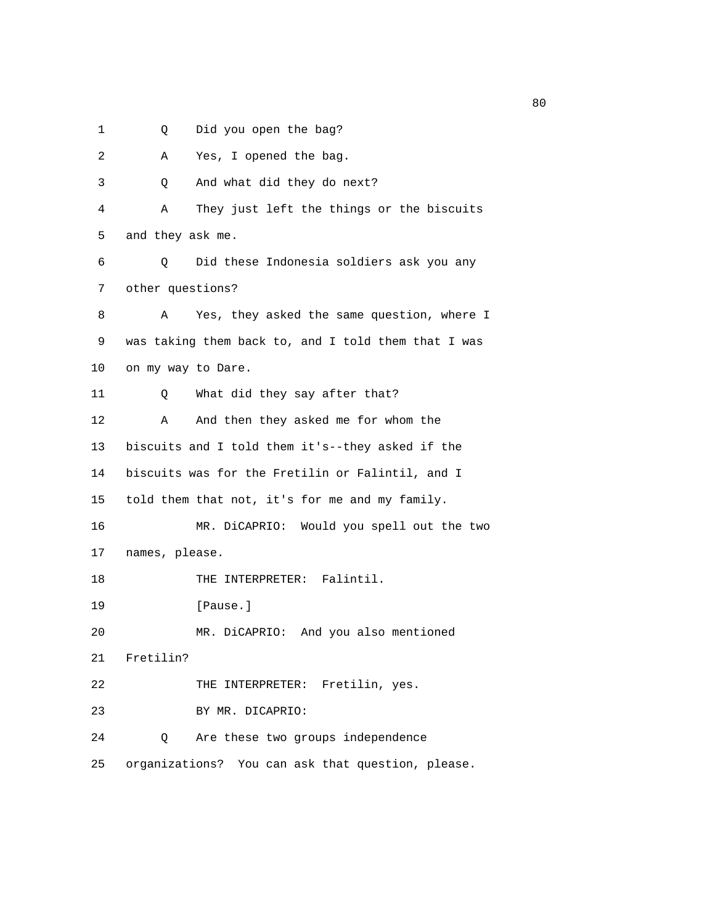- 
- 1 Q Did you open the bag?

| 2  | Yes, I opened the bag.<br>Α                         |
|----|-----------------------------------------------------|
| 3  | And what did they do next?<br>Q                     |
| 4  | They just left the things or the biscuits<br>Α      |
| 5  | and they ask me.                                    |
| 6  | Did these Indonesia soldiers ask you any<br>Q       |
| 7  | other questions?                                    |
| 8  | Yes, they asked the same question, where I<br>Α     |
| 9  | was taking them back to, and I told them that I was |
| 10 | on my way to Dare.                                  |
| 11 | What did they say after that?<br>Q                  |
| 12 | And then they asked me for whom the<br>Α            |
| 13 | biscuits and I told them it's--they asked if the    |
| 14 | biscuits was for the Fretilin or Falintil, and I    |
| 15 | told them that not, it's for me and my family.      |
| 16 | MR. DiCAPRIO: Would you spell out the two           |
| 17 | names, please.                                      |
| 18 | THE INTERPRETER: Falintil.                          |
| 19 | [Pause.]                                            |
| 20 | MR. DiCAPRIO: And you also mentioned                |
| 21 | Fretilin?                                           |
| 22 | THE INTERPRETER: Fretilin, yes.                     |
| 23 | BY MR. DICAPRIO:                                    |
| 24 | Are these two groups independence<br>Q              |
| 25 | organizations? You can ask that question, please.   |

experience of the state of the state of the state of the state of the state of the state of the state of the s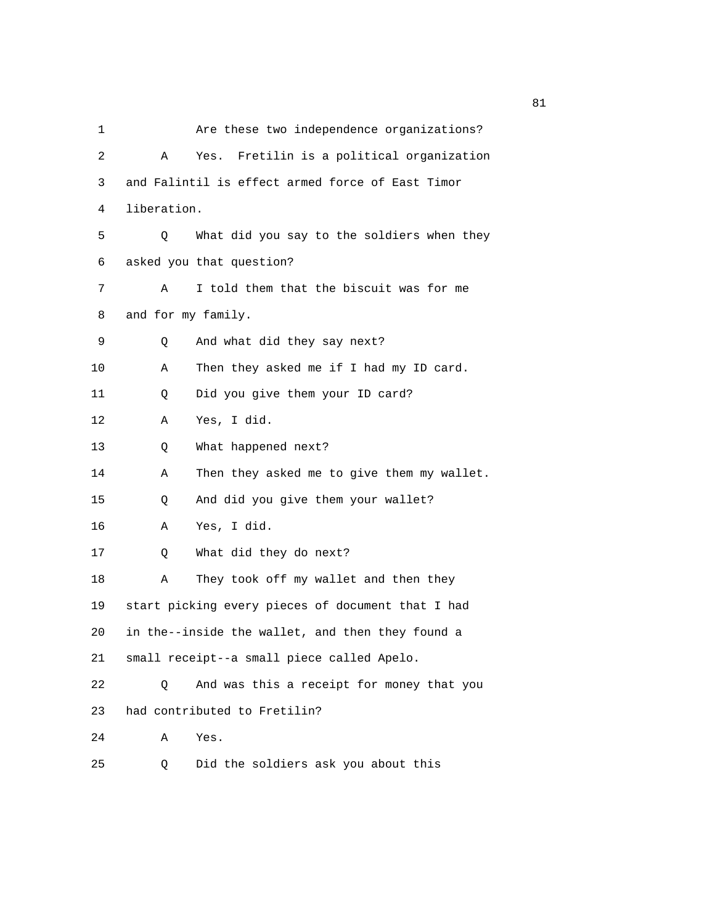| 1  |                    | Are these two independence organizations?         |
|----|--------------------|---------------------------------------------------|
| 2  | Α                  | Yes. Fretilin is a political organization         |
| 3  |                    | and Falintil is effect armed force of East Timor  |
| 4  | liberation.        |                                                   |
| 5  | Q                  | What did you say to the soldiers when they        |
| 6  |                    | asked you that question?                          |
| 7  | Α                  | I told them that the biscuit was for me           |
| 8  | and for my family. |                                                   |
| 9  | Q                  | And what did they say next?                       |
| 10 | Α                  | Then they asked me if I had my ID card.           |
| 11 | Q                  | Did you give them your ID card?                   |
| 12 | А                  | Yes, I did.                                       |
| 13 | Q                  | What happened next?                               |
| 14 | Α                  | Then they asked me to give them my wallet.        |
| 15 | Q                  | And did you give them your wallet?                |
| 16 | Α                  | Yes, I did.                                       |
| 17 | Q                  | What did they do next?                            |
| 18 | Α                  | They took off my wallet and then they             |
| 19 |                    | start picking every pieces of document that I had |
| 20 |                    | in the--inside the wallet, and then they found a  |
| 21 |                    | small receipt--a small piece called Apelo.        |
| 22 | Q                  | And was this a receipt for money that you         |
| 23 |                    | had contributed to Fretilin?                      |
| 24 | Α                  | Yes.                                              |
| 25 | Q                  | Did the soldiers ask you about this               |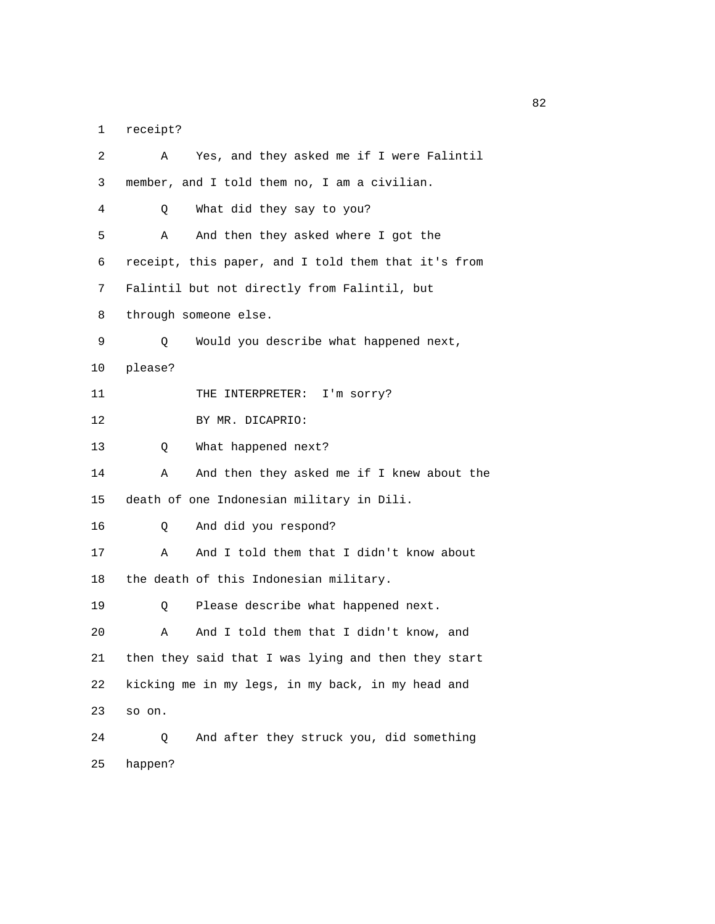1 receipt?

| 2  | Yes, and they asked me if I were Falintil<br>Α      |
|----|-----------------------------------------------------|
| 3  | member, and I told them no, I am a civilian.        |
| 4  | What did they say to you?<br>Q.                     |
| 5  | And then they asked where I got the<br>Α            |
| 6  | receipt, this paper, and I told them that it's from |
| 7  | Falintil but not directly from Falintil, but        |
| 8  | through someone else.                               |
| 9  | Would you describe what happened next,<br>Q         |
| 10 | please?                                             |
| 11 | THE INTERPRETER: I'm sorry?                         |
| 12 | BY MR. DICAPRIO:                                    |
| 13 | What happened next?<br>Q                            |
| 14 | And then they asked me if I knew about the<br>Α     |
| 15 | death of one Indonesian military in Dili.           |
| 16 | And did you respond?<br>Q                           |
| 17 | And I told them that I didn't know about<br>Α       |
| 18 | the death of this Indonesian military.              |
| 19 | Please describe what happened next.<br>Q            |
| 20 | And I told them that I didn't know, and<br>Α        |
| 21 | then they said that I was lying and then they start |
| 22 | kicking me in my legs, in my back, in my head and   |
| 23 | so on.                                              |
| 24 | And after they struck you, did something<br>Q       |
| 25 | happen?                                             |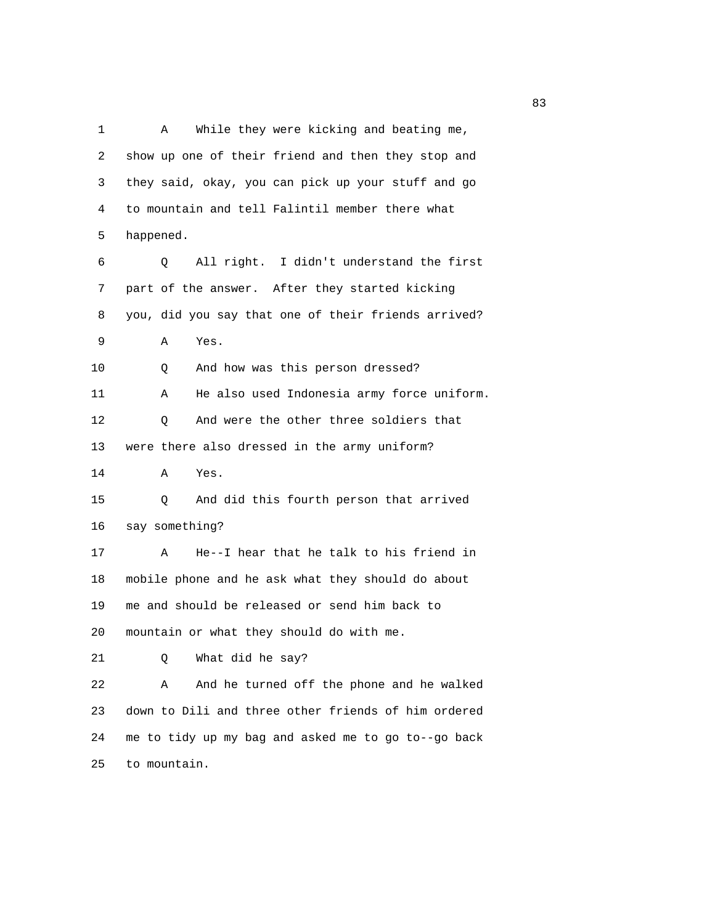1 A While they were kicking and beating me, 2 show up one of their friend and then they stop and 3 they said, okay, you can pick up your stuff and go 4 to mountain and tell Falintil member there what 5 happened. 6 Q All right. I didn't understand the first 7 part of the answer. After they started kicking 8 you, did you say that one of their friends arrived? 9 A Yes. 10 Q And how was this person dressed? 11 A He also used Indonesia army force uniform. 12 Q And were the other three soldiers that 13 were there also dressed in the army uniform? 14 A Yes. 15 Q And did this fourth person that arrived 16 say something? 17 A He--I hear that he talk to his friend in 18 mobile phone and he ask what they should do about 19 me and should be released or send him back to 20 mountain or what they should do with me. 21 Q What did he say? 22 A And he turned off the phone and he walked 23 down to Dili and three other friends of him ordered 24 me to tidy up my bag and asked me to go to--go back 25 to mountain.

experience of the state of the state of the state of the state of the state of the state of the state of the s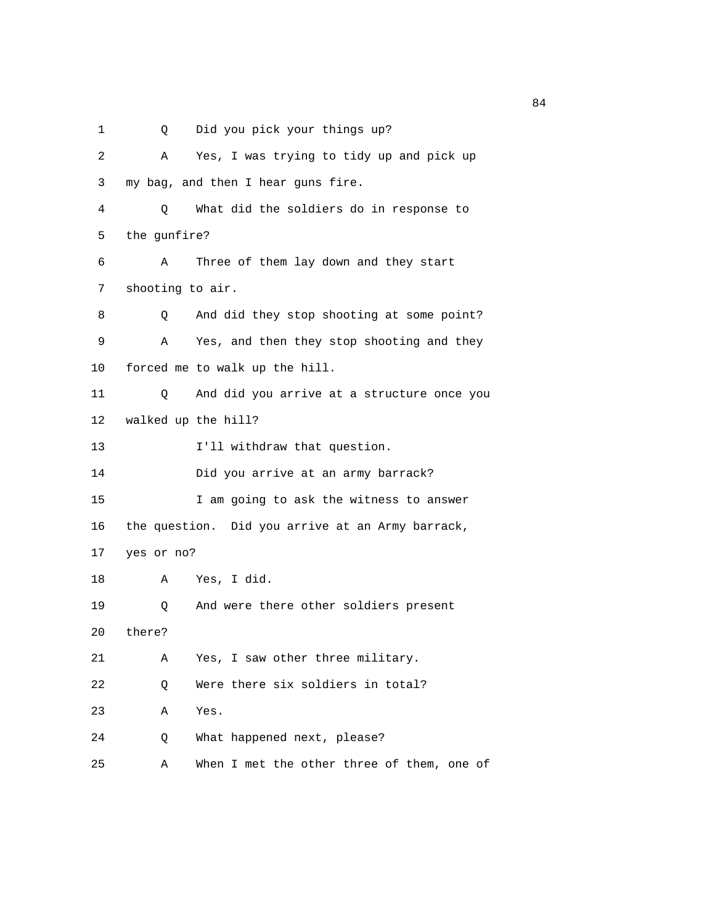1 Q Did you pick your things up?

| 2  | Α                | Yes, I was trying to tidy up and pick up         |
|----|------------------|--------------------------------------------------|
| 3  |                  | my bag, and then I hear guns fire.               |
| 4  | Q.               | What did the soldiers do in response to          |
| 5  | the gunfire?     |                                                  |
| 6  | Α                | Three of them lay down and they start            |
| 7  | shooting to air. |                                                  |
| 8  | Q                | And did they stop shooting at some point?        |
| 9  | Α                | Yes, and then they stop shooting and they        |
| 10 |                  | forced me to walk up the hill.                   |
| 11 | Q                | And did you arrive at a structure once you       |
| 12 |                  | walked up the hill?                              |
| 13 |                  | I'll withdraw that question.                     |
| 14 |                  | Did you arrive at an army barrack?               |
| 15 |                  | I am going to ask the witness to answer          |
| 16 |                  | the question. Did you arrive at an Army barrack, |
| 17 | yes or no?       |                                                  |
| 18 | Α                | Yes, I did.                                      |
| 19 | Q                | And were there other soldiers present            |
| 20 | there?           |                                                  |
| 21 | Α                | Yes, I saw other three military.                 |
| 22 | Q                | Were there six soldiers in total?                |
| 23 | Α                | Yes.                                             |
| 24 | Q                | What happened next, please?                      |
| 25 | Α                | When I met the other three of them, one of       |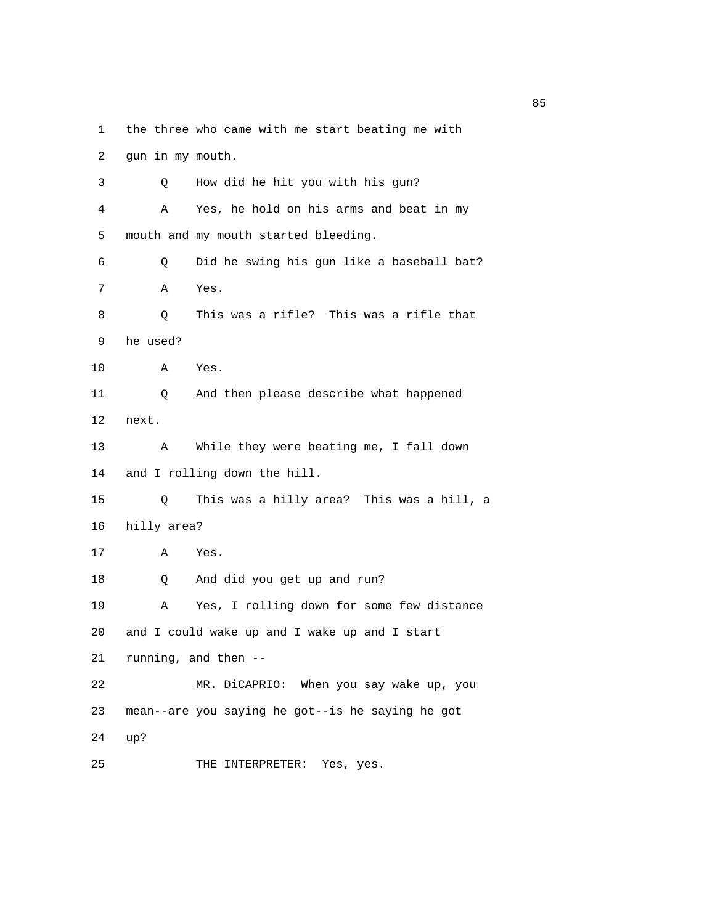1 the three who came with me start beating me with

 2 gun in my mouth. 3 Q How did he hit you with his gun? 4 A Yes, he hold on his arms and beat in my 5 mouth and my mouth started bleeding. 6 Q Did he swing his gun like a baseball bat? 7 A Yes. 8 Q This was a rifle? This was a rifle that 9 he used? 10 A Yes. 11 Q And then please describe what happened 12 next. 13 A While they were beating me, I fall down 14 and I rolling down the hill. 15 Q This was a hilly area? This was a hill, a 16 hilly area? 17 A Yes. 18 Q And did you get up and run? 19 A Yes, I rolling down for some few distance 20 and I could wake up and I wake up and I start 21 running, and then -- 22 MR. DiCAPRIO: When you say wake up, you 23 mean--are you saying he got--is he saying he got 24 up? 25 THE INTERPRETER: Yes, yes.

experience of the state of the state of the state of the state of the state of the state of the state of the s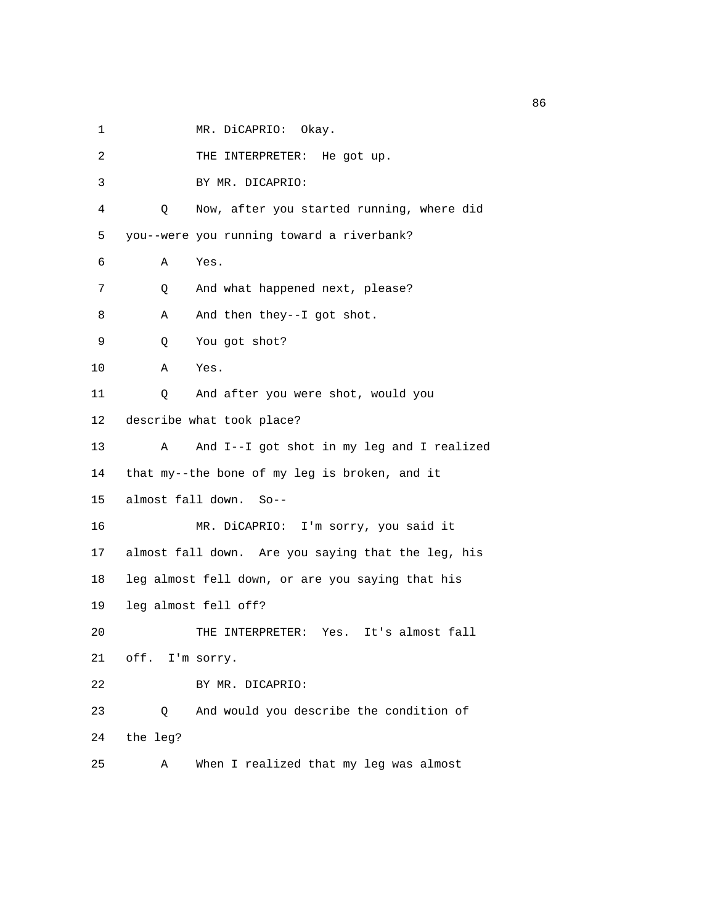1 MR. DiCAPRIO: Okay.

| 2  | THE INTERPRETER: He got up.                        |
|----|----------------------------------------------------|
| 3  | BY MR. DICAPRIO:                                   |
| 4  | Now, after you started running, where did<br>Q     |
| 5  | you--were you running toward a riverbank?          |
| 6  | Α<br>Yes.                                          |
| 7  | And what happened next, please?<br>Q               |
| 8  | And then they--I got shot.<br>Α                    |
| 9  | You got shot?<br>Q                                 |
| 10 | Α<br>Yes.                                          |
| 11 | And after you were shot, would you<br>Q            |
| 12 | describe what took place?                          |
| 13 | And I--I got shot in my leg and I realized<br>Α    |
| 14 | that my--the bone of my leg is broken, and it      |
| 15 | almost fall down. So--                             |
| 16 | MR. DiCAPRIO: I'm sorry, you said it               |
| 17 | almost fall down. Are you saying that the leg, his |
| 18 | leg almost fell down, or are you saying that his   |
| 19 | leg almost fell off?                               |
| 20 | THE INTERPRETER: Yes. It's almost fall             |
| 21 | off. I'm sorry.                                    |
| 22 | BY MR. DICAPRIO:                                   |
| 23 | And would you describe the condition of<br>Q       |
| 24 | the leg?                                           |
| 25 | When I realized that my leg was almost<br>Α        |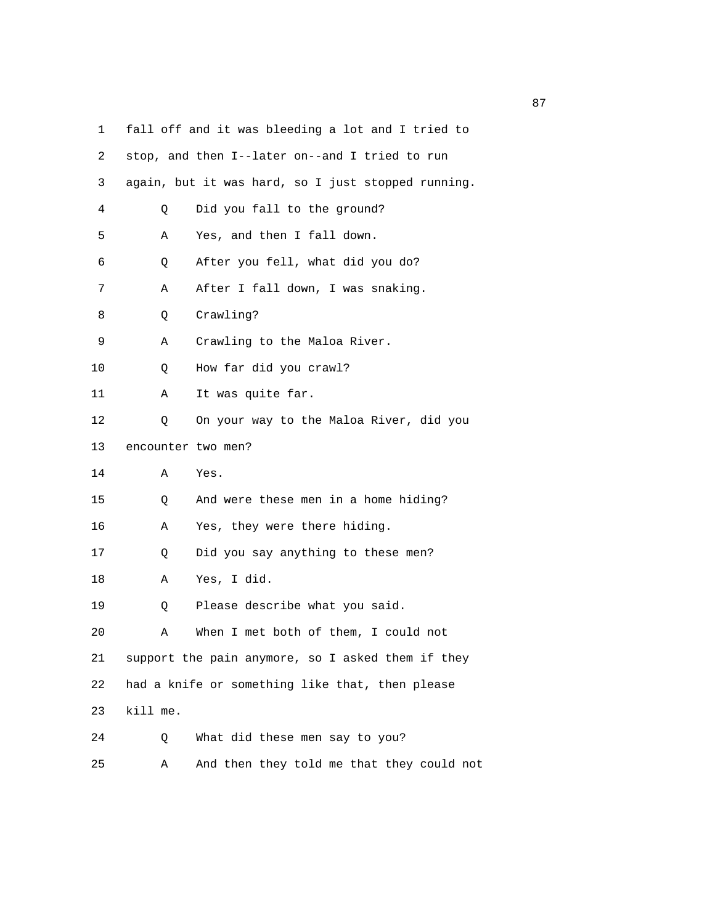1 fall off and it was bleeding a lot and I tried to 2 stop, and then I--later on--and I tried to run 3 again, but it was hard, so I just stopped running. 4 Q Did you fall to the ground? 5 A Yes, and then I fall down. 6 Q After you fell, what did you do? 7 A After I fall down, I was snaking. 8 Q Crawling? 9 A Crawling to the Maloa River. 10 Q How far did you crawl? 11 A It was quite far. 12 Q On your way to the Maloa River, did you 13 encounter two men? 14 A Yes. 15 Q And were these men in a home hiding? 16 A Yes, they were there hiding. 17 Q Did you say anything to these men? 18 A Yes, I did. 19 Q Please describe what you said. 20 A When I met both of them, I could not 21 support the pain anymore, so I asked them if they 22 had a knife or something like that, then please 23 kill me. 24 Q What did these men say to you? 25 A And then they told me that they could not

experience of the contract of the contract of the contract of the contract of the contract of the contract of the contract of the contract of the contract of the contract of the contract of the contract of the contract of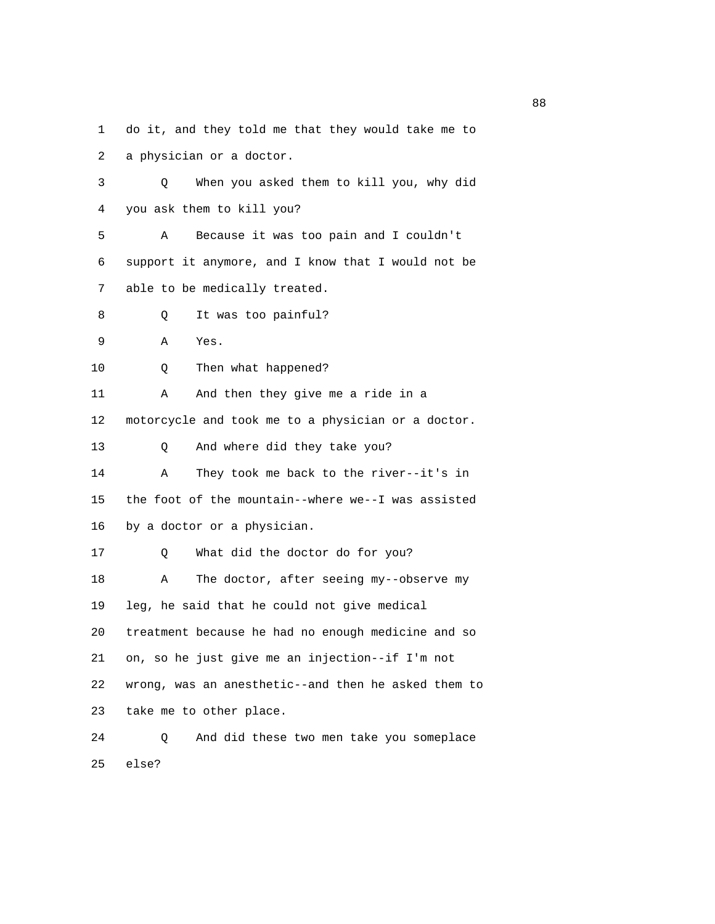1 do it, and they told me that they would take me to

2 a physician or a doctor.

 3 Q When you asked them to kill you, why did 4 you ask them to kill you? 5 A Because it was too pain and I couldn't 6 support it anymore, and I know that I would not be 7 able to be medically treated. 8 Q It was too painful? 9 A Yes. 10 Q Then what happened? 11 A And then they give me a ride in a 12 motorcycle and took me to a physician or a doctor. 13 Q And where did they take you? 14 A They took me back to the river--it's in 15 the foot of the mountain--where we--I was assisted 16 by a doctor or a physician. 17 Q What did the doctor do for you? 18 A The doctor, after seeing my--observe my 19 leg, he said that he could not give medical 20 treatment because he had no enough medicine and so 21 on, so he just give me an injection--if I'm not

 22 wrong, was an anesthetic--and then he asked them to 23 take me to other place.

 24 Q And did these two men take you someplace 25 else?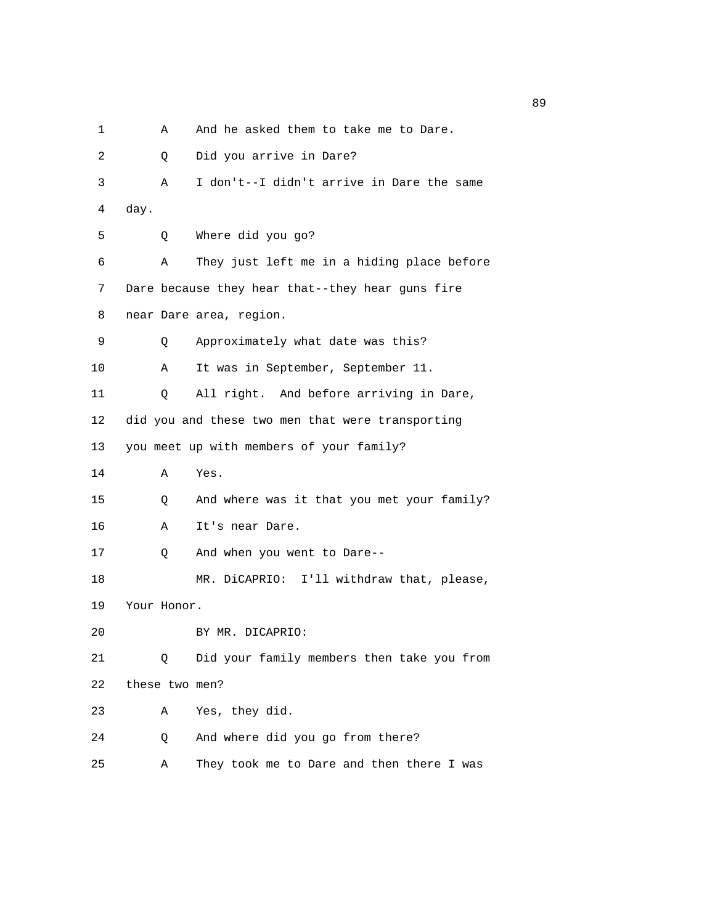1 A And he asked them to take me to Dare.

 2 Q Did you arrive in Dare? 3 A I don't--I didn't arrive in Dare the same 4 day. 5 Q Where did you go? 6 A They just left me in a hiding place before 7 Dare because they hear that--they hear guns fire 8 near Dare area, region. 9 Q Approximately what date was this? 10 A It was in September, September 11. 11 Q All right. And before arriving in Dare, 12 did you and these two men that were transporting 13 you meet up with members of your family? 14 A Yes. 15 Q And where was it that you met your family? 16 A It's near Dare. 17 Q And when you went to Dare-- 18 MR. DiCAPRIO: I'll withdraw that, please, 19 Your Honor. 20 BY MR. DICAPRIO: 21 Q Did your family members then take you from 22 these two men? 23 A Yes, they did. 24 Q And where did you go from there? 25 A They took me to Dare and then there I was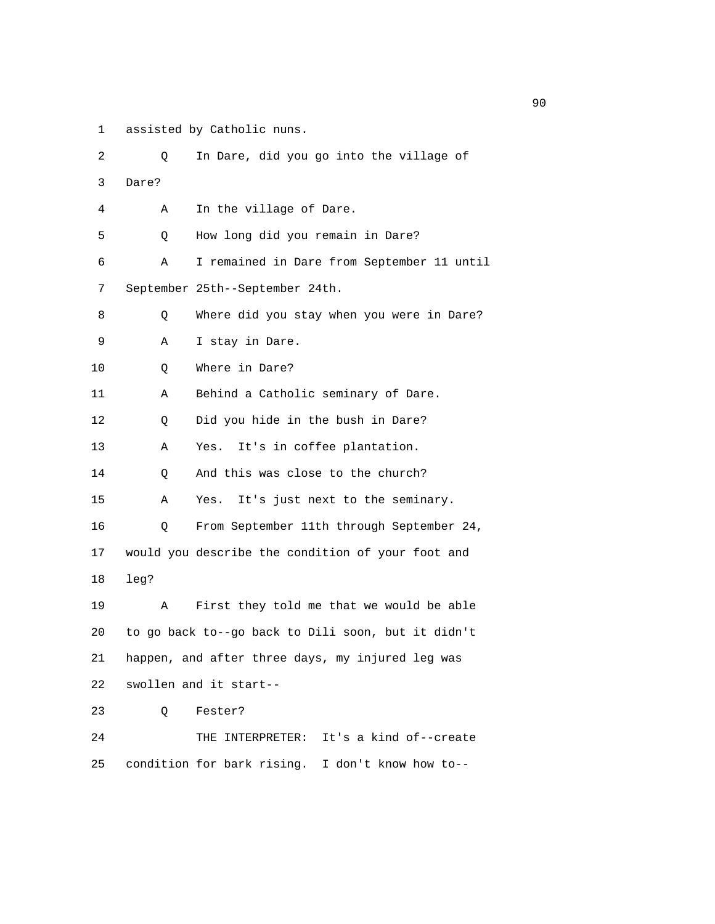1 assisted by Catholic nuns.

| 2  | Q     | In Dare, did you go into the village of            |
|----|-------|----------------------------------------------------|
| 3  | Dare? |                                                    |
| 4  | Α     | In the village of Dare.                            |
| 5  | Q     | How long did you remain in Dare?                   |
| 6  | Α     | I remained in Dare from September 11 until         |
| 7  |       | September 25th--September 24th.                    |
| 8  | Q     | Where did you stay when you were in Dare?          |
| 9  | Α     | I stay in Dare.                                    |
| 10 | Q     | Where in Dare?                                     |
| 11 | Α     | Behind a Catholic seminary of Dare.                |
| 12 | Q     | Did you hide in the bush in Dare?                  |
| 13 | Α     | It's in coffee plantation.<br>Yes.                 |
| 14 | Q     | And this was close to the church?                  |
| 15 | Α     | It's just next to the seminary.<br>Yes.            |
| 16 | Q     | From September 11th through September 24,          |
| 17 |       | would you describe the condition of your foot and  |
| 18 | leg?  |                                                    |
| 19 | Α     | First they told me that we would be able           |
| 20 |       | to go back to--go back to Dili soon, but it didn't |
| 21 |       | happen, and after three days, my injured leg was   |
| 22 |       | swollen and it start--                             |
| 23 | Q     | Fester?                                            |
| 24 |       | THE INTERPRETER: It's a kind of--create            |
| 25 |       | condition for bark rising. I don't know how to--   |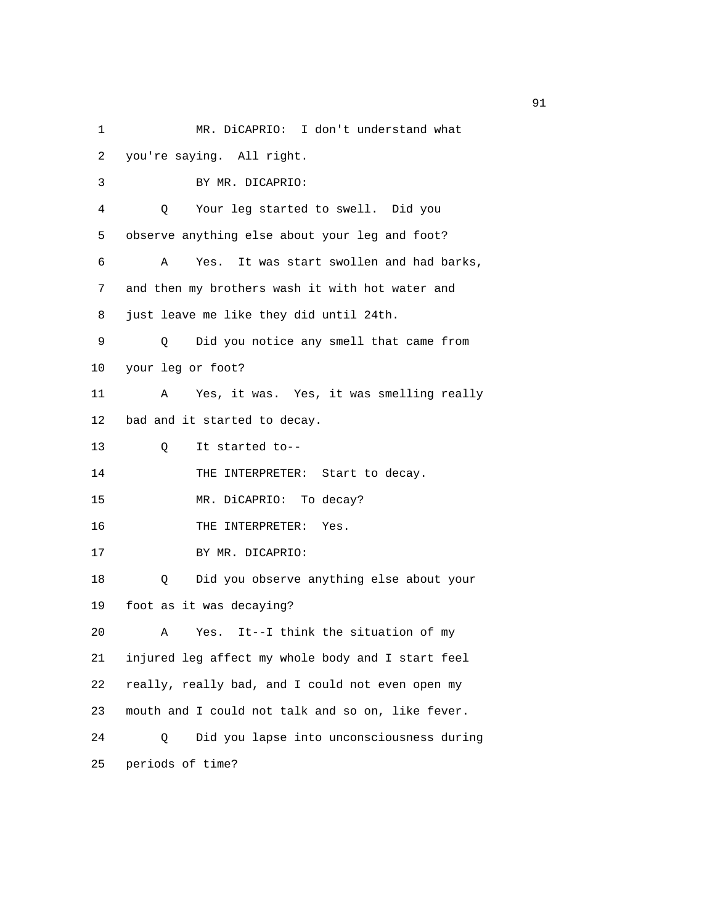1 MR. DiCAPRIO: I don't understand what 2 you're saying. All right. 3 BY MR. DICAPRIO: 4 Q Your leg started to swell. Did you 5 observe anything else about your leg and foot? 6 A Yes. It was start swollen and had barks, 7 and then my brothers wash it with hot water and 8 just leave me like they did until 24th. 9 Q Did you notice any smell that came from 10 your leg or foot? 11 A Yes, it was. Yes, it was smelling really 12 bad and it started to decay. 13 Q It started to-- 14 THE INTERPRETER: Start to decay. 15 MR. DiCAPRIO: To decay? 16 THE INTERPRETER: Yes. 17 BY MR. DICAPRIO: 18 Q Did you observe anything else about your 19 foot as it was decaying? 20 A Yes. It--I think the situation of my 21 injured leg affect my whole body and I start feel 22 really, really bad, and I could not even open my 23 mouth and I could not talk and so on, like fever. 24 Q Did you lapse into unconsciousness during 25 periods of time?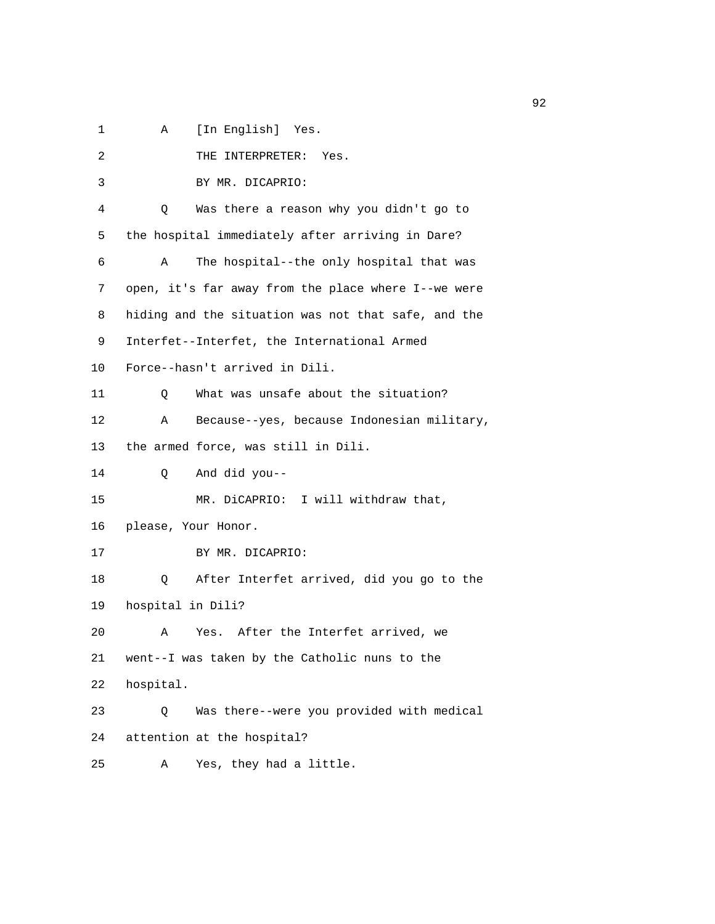1 A [In English] Yes.

| 2  | THE INTERPRETER: Yes.                               |
|----|-----------------------------------------------------|
| 3  | BY MR. DICAPRIO:                                    |
| 4  | Was there a reason why you didn't go to<br>Q        |
| 5  | the hospital immediately after arriving in Dare?    |
| 6  | The hospital--the only hospital that was<br>A       |
| 7  | open, it's far away from the place where I--we were |
| 8  | hiding and the situation was not that safe, and the |
| 9  | Interfet--Interfet, the International Armed         |
|    |                                                     |
| 10 | Force--hasn't arrived in Dili.                      |
| 11 | What was unsafe about the situation?<br>Q           |
| 12 | Because--yes, because Indonesian military,<br>Α     |
| 13 | the armed force, was still in Dili.                 |
| 14 | And did you--<br>Q                                  |
| 15 | MR. DiCAPRIO: I will withdraw that,                 |
| 16 | please, Your Honor.                                 |
| 17 | BY MR. DICAPRIO:                                    |
| 18 | After Interfet arrived, did you go to the<br>Q      |
| 19 | hospital in Dili?                                   |
| 20 | Yes. After the Interfet arrived, we<br>Α            |
| 21 | went--I was taken by the Catholic nuns to the       |
| 22 | hospital.                                           |
| 23 | Was there--were you provided with medical<br>Q      |
| 24 | attention at the hospital?                          |
| 25 | Yes, they had a little.<br>Α                        |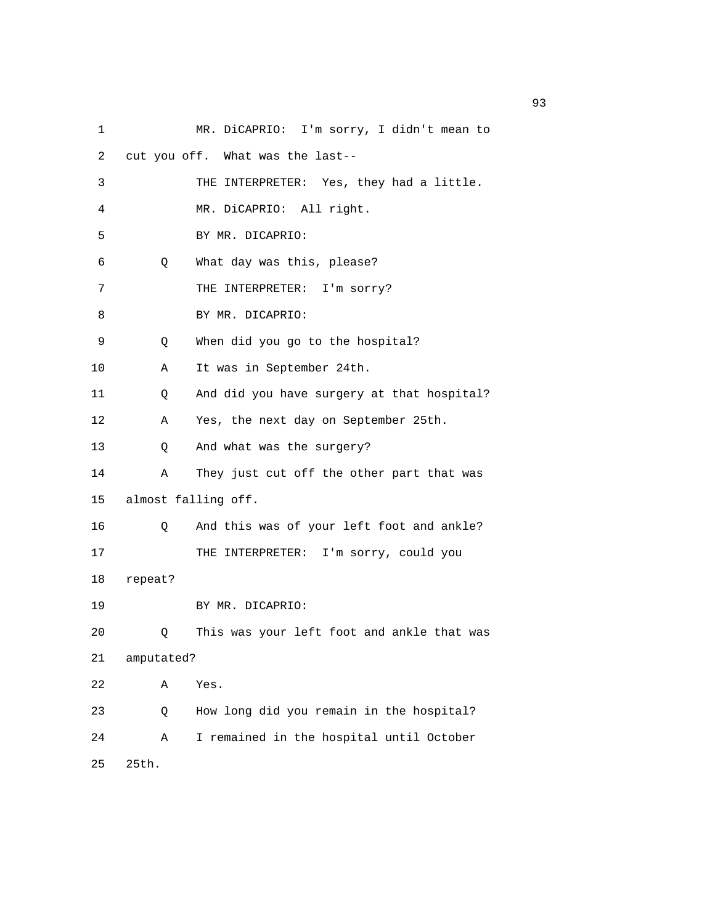| 1  |            | MR. DiCAPRIO: I'm sorry, I didn't mean to  |
|----|------------|--------------------------------------------|
| 2  |            | cut you off. What was the last--           |
| 3  |            | THE INTERPRETER: Yes, they had a little.   |
| 4  |            | MR. DiCAPRIO: All right.                   |
| 5  |            | BY MR. DICAPRIO:                           |
| 6  | Q          | What day was this, please?                 |
| 7  |            | THE INTERPRETER: I'm sorry?                |
| 8  |            | BY MR. DICAPRIO:                           |
| 9  | Q          | When did you go to the hospital?           |
| 10 | Α          | It was in September 24th.                  |
| 11 | Q          | And did you have surgery at that hospital? |
| 12 | Α          | Yes, the next day on September 25th.       |
| 13 | Q          | And what was the surgery?                  |
| 14 | Α          | They just cut off the other part that was  |
| 15 |            | almost falling off.                        |
| 16 | Q          | And this was of your left foot and ankle?  |
| 17 |            | THE INTERPRETER: I'm sorry, could you      |
| 18 | repeat?    |                                            |
| 19 |            | BY MR. DICAPRIO:                           |
| 20 | Q          | This was your left foot and ankle that was |
| 21 | amputated? |                                            |
| 22 | Α          | Yes.                                       |
| 23 | Q          | How long did you remain in the hospital?   |
| 24 | Α          | I remained in the hospital until October   |
| 25 | 25th.      |                                            |

experience of the contract of the contract of the contract of the contract of the contract of the contract of the contract of the contract of the contract of the contract of the contract of the contract of the contract of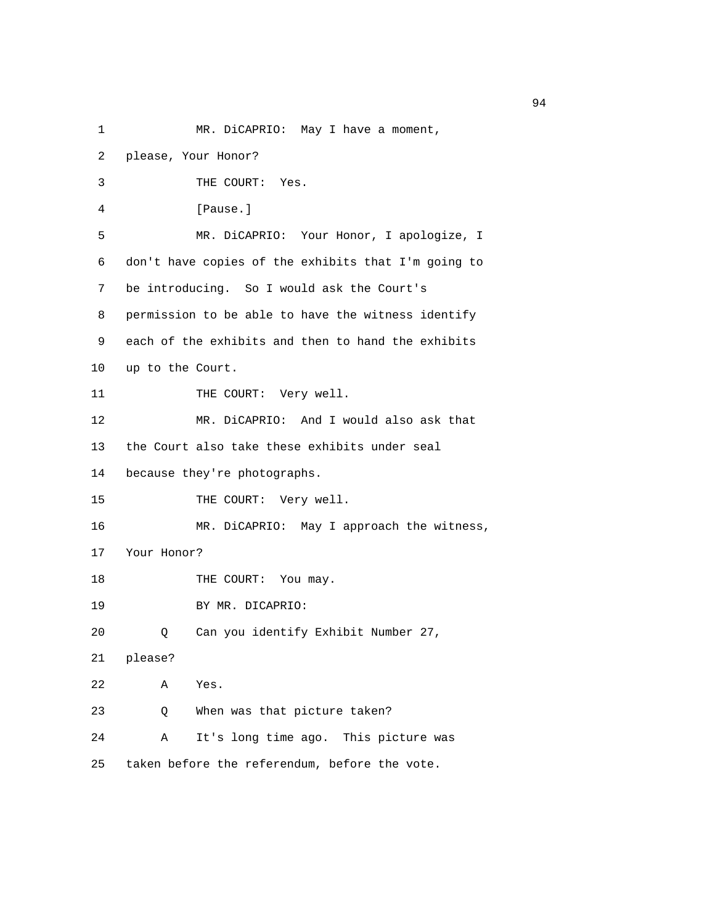| 1  | MR. DiCAPRIO: May I have a moment,                  |
|----|-----------------------------------------------------|
| 2  | please, Your Honor?                                 |
| 3  | THE COURT:<br>Yes.                                  |
| 4  | [Pause.]                                            |
| 5  | MR. DiCAPRIO: Your Honor, I apologize, I            |
| 6  | don't have copies of the exhibits that I'm going to |
| 7  | be introducing. So I would ask the Court's          |
| 8  | permission to be able to have the witness identify  |
| 9  | each of the exhibits and then to hand the exhibits  |
| 10 | up to the Court.                                    |
| 11 | THE COURT: Very well.                               |
| 12 | MR. DiCAPRIO: And I would also ask that             |
| 13 | the Court also take these exhibits under seal       |
| 14 | because they're photographs.                        |
| 15 | THE COURT: Very well.                               |
| 16 | MR. DiCAPRIO: May I approach the witness,           |
| 17 | Your Honor?                                         |
| 18 | THE COURT: You may.                                 |
| 19 | BY MR. DICAPRIO:                                    |
| 20 | Can you identify Exhibit Number 27,<br>Q.           |
| 21 | please?                                             |
| 22 | Α<br>Yes.                                           |
| 23 | When was that picture taken?<br>Q                   |
| 24 | It's long time ago. This picture was<br>Α           |
| 25 | taken before the referendum, before the vote.       |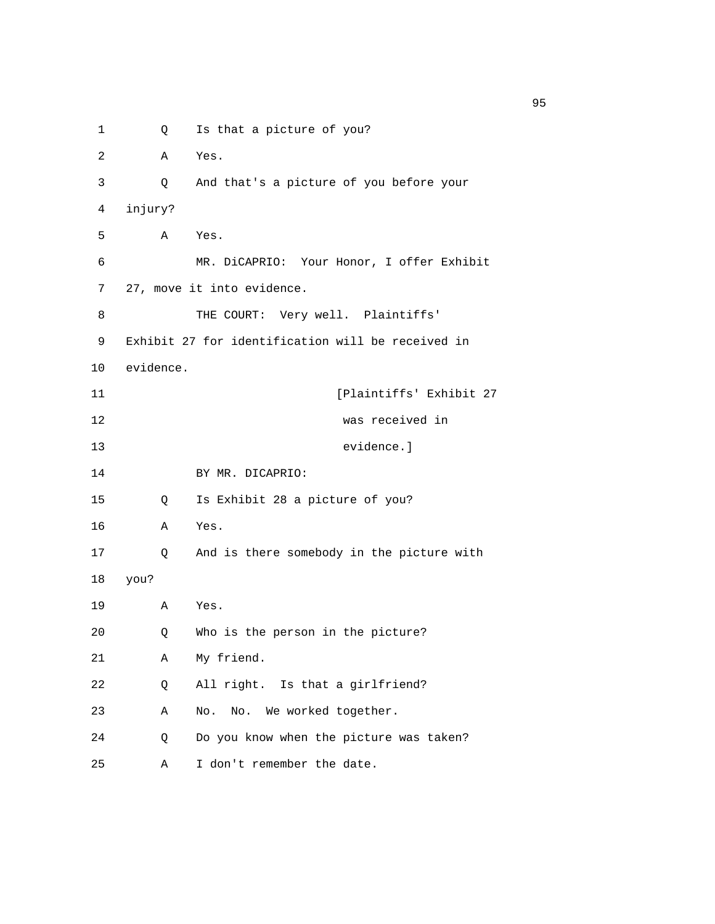1 Q Is that a picture of you? 2 A Yes. 3 Q And that's a picture of you before your 4 injury? 5 A Yes. 6 MR. DiCAPRIO: Your Honor, I offer Exhibit 7 27, move it into evidence. 8 THE COURT: Very well. Plaintiffs' 9 Exhibit 27 for identification will be received in 10 evidence. 11 [Plaintiffs' Exhibit 27 12 was received in 13 evidence.] 14 BY MR. DICAPRIO: 15 Q Is Exhibit 28 a picture of you? 16 A Yes. 17 Q And is there somebody in the picture with 18 you? 19 A Yes. 20 Q Who is the person in the picture? 21 A My friend. 22 Q All right. Is that a girlfriend? 23 A No. No. We worked together. 24 Q Do you know when the picture was taken? 25 A I don't remember the date.

experience of the contract of the contract of the contract of the contract of the contract of the contract of the contract of the contract of the contract of the contract of the contract of the contract of the contract of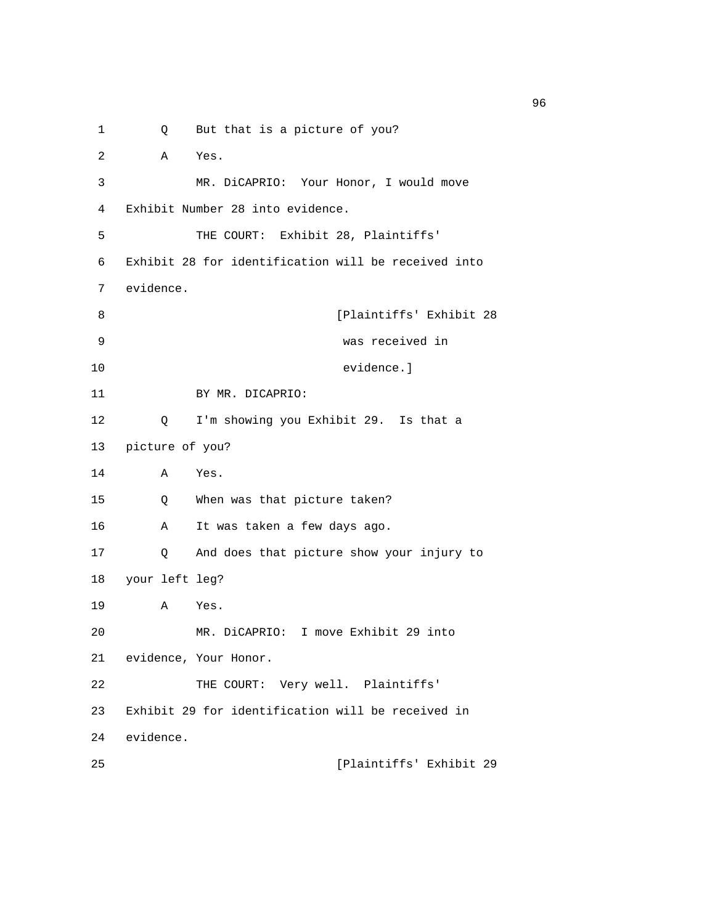1 Q But that is a picture of you? 2 A Yes. 3 MR. DiCAPRIO: Your Honor, I would move 4 Exhibit Number 28 into evidence. 5 THE COURT: Exhibit 28, Plaintiffs' 6 Exhibit 28 for identification will be received into 7 evidence. 8 [Plaintiffs' Exhibit 28 9 was received in 10 evidence.] 11 BY MR. DICAPRIO: 12 Q I'm showing you Exhibit 29. Is that a 13 picture of you? 14 A Yes. 15 Q When was that picture taken? 16 A It was taken a few days ago. 17 Q And does that picture show your injury to 18 your left leg? 19 A Yes. 20 MR. DiCAPRIO: I move Exhibit 29 into 21 evidence, Your Honor. 22 THE COURT: Very well. Plaintiffs' 23 Exhibit 29 for identification will be received in 24 evidence. 25 [Plaintiffs' Exhibit 29

<u>96 and the state of the state of the state of the state of the state of the state of the state of the state of the state of the state of the state of the state of the state of the state of the state of the state of the st</u>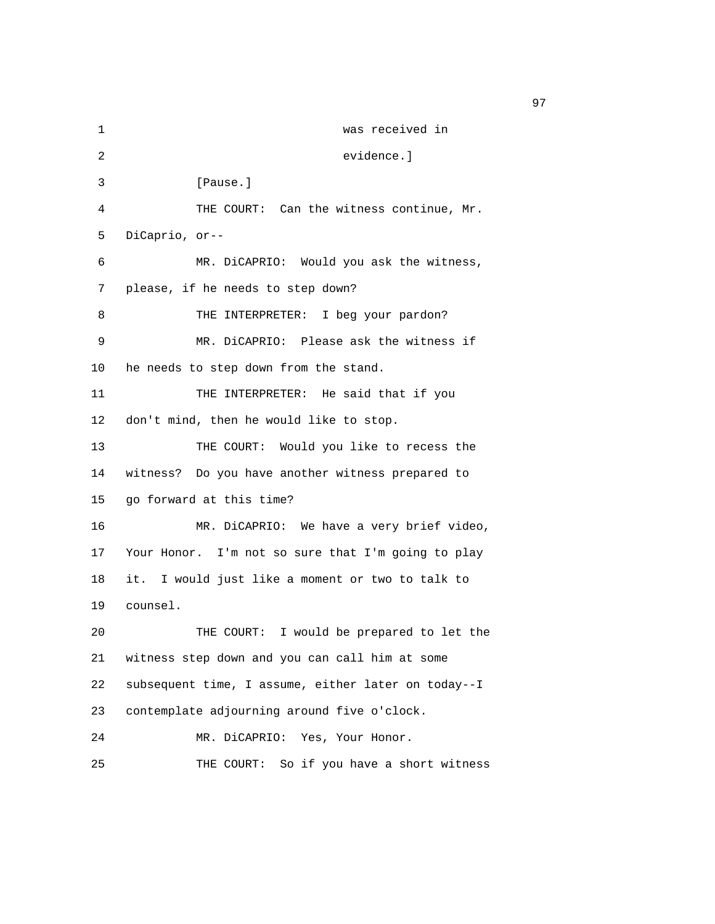1 was received in 2 evidence.] 3 [Pause.] 4 THE COURT: Can the witness continue, Mr. 5 DiCaprio, or-- 6 MR. DiCAPRIO: Would you ask the witness, 7 please, if he needs to step down? 8 THE INTERPRETER: I beg your pardon? 9 MR. DiCAPRIO: Please ask the witness if 10 he needs to step down from the stand. 11 THE INTERPRETER: He said that if you 12 don't mind, then he would like to stop. 13 THE COURT: Would you like to recess the 14 witness? Do you have another witness prepared to 15 go forward at this time? 16 MR. DiCAPRIO: We have a very brief video, 17 Your Honor. I'm not so sure that I'm going to play 18 it. I would just like a moment or two to talk to 19 counsel. 20 THE COURT: I would be prepared to let the 21 witness step down and you can call him at some 22 subsequent time, I assume, either later on today--I 23 contemplate adjourning around five o'clock. 24 MR. DiCAPRIO: Yes, Your Honor. 25 THE COURT: So if you have a short witness

experience of the contract of the contract of the contract of the contract of the contract of the contract of the contract of the contract of the contract of the contract of the contract of the contract of the contract of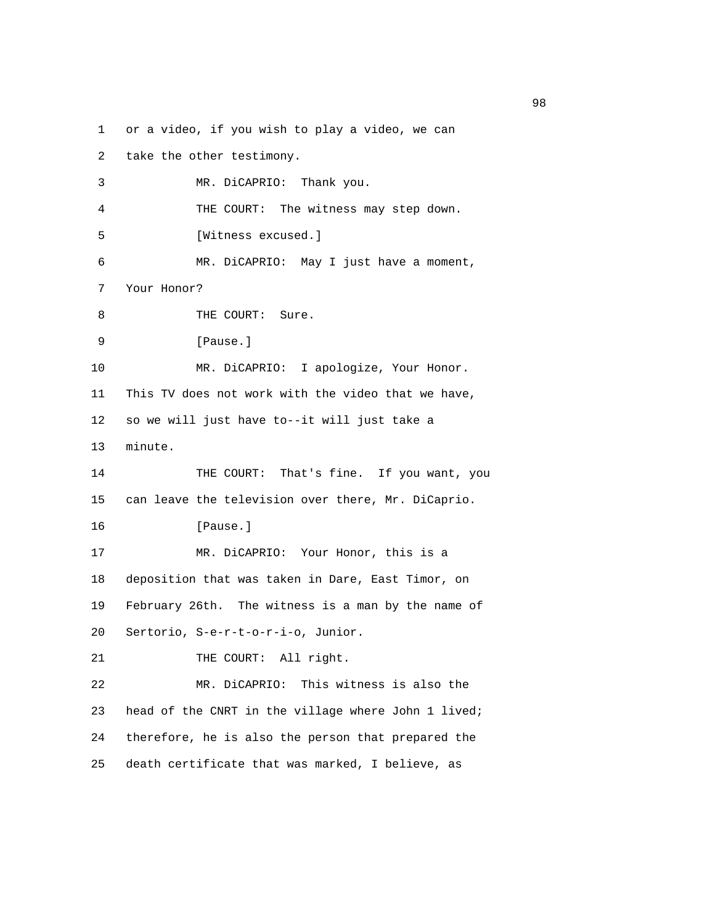1 or a video, if you wish to play a video, we can

| 2  | take the other testimony.                           |
|----|-----------------------------------------------------|
| 3  | MR. DiCAPRIO: Thank you.                            |
| 4  | THE COURT: The witness may step down.               |
| 5  | [Witness excused.]                                  |
| 6  | MR. DiCAPRIO: May I just have a moment,             |
| 7  | Your Honor?                                         |
| 8  | THE COURT: Sure.                                    |
| 9  | [Pause.]                                            |
| 10 | MR. DiCAPRIO: I apologize, Your Honor.              |
| 11 | This TV does not work with the video that we have,  |
| 12 | so we will just have to--it will just take a        |
| 13 | minute.                                             |
| 14 | THE COURT: That's fine. If you want, you            |
| 15 | can leave the television over there, Mr. DiCaprio.  |
| 16 | [Pause.]                                            |
| 17 | MR. DiCAPRIO: Your Honor, this is a                 |
| 18 | deposition that was taken in Dare, East Timor, on   |
| 19 | February 26th. The witness is a man by the name of  |
| 20 | Sertorio, S-e-r-t-o-r-i-o, Junior.                  |
| 21 | THE COURT: All right.                               |
| 22 | MR. DiCAPRIO: This witness is also the              |
| 23 | head of the CNRT in the village where John 1 lived; |
| 24 | therefore, he is also the person that prepared the  |
| 25 | death certificate that was marked, I believe, as    |

en 1988 en 1989 en 1989 en 1989 en 1989 en 1989 en 1989 en 1989 en 1989 en 1989 en 1989 en 1989 en 1989 en 19<br>De grote en 1989 en 1989 en 1989 en 1989 en 1989 en 1989 en 1989 en 1989 en 1989 en 1989 en 1989 en 1989 en 19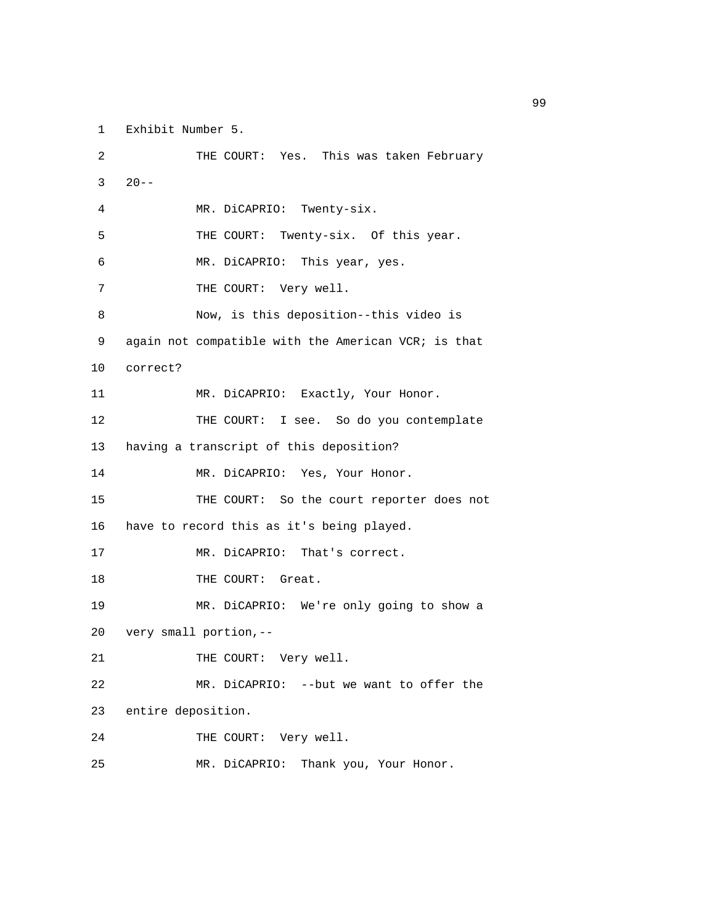1 Exhibit Number 5.

 2 THE COURT: Yes. This was taken February  $3 \t20 - -$  4 MR. DiCAPRIO: Twenty-six. 5 THE COURT: Twenty-six. Of this year. 6 MR. DiCAPRIO: This year, yes. 7 THE COURT: Very well. 8 Now, is this deposition--this video is 9 again not compatible with the American VCR; is that 10 correct? 11 MR. DiCAPRIO: Exactly, Your Honor. 12 THE COURT: I see. So do you contemplate 13 having a transcript of this deposition? 14 MR. DiCAPRIO: Yes, Your Honor. 15 THE COURT: So the court reporter does not 16 have to record this as it's being played. 17 MR. DiCAPRIO: That's correct. 18 THE COURT: Great. 19 MR. DiCAPRIO: We're only going to show a 20 very small portion,-- 21 THE COURT: Very well. 22 MR. DiCAPRIO: --but we want to offer the 23 entire deposition. 24 THE COURT: Very well. 25 MR. DiCAPRIO: Thank you, Your Honor.

en de la construction de la construction de la construction de la construction de la construction de la constr<br>1990 : la construction de la construction de la construction de la construction de la construction de la const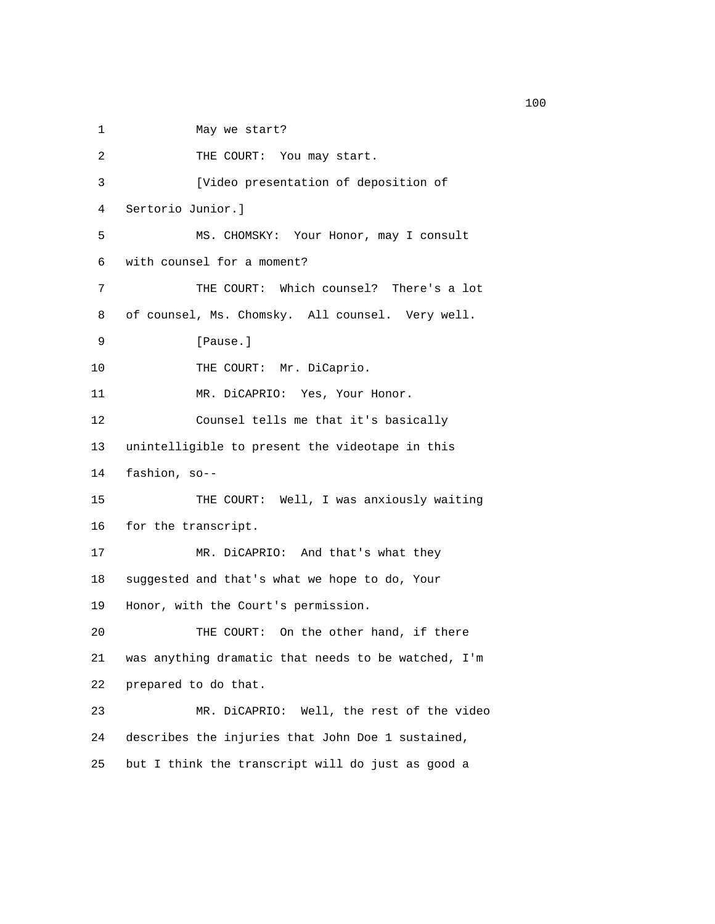1 May we start? 2 THE COURT: You may start. 3 [Video presentation of deposition of 4 Sertorio Junior.] 5 MS. CHOMSKY: Your Honor, may I consult 6 with counsel for a moment? 7 THE COURT: Which counsel? There's a lot 8 of counsel, Ms. Chomsky. All counsel. Very well. 9 [Pause.] 10 THE COURT: Mr. DiCaprio. 11 MR. DiCAPRIO: Yes, Your Honor. 12 Counsel tells me that it's basically 13 unintelligible to present the videotape in this 14 fashion, so-- 15 THE COURT: Well, I was anxiously waiting 16 for the transcript. 17 MR. DiCAPRIO: And that's what they 18 suggested and that's what we hope to do, Your 19 Honor, with the Court's permission. 20 THE COURT: On the other hand, if there 21 was anything dramatic that needs to be watched, I'm 22 prepared to do that. 23 MR. DiCAPRIO: Well, the rest of the video 24 describes the injuries that John Doe 1 sustained, 25 but I think the transcript will do just as good a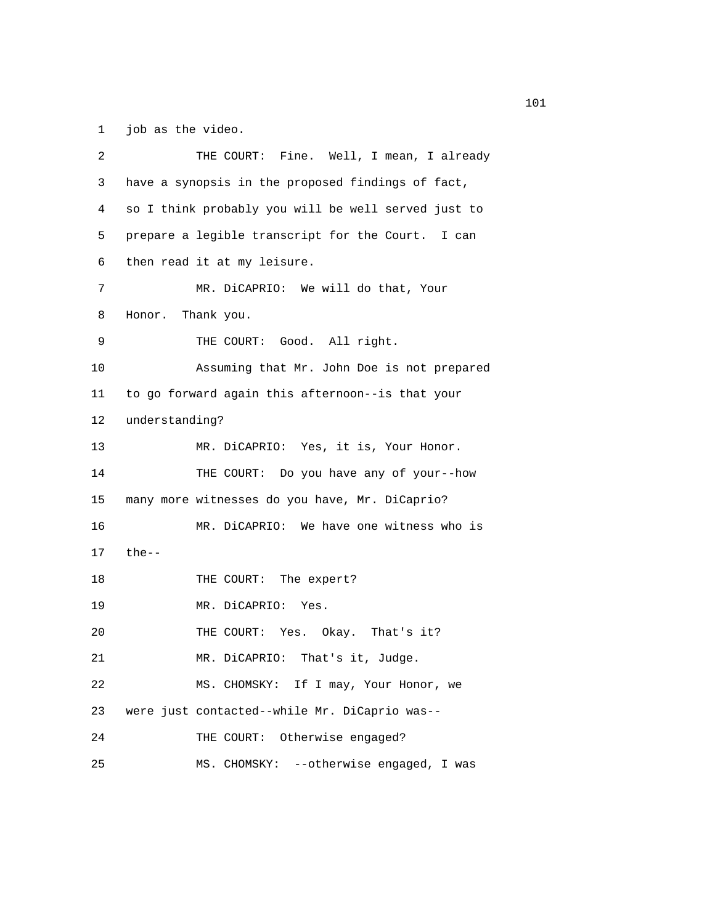1 job as the video.

| 2  | THE COURT: Fine. Well, I mean, I already            |
|----|-----------------------------------------------------|
| 3  | have a synopsis in the proposed findings of fact,   |
| 4  | so I think probably you will be well served just to |
| 5  | prepare a legible transcript for the Court. I can   |
| 6  | then read it at my leisure.                         |
| 7  | MR. DiCAPRIO: We will do that, Your                 |
| 8  | Honor. Thank you.                                   |
| 9  | THE COURT: Good. All right.                         |
| 10 | Assuming that Mr. John Doe is not prepared          |
| 11 | to go forward again this afternoon--is that your    |
| 12 | understanding?                                      |
| 13 | MR. DiCAPRIO: Yes, it is, Your Honor.               |
| 14 | THE COURT: Do you have any of your--how             |
| 15 | many more witnesses do you have, Mr. DiCaprio?      |
| 16 | MR. DiCAPRIO: We have one witness who is            |
| 17 | $the--$                                             |
| 18 | THE COURT: The expert?                              |
| 19 | MR. DiCAPRIO: Yes.                                  |
| 20 | THE COURT: Yes. Okay. That's it?                    |
| 21 | MR. DiCAPRIO: That's it, Judge.                     |
| 22 | MS. CHOMSKY: If I may, Your Honor, we               |
| 23 | were just contacted--while Mr. DiCaprio was--       |
| 24 | Otherwise engaged?<br>THE COURT:                    |
| 25 | MS. CHOMSKY: --otherwise engaged, I was             |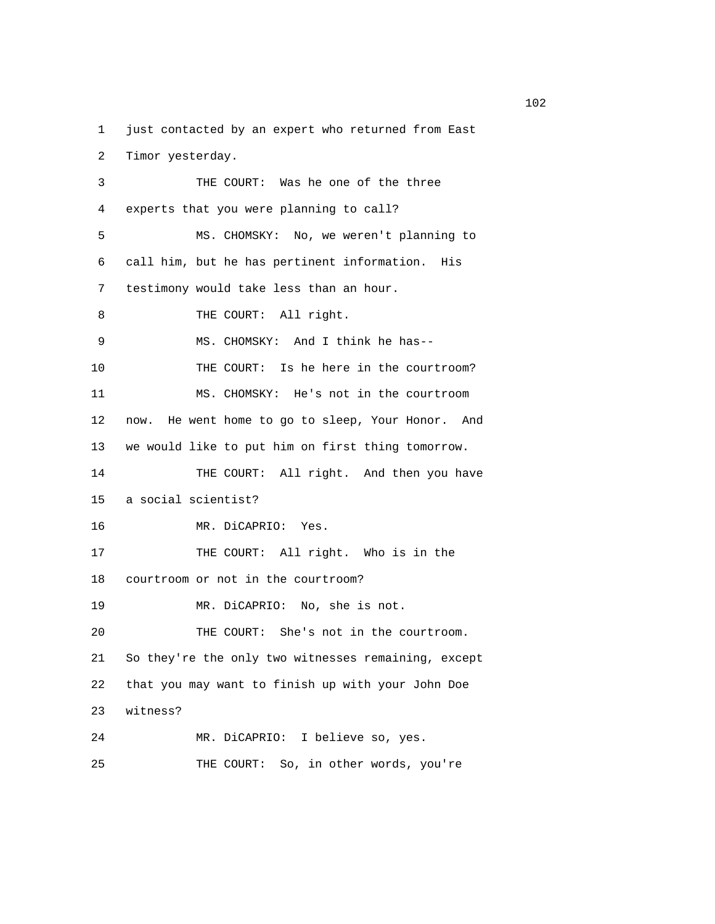1 just contacted by an expert who returned from East

2 Timor yesterday.

| 3  | THE COURT: Was he one of the three                   |
|----|------------------------------------------------------|
| 4  | experts that you were planning to call?              |
| 5  | MS. CHOMSKY: No, we weren't planning to              |
| 6  | call him, but he has pertinent information. His      |
| 7  | testimony would take less than an hour.              |
| 8  | THE COURT: All right.                                |
| 9  | MS. CHOMSKY: And I think he has--                    |
| 10 | THE COURT: Is he here in the courtroom?              |
| 11 | MS. CHOMSKY: He's not in the courtroom               |
| 12 | He went home to go to sleep, Your Honor. And<br>now. |
| 13 | we would like to put him on first thing tomorrow.    |
| 14 | THE COURT: All right. And then you have              |
| 15 | a social scientist?                                  |
| 16 | MR. DiCAPRIO: Yes.                                   |
| 17 | THE COURT: All right. Who is in the                  |
| 18 | courtroom or not in the courtroom?                   |
| 19 | MR. DiCAPRIO: No, she is not.                        |
| 20 | THE COURT: She's not in the courtroom.               |
| 21 | So they're the only two witnesses remaining, except  |
| 22 | that you may want to finish up with your John Doe    |
| 23 | witness?                                             |
| 24 | MR. DiCAPRIO: I believe so, yes.                     |
| 25 | So, in other words, you're<br>THE COURT:             |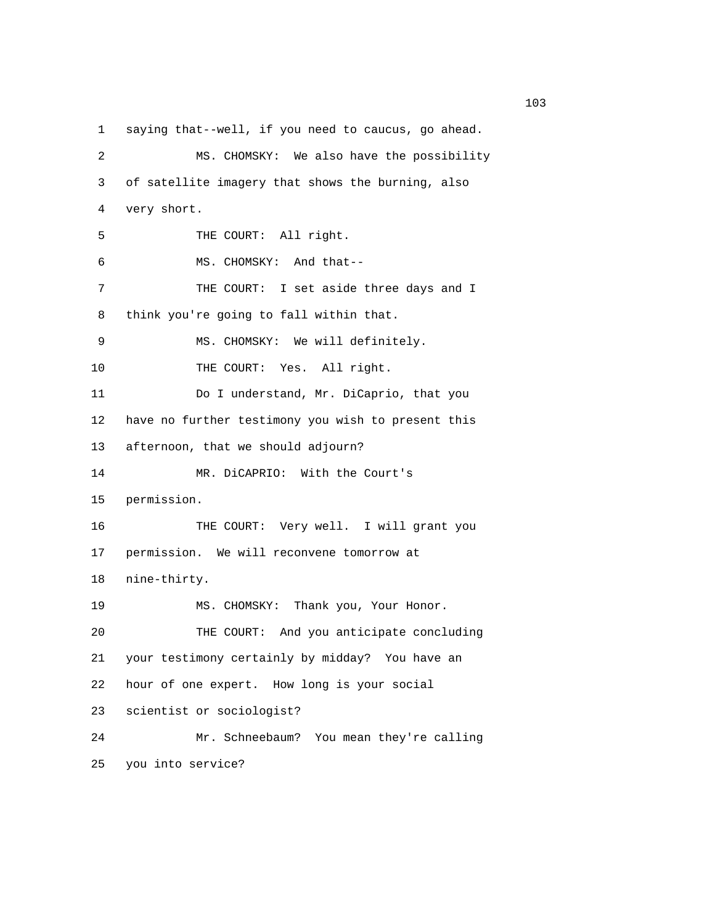1 saying that--well, if you need to caucus, go ahead. 2 MS. CHOMSKY: We also have the possibility 3 of satellite imagery that shows the burning, also 4 very short. 5 THE COURT: All right. 6 MS. CHOMSKY: And that-- 7 THE COURT: I set aside three days and I 8 think you're going to fall within that. 9 MS. CHOMSKY: We will definitely. 10 THE COURT: Yes. All right. 11 Do I understand, Mr. DiCaprio, that you 12 have no further testimony you wish to present this 13 afternoon, that we should adjourn? 14 MR. DiCAPRIO: With the Court's 15 permission. 16 THE COURT: Very well. I will grant you 17 permission. We will reconvene tomorrow at 18 nine-thirty. 19 MS. CHOMSKY: Thank you, Your Honor. 20 THE COURT: And you anticipate concluding 21 your testimony certainly by midday? You have an 22 hour of one expert. How long is your social 23 scientist or sociologist? 24 Mr. Schneebaum? You mean they're calling 25 you into service?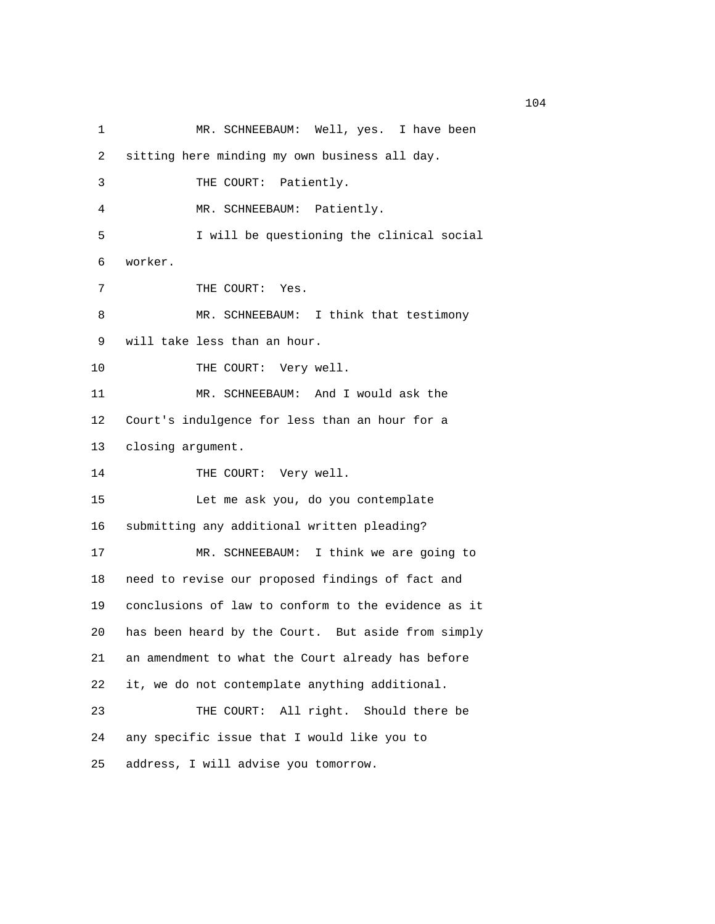1 MR. SCHNEEBAUM: Well, yes. I have been 2 sitting here minding my own business all day. 3 THE COURT: Patiently. 4 MR. SCHNEEBAUM: Patiently. 5 I will be questioning the clinical social 6 worker. 7 THE COURT: Yes. 8 MR. SCHNEEBAUM: I think that testimony 9 will take less than an hour. 10 THE COURT: Very well. 11 MR. SCHNEEBAUM: And I would ask the 12 Court's indulgence for less than an hour for a 13 closing argument. 14 THE COURT: Very well. 15 Let me ask you, do you contemplate 16 submitting any additional written pleading? 17 MR. SCHNEEBAUM: I think we are going to 18 need to revise our proposed findings of fact and 19 conclusions of law to conform to the evidence as it 20 has been heard by the Court. But aside from simply 21 an amendment to what the Court already has before 22 it, we do not contemplate anything additional. 23 THE COURT: All right. Should there be 24 any specific issue that I would like you to 25 address, I will advise you tomorrow.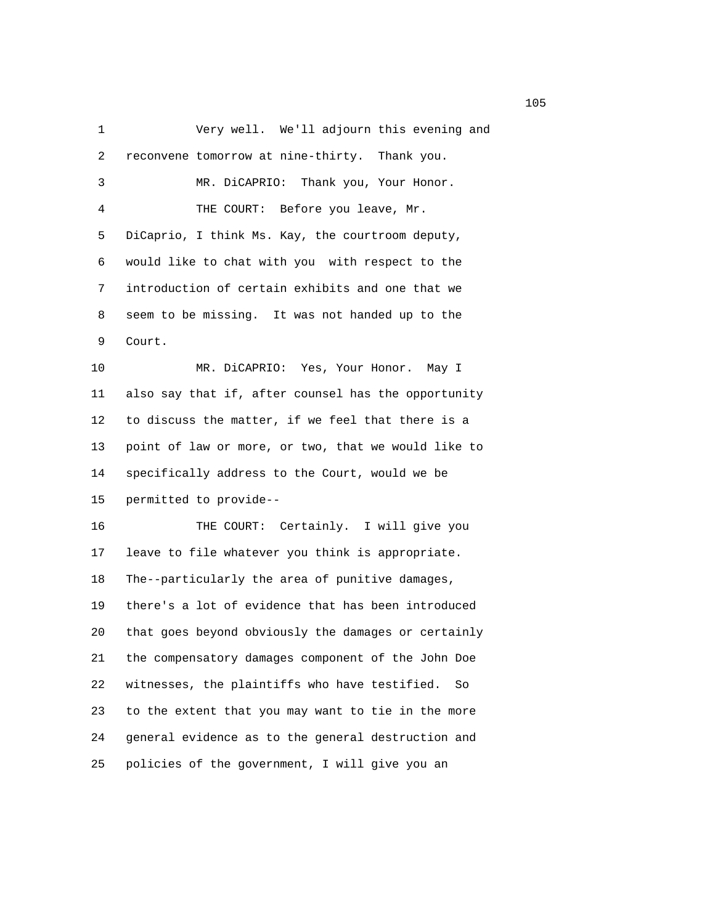1 Very well. We'll adjourn this evening and 2 reconvene tomorrow at nine-thirty. Thank you. 3 MR. DiCAPRIO: Thank you, Your Honor. 4 THE COURT: Before you leave, Mr. 5 DiCaprio, I think Ms. Kay, the courtroom deputy, 6 would like to chat with you with respect to the 7 introduction of certain exhibits and one that we 8 seem to be missing. It was not handed up to the 9 Court. 10 MR. DiCAPRIO: Yes, Your Honor. May I 11 also say that if, after counsel has the opportunity 12 to discuss the matter, if we feel that there is a 13 point of law or more, or two, that we would like to 14 specifically address to the Court, would we be 15 permitted to provide-- 16 THE COURT: Certainly. I will give you 17 leave to file whatever you think is appropriate. 18 The--particularly the area of punitive damages, 19 there's a lot of evidence that has been introduced 20 that goes beyond obviously the damages or certainly 21 the compensatory damages component of the John Doe 22 witnesses, the plaintiffs who have testified. So 23 to the extent that you may want to tie in the more 24 general evidence as to the general destruction and 25 policies of the government, I will give you an